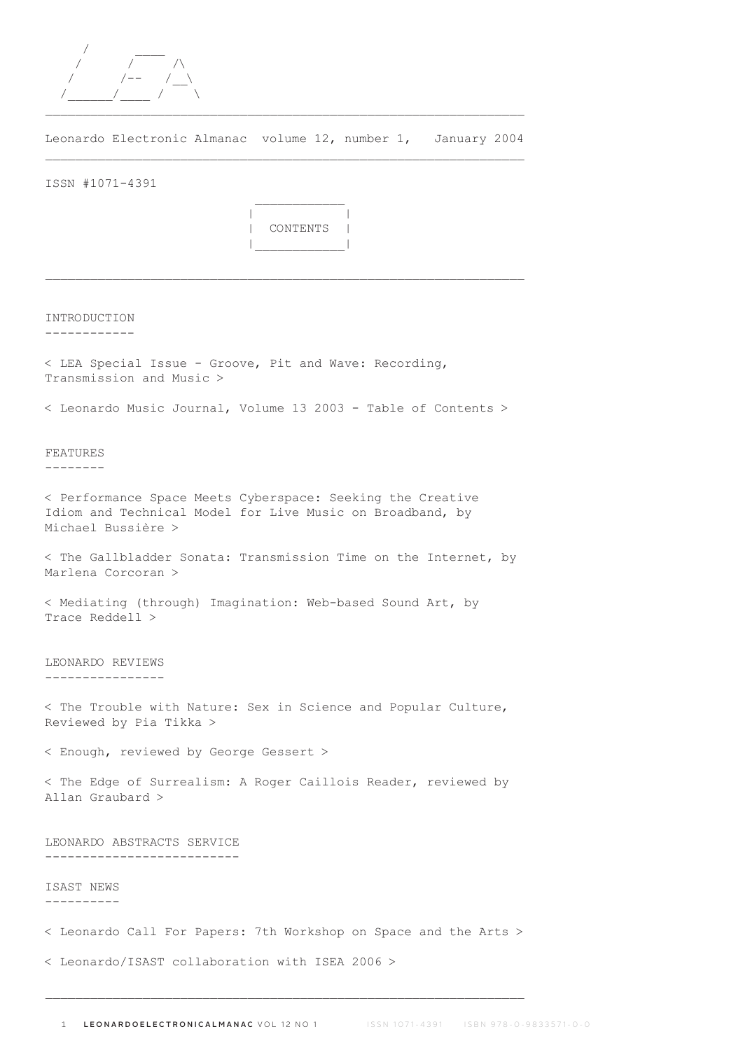

Leonardo Electronic Almanac volume 12, number 1, January 2004 \_\_\_\_\_\_\_\_\_\_\_\_\_\_\_\_\_\_\_\_\_\_\_\_\_\_\_\_\_\_\_\_\_\_\_\_\_\_\_\_\_\_\_\_\_\_\_\_\_\_\_\_\_\_\_\_\_\_\_\_\_\_\_\_

ISSN #1071-4391



 $\mathcal{L}_\text{max}$ 

INTRODUCTION

------------

< LEA Special Issue - Groove, Pit and Wave: Recording, Transmission and Music >

< Leonardo Music Journal, Volume 13 2003 - Table of Contents >

FEATURES

--------

< Performance Space Meets Cyberspace: Seeking the Creative Idiom and Technical Model for Live Music on Broadband, by Michael Bussière >

< The Gallbladder Sonata: Transmission Time on the Internet, by Marlena Corcoran >

< Mediating (through) Imagination: Web-based Sound Art, by Trace Reddell >

LEONARDO REVIEWS ----------------

< The Trouble with Nature: Sex in Science and Popular Culture, Reviewed by Pia Tikka >

< Enough, reviewed by George Gessert >

< The Edge of Surrealism: A Roger Caillois Reader, reviewed by Allan Graubard >

LEONARDO ABSTRACTS SERVICE --------------------------

ISAST NEWS ----------

< Leonardo Call For Papers: 7th Workshop on Space and the Arts >

< Leonardo/ISAST collaboration with ISEA 2006 >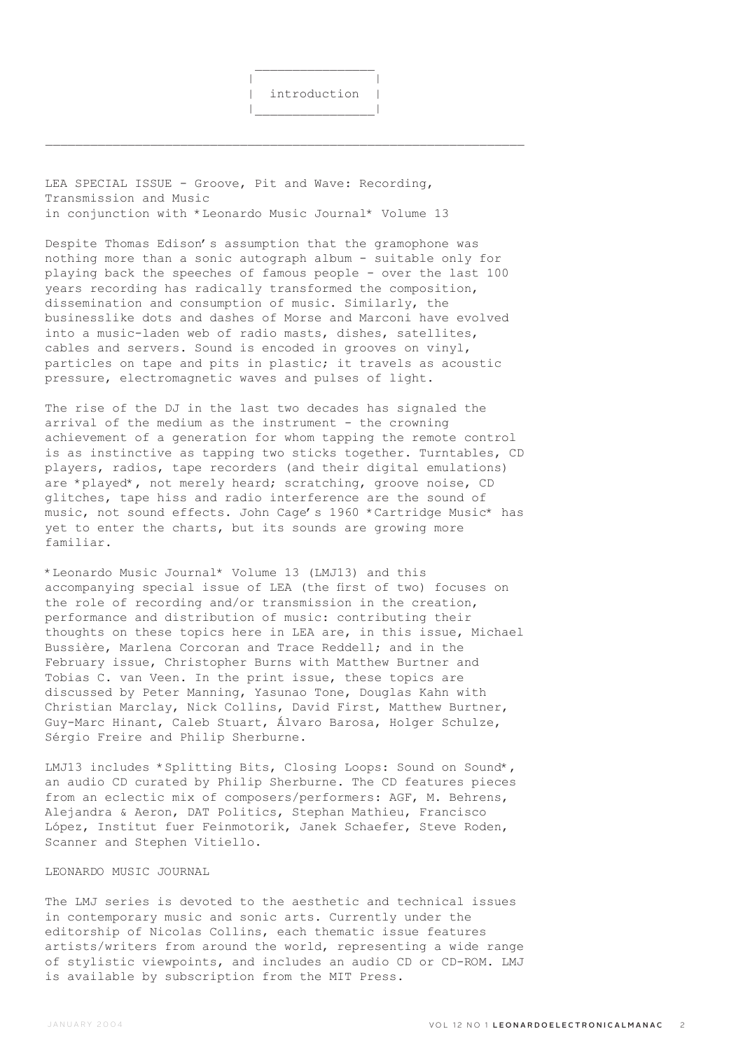\_\_\_\_\_\_\_\_\_\_\_\_\_\_\_\_\_\_\_\_\_\_\_\_\_\_\_\_\_\_\_\_\_\_\_\_\_\_\_\_\_\_\_\_\_\_\_\_\_\_\_\_\_\_\_\_\_\_\_\_\_\_\_\_

LEA SPECIAL ISSUE - Groove, Pit and Wave: Recording, Transmission and Music in conjunction with \*Leonardo Music Journal\* Volume 13

Despite Thomas Edison's assumption that the gramophone was nothing more than a sonic autograph album - suitable only for playing back the speeches of famous people - over the last 100 years recording has radically transformed the composition, dissemination and consumption of music. Similarly, the businesslike dots and dashes of Morse and Marconi have evolved into a music-laden web of radio masts, dishes, satellites, cables and servers. Sound is encoded in grooves on vinyl, particles on tape and pits in plastic; it travels as acoustic pressure, electromagnetic waves and pulses of light.

The rise of the DJ in the last two decades has signaled the arrival of the medium as the instrument - the crowning achievement of a generation for whom tapping the remote control is as instinctive as tapping two sticks together. Turntables, CD players, radios, tape recorders (and their digital emulations) are \*played\*, not merely heard; scratching, groove noise, CD glitches, tape hiss and radio interference are the sound of music, not sound effects. John Cage's 1960 \*Cartridge Music\* has yet to enter the charts, but its sounds are growing more familiar.

\*Leonardo Music Journal\* Volume 13 (LMJ13) and this accompanying special issue of LEA (the first of two) focuses on the role of recording and/or transmission in the creation, performance and distribution of music: contributing their thoughts on these topics here in LEA are, in this issue, Michael Bussière, Marlena Corcoran and Trace Reddell; and in the February issue, Christopher Burns with Matthew Burtner and Tobias C. van Veen. In the print issue, these topics are discussed by Peter Manning, Yasunao Tone, Douglas Kahn with Christian Marclay, Nick Collins, David First, Matthew Burtner, Guy-Marc Hinant, Caleb Stuart, Álvaro Barosa, Holger Schulze, Sérgio Freire and Philip Sherburne.

LMJ13 includes \*Splitting Bits, Closing Loops: Sound on Sound\*, an audio CD curated by Philip Sherburne. The CD features pieces from an eclectic mix of composers/performers: AGF, M. Behrens, Alejandra & Aeron, DAT Politics, Stephan Mathieu, Francisco López, Institut fuer Feinmotorik, Janek Schaefer, Steve Roden, Scanner and Stephen Vitiello.

## LEONARDO MUSIC JOURNAL

The LMJ series is devoted to the aesthetic and technical issues in contemporary music and sonic arts. Currently under the editorship of Nicolas Collins, each thematic issue features artists/writers from around the world, representing a wide range of stylistic viewpoints, and includes an audio CD or CD-ROM. LMJ is available by subscription from the MIT Press.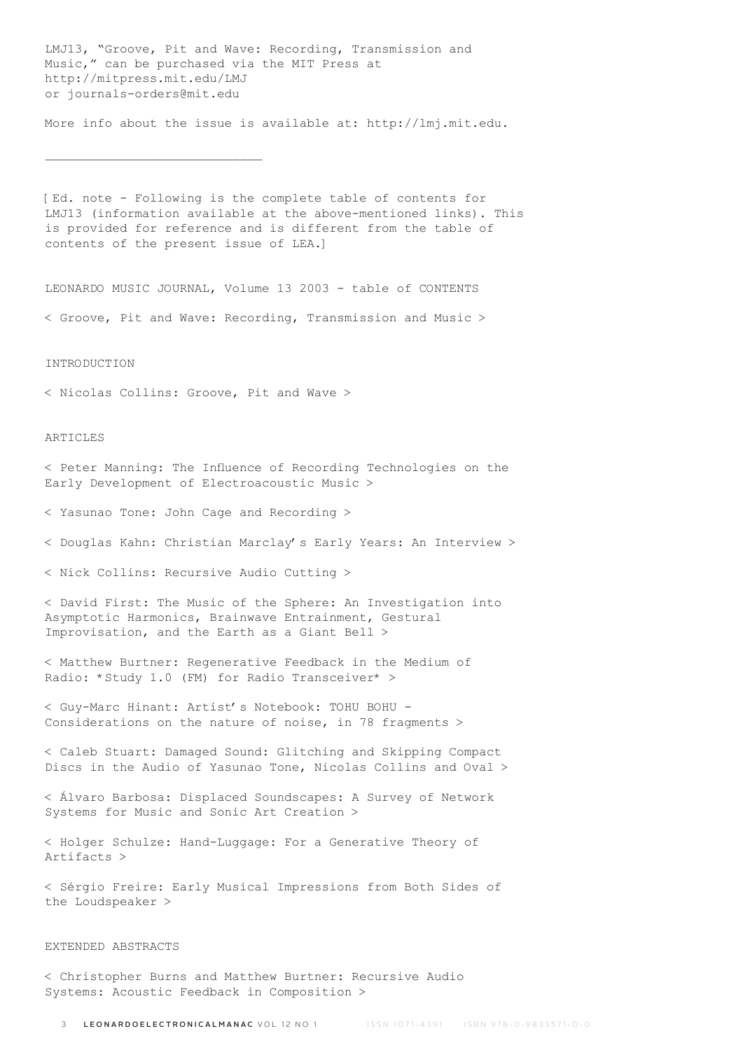LMJ13, "Groove, Pit and Wave: Recording, Transmission and Music," can be purchased via the MIT Press at http://mitpress.mit.edu/LMJ or journals-orders@mit.edu

More info about the issue is available at: http://lmj.mit.edu.

[Ed. note - Following is the complete table of contents for LMJ13 (information available at the above-mentioned links). This is provided for reference and is different from the table of contents of the present issue of LEA.]

LEONARDO MUSIC JOURNAL, Volume 13 2003 - table of CONTENTS

< Groove, Pit and Wave: Recording, Transmission and Music >

INTRODUCTION

< Nicolas Collins: Groove, Pit and Wave >

 $\overline{\phantom{a}}$  , where  $\overline{\phantom{a}}$  , where  $\overline{\phantom{a}}$  ,  $\overline{\phantom{a}}$  ,  $\overline{\phantom{a}}$  ,  $\overline{\phantom{a}}$  ,  $\overline{\phantom{a}}$  ,  $\overline{\phantom{a}}$  ,  $\overline{\phantom{a}}$  ,  $\overline{\phantom{a}}$  ,  $\overline{\phantom{a}}$  ,  $\overline{\phantom{a}}$  ,  $\overline{\phantom{a}}$  ,  $\overline{\phantom{a}}$  ,  $\overline{\phantom{a}}$  ,

#### **ARTICLES**

< Peter Manning: The Influence of Recording Technologies on the Early Development of Electroacoustic Music >

< Yasunao Tone: John Cage and Recording >

< Douglas Kahn: Christian Marclay's Early Years: An Interview >

< Nick Collins: Recursive Audio Cutting >

< David First: The Music of the Sphere: An Investigation into Asymptotic Harmonics, Brainwave Entrainment, Gestural Improvisation, and the Earth as a Giant Bell >

< Matthew Burtner: Regenerative Feedback in the Medium of Radio: \*Study 1.0 (FM) for Radio Transceiver\* >

< Guy-Marc Hinant: Artist's Notebook: TOHU BOHU - Considerations on the nature of noise, in 78 fragments >

< Caleb Stuart: Damaged Sound: Glitching and Skipping Compact Discs in the Audio of Yasunao Tone, Nicolas Collins and Oval >

< Álvaro Barbosa: Displaced Soundscapes: A Survey of Network Systems for Music and Sonic Art Creation >

< Holger Schulze: Hand-Luggage: For a Generative Theory of Artifacts >

< Sérgio Freire: Early Musical Impressions from Both Sides of the Loudspeaker >

# EXTENDED ABSTRACTS

< Christopher Burns and Matthew Burtner: Recursive Audio Systems: Acoustic Feedback in Composition >

3 LEONARDOELECTRONICALMANAC VOL 12 NO 1 **ISSN 1071-4391** ISBN 978-0-9833571-0-0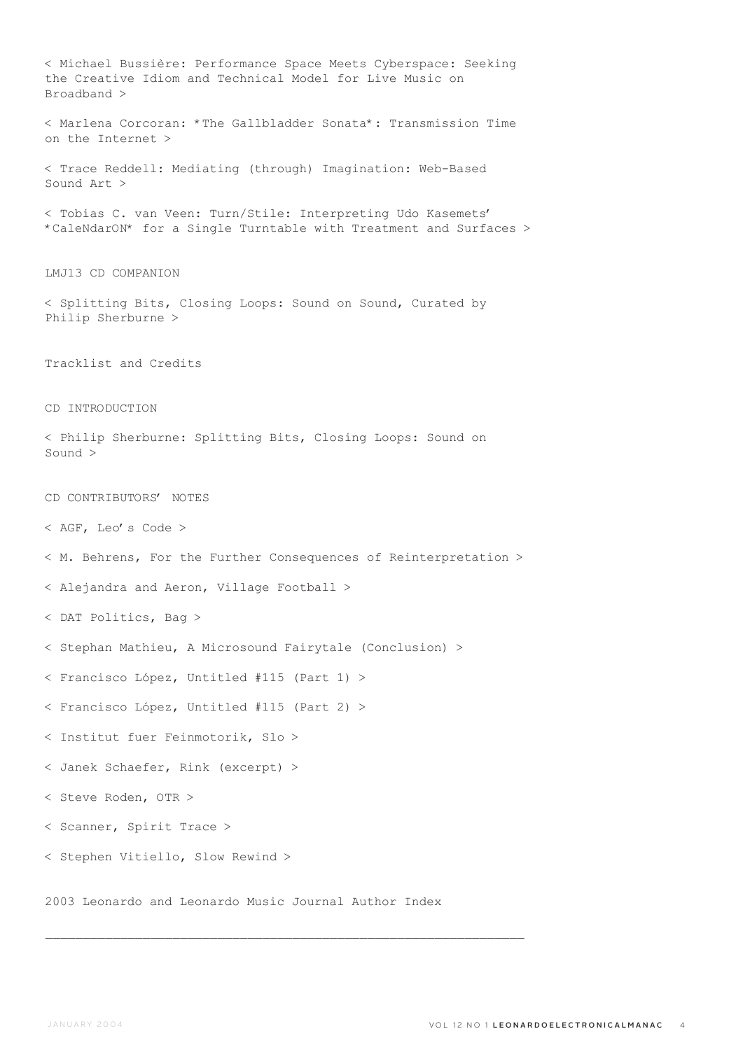< Michael Bussière: Performance Space Meets Cyberspace: Seeking the Creative Idiom and Technical Model for Live Music on Broadband > < Marlena Corcoran: \*The Gallbladder Sonata\*: Transmission Time on the Internet > < Trace Reddell: Mediating (through) Imagination: Web-Based Sound Art > < Tobias C. van Veen: Turn/Stile: Interpreting Udo Kasemets' \*CaleNdarON\* for a Single Turntable with Treatment and Surfaces > LMJ13 CD COMPANION < Splitting Bits, Closing Loops: Sound on Sound, Curated by Philip Sherburne > Tracklist and Credits CD INTRODUCTION < Philip Sherburne: Splitting Bits, Closing Loops: Sound on Sound > CD CONTRIBUTORS' NOTES < AGF, Leo's Code > < M. Behrens, For the Further Consequences of Reinterpretation > < Alejandra and Aeron, Village Football > < DAT Politics, Bag > < Stephan Mathieu, A Microsound Fairytale (Conclusion) > < Francisco López, Untitled #115 (Part 1) > < Francisco López, Untitled #115 (Part 2) > < Institut fuer Feinmotorik, Slo > < Janek Schaefer, Rink (excerpt) > < Steve Roden, OTR > < Scanner, Spirit Trace > < Stephen Vitiello, Slow Rewind > 2003 Leonardo and Leonardo Music Journal Author Index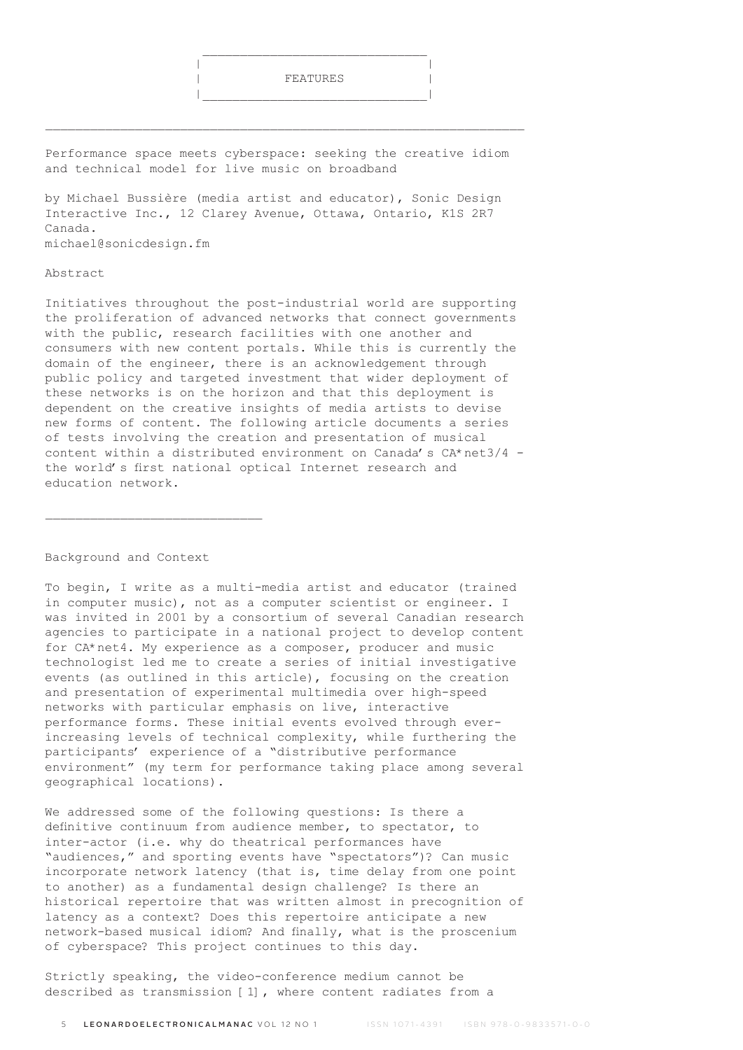

Performance space meets cyberspace: seeking the creative idiom and technical model for live music on broadband

\_\_\_\_\_\_\_\_\_\_\_\_\_\_\_\_\_\_\_\_\_\_\_\_\_\_\_\_\_\_\_\_\_\_\_\_\_\_\_\_\_\_\_\_\_\_\_\_\_\_\_\_\_\_\_\_\_\_\_\_\_\_\_\_

 $\frac{1}{2}$  , and the set of the set of the set of the set of the set of the set of the set of the set of the set of the set of the set of the set of the set of the set of the set of the set of the set of the set of the set

by Michael Bussière (media artist and educator), Sonic Design Interactive Inc., 12 Clarey Avenue, Ottawa, Ontario, K1S 2R7 Canada. michael@sonicdesign.fm

#### Abstract

Initiatives throughout the post-industrial world are supporting the proliferation of advanced networks that connect governments with the public, research facilities with one another and consumers with new content portals. While this is currently the domain of the engineer, there is an acknowledgement through public policy and targeted investment that wider deployment of these networks is on the horizon and that this deployment is dependent on the creative insights of media artists to devise new forms of content. The following article documents a series of tests involving the creation and presentation of musical content within a distributed environment on Canada's CA\*net3/4 the world's first national optical Internet research and education network.

#### Background and Context

 $\mathcal{L}_\text{max}$ 

To begin, I write as a multi-media artist and educator (trained in computer music), not as a computer scientist or engineer. I was invited in 2001 by a consortium of several Canadian research agencies to participate in a national project to develop content for CA\*net4. My experience as a composer, producer and music technologist led me to create a series of initial investigative events (as outlined in this article), focusing on the creation and presentation of experimental multimedia over high-speed networks with particular emphasis on live, interactive performance forms. These initial events evolved through everincreasing levels of technical complexity, while furthering the participants' experience of a "distributive performance environment" (my term for performance taking place among several geographical locations).

We addressed some of the following questions: Is there a definitive continuum from audience member, to spectator, to inter-actor (i.e. why do theatrical performances have "audiences," and sporting events have "spectators")? Can music incorporate network latency (that is, time delay from one point to another) as a fundamental design challenge? Is there an historical repertoire that was written almost in precognition of latency as a context? Does this repertoire anticipate a new network-based musical idiom? And finally, what is the proscenium of cyberspace? This project continues to this day.

Strictly speaking, the video-conference medium cannot be described as transmission [1], where content radiates from a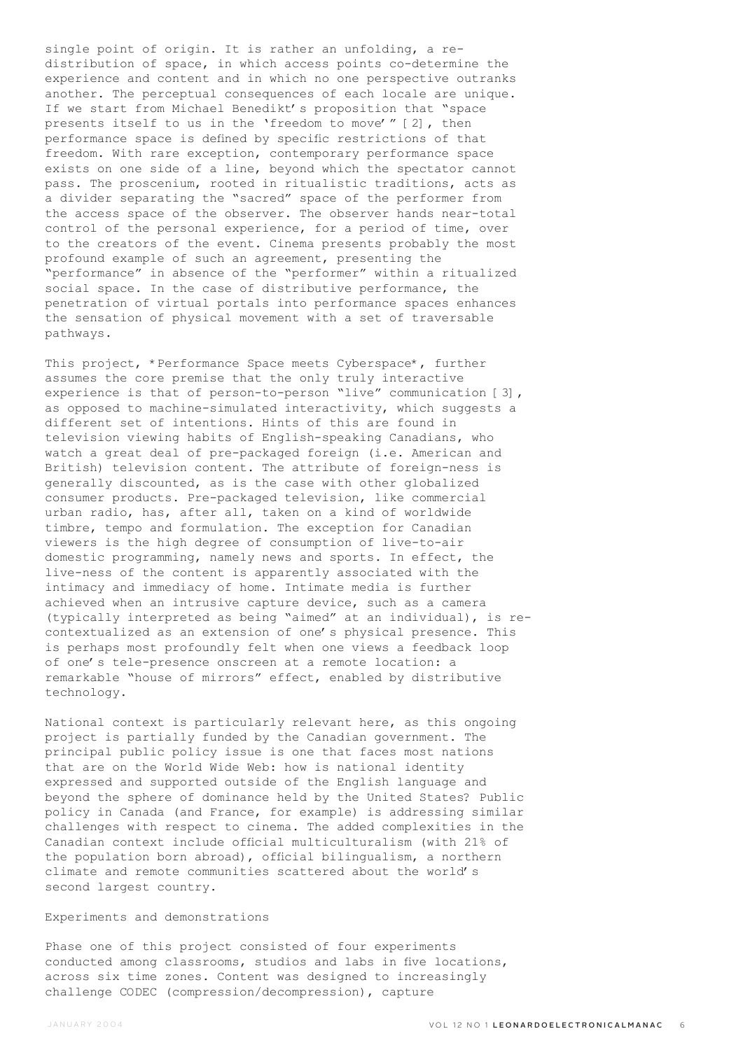single point of origin. It is rather an unfolding, a redistribution of space, in which access points co-determine the experience and content and in which no one perspective outranks another. The perceptual consequences of each locale are unique. If we start from Michael Benedikt's proposition that "space presents itself to us in the 'freedom to move'" [2], then performance space is defined by specific restrictions of that freedom. With rare exception, contemporary performance space exists on one side of a line, beyond which the spectator cannot pass. The proscenium, rooted in ritualistic traditions, acts as a divider separating the "sacred" space of the performer from the access space of the observer. The observer hands near-total control of the personal experience, for a period of time, over to the creators of the event. Cinema presents probably the most profound example of such an agreement, presenting the "performance" in absence of the "performer" within a ritualized social space. In the case of distributive performance, the penetration of virtual portals into performance spaces enhances the sensation of physical movement with a set of traversable pathways.

This project, \*Performance Space meets Cyberspace\*, further assumes the core premise that the only truly interactive experience is that of person-to-person "live" communication [3], as opposed to machine-simulated interactivity, which suggests a different set of intentions. Hints of this are found in television viewing habits of English-speaking Canadians, who watch a great deal of pre-packaged foreign (i.e. American and British) television content. The attribute of foreign-ness is generally discounted, as is the case with other globalized consumer products. Pre-packaged television, like commercial urban radio, has, after all, taken on a kind of worldwide timbre, tempo and formulation. The exception for Canadian viewers is the high degree of consumption of live-to-air domestic programming, namely news and sports. In effect, the live-ness of the content is apparently associated with the intimacy and immediacy of home. Intimate media is further achieved when an intrusive capture device, such as a camera (typically interpreted as being "aimed" at an individual), is recontextualized as an extension of one's physical presence. This is perhaps most profoundly felt when one views a feedback loop of one's tele-presence onscreen at a remote location: a remarkable "house of mirrors" effect, enabled by distributive technology.

National context is particularly relevant here, as this ongoing project is partially funded by the Canadian government. The principal public policy issue is one that faces most nations that are on the World Wide Web: how is national identity expressed and supported outside of the English language and beyond the sphere of dominance held by the United States? Public policy in Canada (and France, for example) is addressing similar challenges with respect to cinema. The added complexities in the Canadian context include official multiculturalism (with 21% of the population born abroad), official bilingualism, a northern climate and remote communities scattered about the world's second largest country.

#### Experiments and demonstrations

Phase one of this project consisted of four experiments conducted among classrooms, studios and labs in five locations, across six time zones. Content was designed to increasingly challenge CODEC (compression/decompression), capture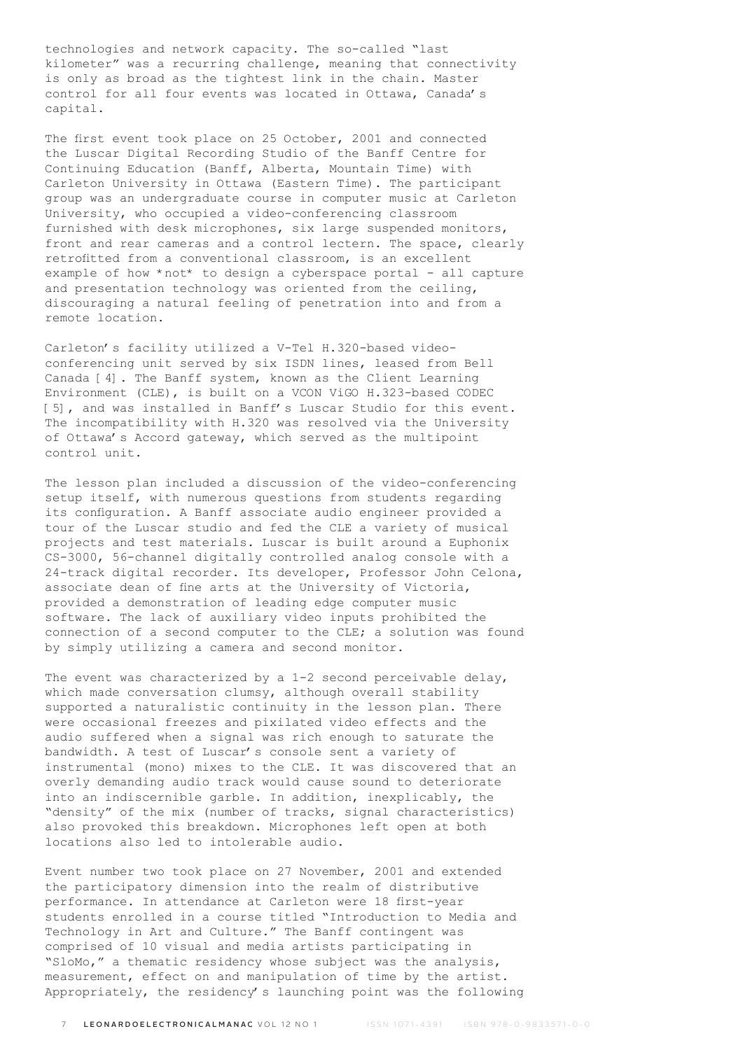technologies and network capacity. The so-called "last kilometer" was a recurring challenge, meaning that connectivity is only as broad as the tightest link in the chain. Master control for all four events was located in Ottawa, Canada's capital.

The first event took place on 25 October, 2001 and connected the Luscar Digital Recording Studio of the Banff Centre for Continuing Education (Banff, Alberta, Mountain Time) with Carleton University in Ottawa (Eastern Time). The participant group was an undergraduate course in computer music at Carleton University, who occupied a video-conferencing classroom furnished with desk microphones, six large suspended monitors, front and rear cameras and a control lectern. The space, clearly retrofitted from a conventional classroom, is an excellent example of how \*not\* to design a cyberspace portal - all capture and presentation technology was oriented from the ceiling, discouraging a natural feeling of penetration into and from a remote location.

Carleton's facility utilized a V-Tel H.320-based videoconferencing unit served by six ISDN lines, leased from Bell Canada [4]. The Banff system, known as the Client Learning Environment (CLE), is built on a VCON ViGO H.323-based CODEC [5], and was installed in Banff's Luscar Studio for this event. The incompatibility with H.320 was resolved via the University of Ottawa's Accord gateway, which served as the multipoint control unit.

The lesson plan included a discussion of the video-conferencing setup itself, with numerous questions from students regarding its configuration. A Banff associate audio engineer provided a tour of the Luscar studio and fed the CLE a variety of musical projects and test materials. Luscar is built around a Euphonix CS-3000, 56-channel digitally controlled analog console with a 24-track digital recorder. Its developer, Professor John Celona, associate dean of fine arts at the University of Victoria, provided a demonstration of leading edge computer music software. The lack of auxiliary video inputs prohibited the connection of a second computer to the CLE; a solution was found by simply utilizing a camera and second monitor.

The event was characterized by a 1-2 second perceivable delay, which made conversation clumsy, although overall stability supported a naturalistic continuity in the lesson plan. There were occasional freezes and pixilated video effects and the audio suffered when a signal was rich enough to saturate the bandwidth. A test of Luscar's console sent a variety of instrumental (mono) mixes to the CLE. It was discovered that an overly demanding audio track would cause sound to deteriorate into an indiscernible garble. In addition, inexplicably, the "density" of the mix (number of tracks, signal characteristics) also provoked this breakdown. Microphones left open at both locations also led to intolerable audio.

Event number two took place on 27 November, 2001 and extended the participatory dimension into the realm of distributive performance. In attendance at Carleton were 18 first-year students enrolled in a course titled "Introduction to Media and Technology in Art and Culture." The Banff contingent was comprised of 10 visual and media artists participating in "SloMo," a thematic residency whose subject was the analysis, measurement, effect on and manipulation of time by the artist. Appropriately, the residency's launching point was the following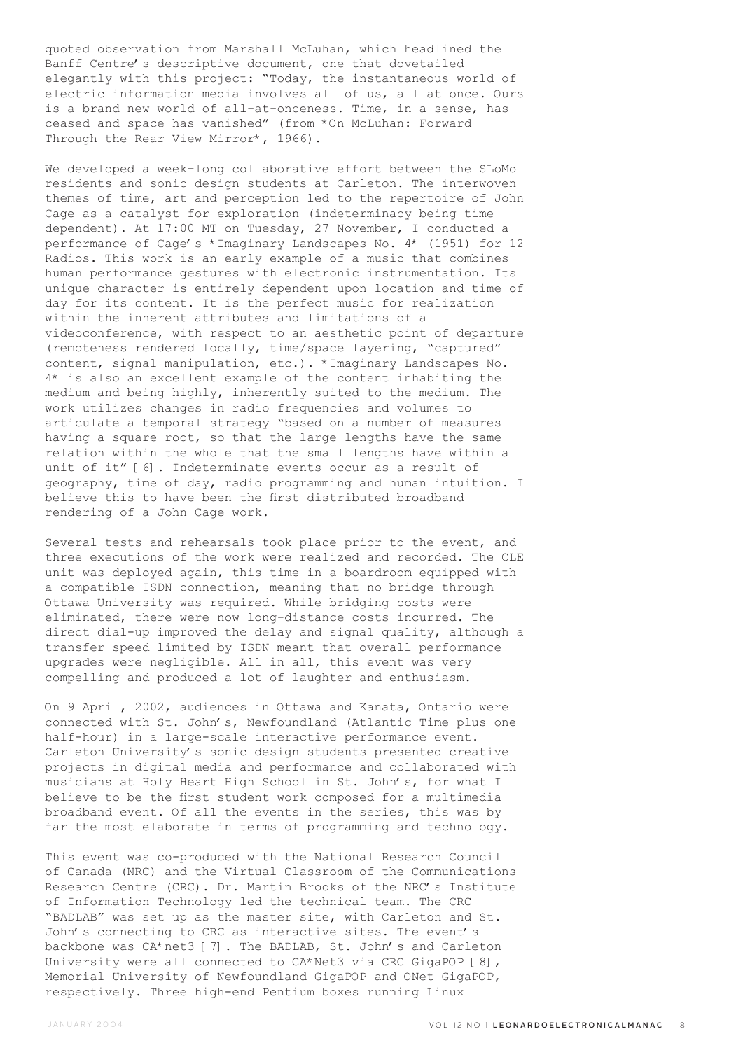quoted observation from Marshall McLuhan, which headlined the Banff Centre's descriptive document, one that dovetailed elegantly with this project: "Today, the instantaneous world of electric information media involves all of us, all at once. Ours is a brand new world of all-at-onceness. Time, in a sense, has ceased and space has vanished" (from \*On McLuhan: Forward Through the Rear View Mirror\*, 1966).

We developed a week-long collaborative effort between the SLoMo residents and sonic design students at Carleton. The interwoven themes of time, art and perception led to the repertoire of John Cage as a catalyst for exploration (indeterminacy being time dependent). At 17:00 MT on Tuesday, 27 November, I conducted a performance of Cage's \*Imaginary Landscapes No. 4\* (1951) for 12 Radios. This work is an early example of a music that combines human performance gestures with electronic instrumentation. Its unique character is entirely dependent upon location and time of day for its content. It is the perfect music for realization within the inherent attributes and limitations of a videoconference, with respect to an aesthetic point of departure (remoteness rendered locally, time/space layering, "captured" content, signal manipulation, etc.). \*Imaginary Landscapes No. 4\* is also an excellent example of the content inhabiting the medium and being highly, inherently suited to the medium. The work utilizes changes in radio frequencies and volumes to articulate a temporal strategy "based on a number of measures having a square root, so that the large lengths have the same relation within the whole that the small lengths have within a unit of it" [6]. Indeterminate events occur as a result of geography, time of day, radio programming and human intuition. I believe this to have been the first distributed broadband rendering of a John Cage work.

Several tests and rehearsals took place prior to the event, and three executions of the work were realized and recorded. The CLE unit was deployed again, this time in a boardroom equipped with a compatible ISDN connection, meaning that no bridge through Ottawa University was required. While bridging costs were eliminated, there were now long-distance costs incurred. The direct dial-up improved the delay and signal quality, although a transfer speed limited by ISDN meant that overall performance upgrades were negligible. All in all, this event was very compelling and produced a lot of laughter and enthusiasm.

On 9 April, 2002, audiences in Ottawa and Kanata, Ontario were connected with St. John's, Newfoundland (Atlantic Time plus one half-hour) in a large-scale interactive performance event. Carleton University's sonic design students presented creative projects in digital media and performance and collaborated with musicians at Holy Heart High School in St. John's, for what I believe to be the first student work composed for a multimedia broadband event. Of all the events in the series, this was by far the most elaborate in terms of programming and technology.

This event was co-produced with the National Research Council of Canada (NRC) and the Virtual Classroom of the Communications Research Centre (CRC). Dr. Martin Brooks of the NRC's Institute of Information Technology led the technical team. The CRC "BADLAB" was set up as the master site, with Carleton and St. John's connecting to CRC as interactive sites. The event's backbone was CA\*net3 [7]. The BADLAB, St. John's and Carleton University were all connected to CA\*Net3 via CRC GigaPOP [8], Memorial University of Newfoundland GigaPOP and ONet GigaPOP, respectively. Three high-end Pentium boxes running Linux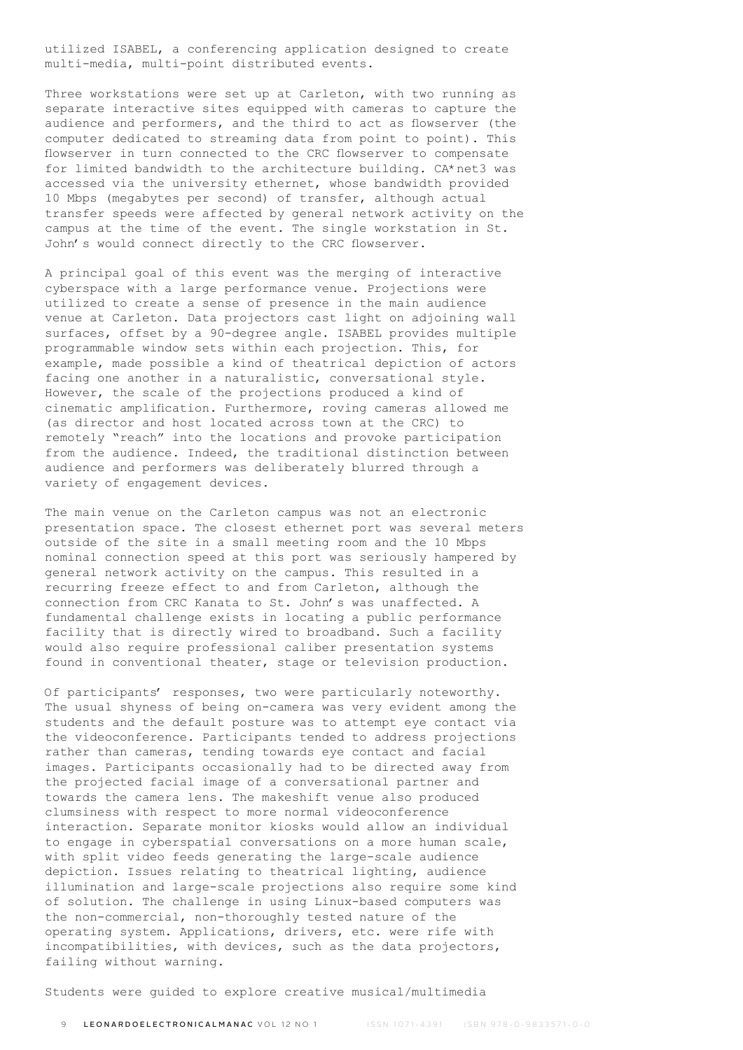utilized ISABEL, a conferencing application designed to create multi-media, multi-point distributed events.

Three workstations were set up at Carleton, with two running as separate interactive sites equipped with cameras to capture the audience and performers, and the third to act as flowserver (the computer dedicated to streaming data from point to point). This flowserver in turn connected to the CRC flowserver to compensate for limited bandwidth to the architecture building. CA\*net3 was accessed via the university ethernet, whose bandwidth provided 10 Mbps (megabytes per second) of transfer, although actual transfer speeds were affected by general network activity on the campus at the time of the event. The single workstation in St. John's would connect directly to the CRC flowserver.

A principal goal of this event was the merging of interactive cyberspace with a large performance venue. Projections were utilized to create a sense of presence in the main audience venue at Carleton. Data projectors cast light on adjoining wall surfaces, offset by a 90-degree angle. ISABEL provides multiple programmable window sets within each projection. This, for example, made possible a kind of theatrical depiction of actors facing one another in a naturalistic, conversational style. However, the scale of the projections produced a kind of cinematic amplification. Furthermore, roving cameras allowed me (as director and host located across town at the CRC) to remotely "reach" into the locations and provoke participation from the audience. Indeed, the traditional distinction between audience and performers was deliberately blurred through a variety of engagement devices.

The main venue on the Carleton campus was not an electronic presentation space. The closest ethernet port was several meters outside of the site in a small meeting room and the 10 Mbps nominal connection speed at this port was seriously hampered by general network activity on the campus. This resulted in a recurring freeze effect to and from Carleton, although the connection from CRC Kanata to St. John's was unaffected. A fundamental challenge exists in locating a public performance facility that is directly wired to broadband. Such a facility would also require professional caliber presentation systems found in conventional theater, stage or television production.

Of participants' responses, two were particularly noteworthy. The usual shyness of being on-camera was very evident among the students and the default posture was to attempt eye contact via the videoconference. Participants tended to address projections rather than cameras, tending towards eye contact and facial images. Participants occasionally had to be directed away from the projected facial image of a conversational partner and towards the camera lens. The makeshift venue also produced clumsiness with respect to more normal videoconference interaction. Separate monitor kiosks would allow an individual to engage in cyberspatial conversations on a more human scale, with split video feeds generating the large-scale audience depiction. Issues relating to theatrical lighting, audience illumination and large-scale projections also require some kind of solution. The challenge in using Linux-based computers was the non-commercial, non-thoroughly tested nature of the operating system. Applications, drivers, etc. were rife with incompatibilities, with devices, such as the data projectors, failing without warning.

Students were guided to explore creative musical/multimedia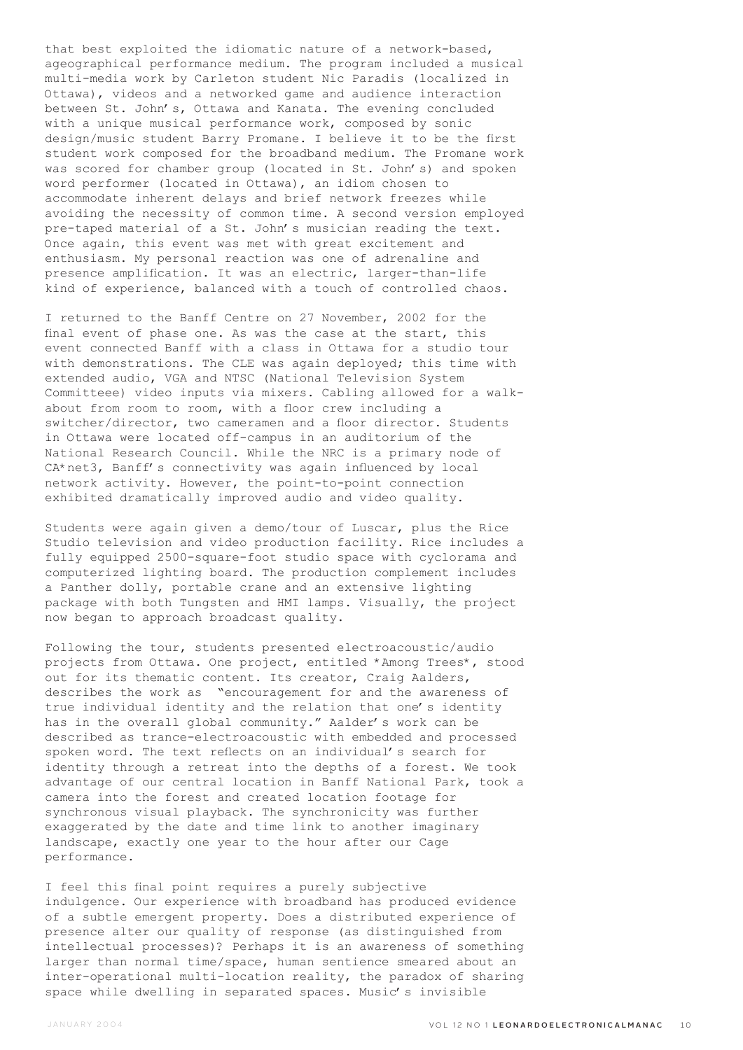that best exploited the idiomatic nature of a network-based, ageographical performance medium. The program included a musical multi-media work by Carleton student Nic Paradis (localized in Ottawa), videos and a networked game and audience interaction between St. John's, Ottawa and Kanata. The evening concluded with a unique musical performance work, composed by sonic design/music student Barry Promane. I believe it to be the first student work composed for the broadband medium. The Promane work was scored for chamber group (located in St. John's) and spoken word performer (located in Ottawa), an idiom chosen to accommodate inherent delays and brief network freezes while avoiding the necessity of common time. A second version employed pre-taped material of a St. John's musician reading the text. Once again, this event was met with great excitement and enthusiasm. My personal reaction was one of adrenaline and presence amplification. It was an electric, larger-than-life kind of experience, balanced with a touch of controlled chaos.

I returned to the Banff Centre on 27 November, 2002 for the final event of phase one. As was the case at the start, this event connected Banff with a class in Ottawa for a studio tour with demonstrations. The CLE was again deployed; this time with extended audio, VGA and NTSC (National Television System Committeee) video inputs via mixers. Cabling allowed for a walkabout from room to room, with a floor crew including a switcher/director, two cameramen and a floor director. Students in Ottawa were located off-campus in an auditorium of the National Research Council. While the NRC is a primary node of CA\*net3, Banff's connectivity was again influenced by local network activity. However, the point-to-point connection exhibited dramatically improved audio and video quality.

Students were again given a demo/tour of Luscar, plus the Rice Studio television and video production facility. Rice includes a fully equipped 2500-square-foot studio space with cyclorama and computerized lighting board. The production complement includes a Panther dolly, portable crane and an extensive lighting package with both Tungsten and HMI lamps. Visually, the project now began to approach broadcast quality.

Following the tour, students presented electroacoustic/audio projects from Ottawa. One project, entitled \*Among Trees\*, stood out for its thematic content. Its creator, Craig Aalders, describes the work as "encouragement for and the awareness of true individual identity and the relation that one's identity has in the overall global community." Aalder's work can be described as trance-electroacoustic with embedded and processed spoken word. The text reflects on an individual's search for identity through a retreat into the depths of a forest. We took advantage of our central location in Banff National Park, took a camera into the forest and created location footage for synchronous visual playback. The synchronicity was further exaggerated by the date and time link to another imaginary landscape, exactly one year to the hour after our Cage performance.

I feel this final point requires a purely subjective indulgence. Our experience with broadband has produced evidence of a subtle emergent property. Does a distributed experience of presence alter our quality of response (as distinguished from intellectual processes)? Perhaps it is an awareness of something larger than normal time/space, human sentience smeared about an inter-operational multi-location reality, the paradox of sharing space while dwelling in separated spaces. Music's invisible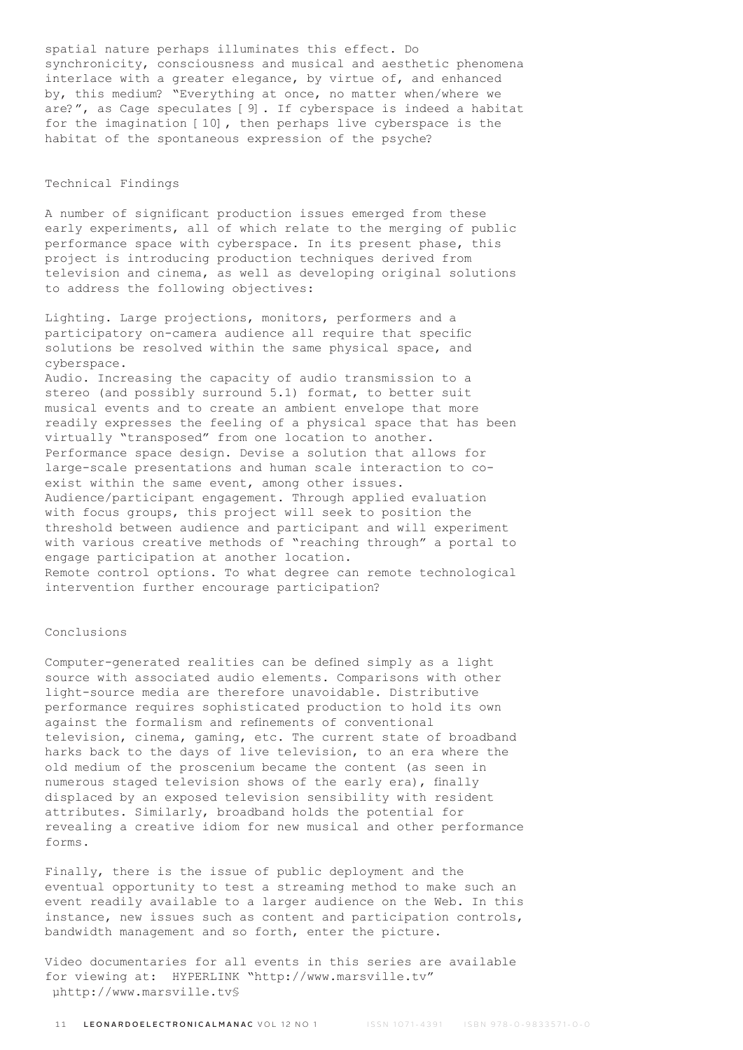spatial nature perhaps illuminates this effect. Do synchronicity, consciousness and musical and aesthetic phenomena interlace with a greater elegance, by virtue of, and enhanced by, this medium? "Everything at once, no matter when/where we are?", as Cage speculates [9]. If cyberspace is indeed a habitat for the imagination [10], then perhaps live cyberspace is the habitat of the spontaneous expression of the psyche?

## Technical Findings

A number of significant production issues emerged from these early experiments, all of which relate to the merging of public performance space with cyberspace. In its present phase, this project is introducing production techniques derived from television and cinema, as well as developing original solutions to address the following objectives:

Lighting. Large projections, monitors, performers and a participatory on-camera audience all require that specific solutions be resolved within the same physical space, and cyberspace.

Audio. Increasing the capacity of audio transmission to a stereo (and possibly surround 5.1) format, to better suit musical events and to create an ambient envelope that more readily expresses the feeling of a physical space that has been virtually "transposed" from one location to another. Performance space design. Devise a solution that allows for large-scale presentations and human scale interaction to coexist within the same event, among other issues. Audience/participant engagement. Through applied evaluation with focus groups, this project will seek to position the threshold between audience and participant and will experiment with various creative methods of "reaching through" a portal to engage participation at another location. Remote control options. To what degree can remote technological intervention further encourage participation?

## Conclusions

Computer-generated realities can be defined simply as a light source with associated audio elements. Comparisons with other light-source media are therefore unavoidable. Distributive performance requires sophisticated production to hold its own against the formalism and refinements of conventional television, cinema, gaming, etc. The current state of broadband harks back to the days of live television, to an era where the old medium of the proscenium became the content (as seen in numerous staged television shows of the early era), finally displaced by an exposed television sensibility with resident attributes. Similarly, broadband holds the potential for revealing a creative idiom for new musical and other performance forms.

Finally, there is the issue of public deployment and the eventual opportunity to test a streaming method to make such an event readily available to a larger audience on the Web. In this instance, new issues such as content and participation controls, bandwidth management and so forth, enter the picture.

Video documentaries for all events in this series are available for viewing at: HYPERLINK "http://www.marsville.tv" µhttp://www.marsville.tv§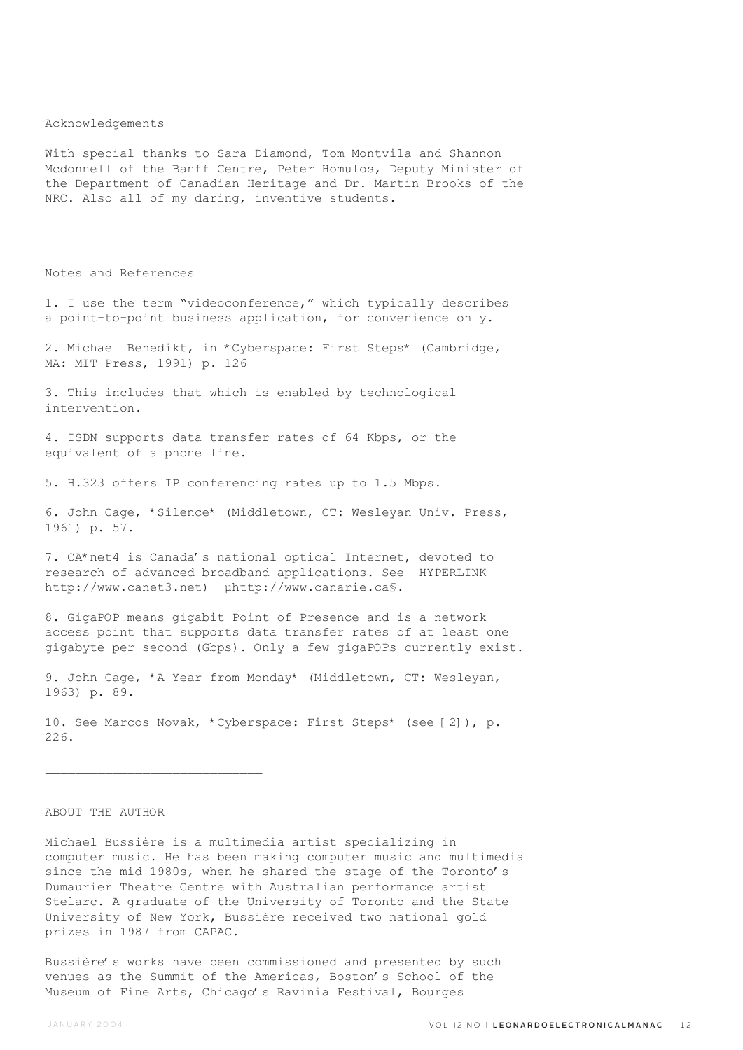# Acknowledgements

 $\overline{\phantom{a}}$  , where  $\overline{\phantom{a}}$  , where  $\overline{\phantom{a}}$  ,  $\overline{\phantom{a}}$  ,  $\overline{\phantom{a}}$  ,  $\overline{\phantom{a}}$  ,  $\overline{\phantom{a}}$  ,  $\overline{\phantom{a}}$  ,  $\overline{\phantom{a}}$  ,  $\overline{\phantom{a}}$  ,  $\overline{\phantom{a}}$  ,  $\overline{\phantom{a}}$  ,  $\overline{\phantom{a}}$  ,  $\overline{\phantom{a}}$  ,  $\overline{\phantom{a}}$  ,

 $\mathcal{L}_\text{max}$ 

With special thanks to Sara Diamond, Tom Montvila and Shannon Mcdonnell of the Banff Centre, Peter Homulos, Deputy Minister of the Department of Canadian Heritage and Dr. Martin Brooks of the NRC. Also all of my daring, inventive students.

Notes and References

1. I use the term "videoconference," which typically describes a point-to-point business application, for convenience only.

2. Michael Benedikt, in \*Cyberspace: First Steps\* (Cambridge, MA: MIT Press, 1991) p. 126

3. This includes that which is enabled by technological intervention.

4. ISDN supports data transfer rates of 64 Kbps, or the equivalent of a phone line.

5. H.323 offers IP conferencing rates up to 1.5 Mbps.

6. John Cage, \*Silence\* (Middletown, CT: Wesleyan Univ. Press, 1961) p. 57.

7. CA\*net4 is Canada's national optical Internet, devoted to research of advanced broadband applications. See HYPERLINK http://www.canet3.net) µhttp://www.canarie.ca§.

8. GigaPOP means gigabit Point of Presence and is a network access point that supports data transfer rates of at least one gigabyte per second (Gbps). Only a few gigaPOPs currently exist.

9. John Cage, \*A Year from Monday\* (Middletown, CT: Wesleyan, 1963) p. 89.

10. See Marcos Novak, \*Cyberspace: First Steps\* (see [2]), p. 226.

## ABOUT THE AUTHOR

Michael Bussière is a multimedia artist specializing in computer music. He has been making computer music and multimedia since the mid 1980s, when he shared the stage of the Toronto's Dumaurier Theatre Centre with Australian performance artist Stelarc. A graduate of the University of Toronto and the State University of New York, Bussière received two national gold prizes in 1987 from CAPAC.

Bussière's works have been commissioned and presented by such venues as the Summit of the Americas, Boston's School of the Museum of Fine Arts, Chicago's Ravinia Festival, Bourges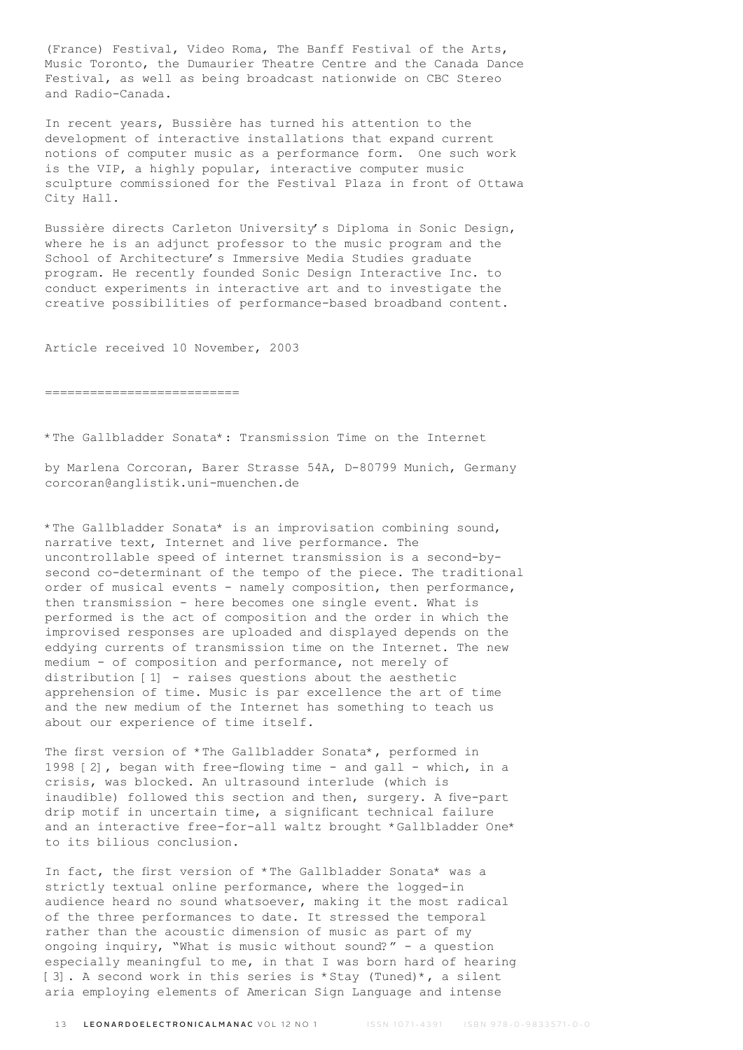(France) Festival, Video Roma, The Banff Festival of the Arts, Music Toronto, the Dumaurier Theatre Centre and the Canada Dance Festival, as well as being broadcast nationwide on CBC Stereo and Radio-Canada.

In recent years, Bussière has turned his attention to the development of interactive installations that expand current notions of computer music as a performance form. One such work is the VIP, a highly popular, interactive computer music sculpture commissioned for the Festival Plaza in front of Ottawa City Hall.

Bussière directs Carleton University's Diploma in Sonic Design, where he is an adjunct professor to the music program and the School of Architecture's Immersive Media Studies graduate program. He recently founded Sonic Design Interactive Inc. to conduct experiments in interactive art and to investigate the creative possibilities of performance-based broadband content.

Article received 10 November, 2003

==========================

\*The Gallbladder Sonata\*: Transmission Time on the Internet

by Marlena Corcoran, Barer Strasse 54A, D-80799 Munich, Germany corcoran@anglistik.uni-muenchen.de

\*The Gallbladder Sonata\* is an improvisation combining sound, narrative text, Internet and live performance. The uncontrollable speed of internet transmission is a second-bysecond co-determinant of the tempo of the piece. The traditional order of musical events - namely composition, then performance, then transmission - here becomes one single event. What is performed is the act of composition and the order in which the improvised responses are uploaded and displayed depends on the eddying currents of transmission time on the Internet. The new medium - of composition and performance, not merely of distribution [1] - raises questions about the aesthetic apprehension of time. Music is par excellence the art of time and the new medium of the Internet has something to teach us about our experience of time itself.

The first version of \*The Gallbladder Sonata\*, performed in 1998 [2], began with free-flowing time - and gall - which, in a crisis, was blocked. An ultrasound interlude (which is inaudible) followed this section and then, surgery. A five-part drip motif in uncertain time, a significant technical failure and an interactive free-for-all waltz brought \*Gallbladder One\* to its bilious conclusion.

In fact, the first version of \*The Gallbladder Sonata\* was a strictly textual online performance, where the logged-in audience heard no sound whatsoever, making it the most radical of the three performances to date. It stressed the temporal rather than the acoustic dimension of music as part of my ongoing inquiry, "What is music without sound?" - a question especially meaningful to me, in that I was born hard of hearing [3]. A second work in this series is \*Stay (Tuned)\*, a silent aria employing elements of American Sign Language and intense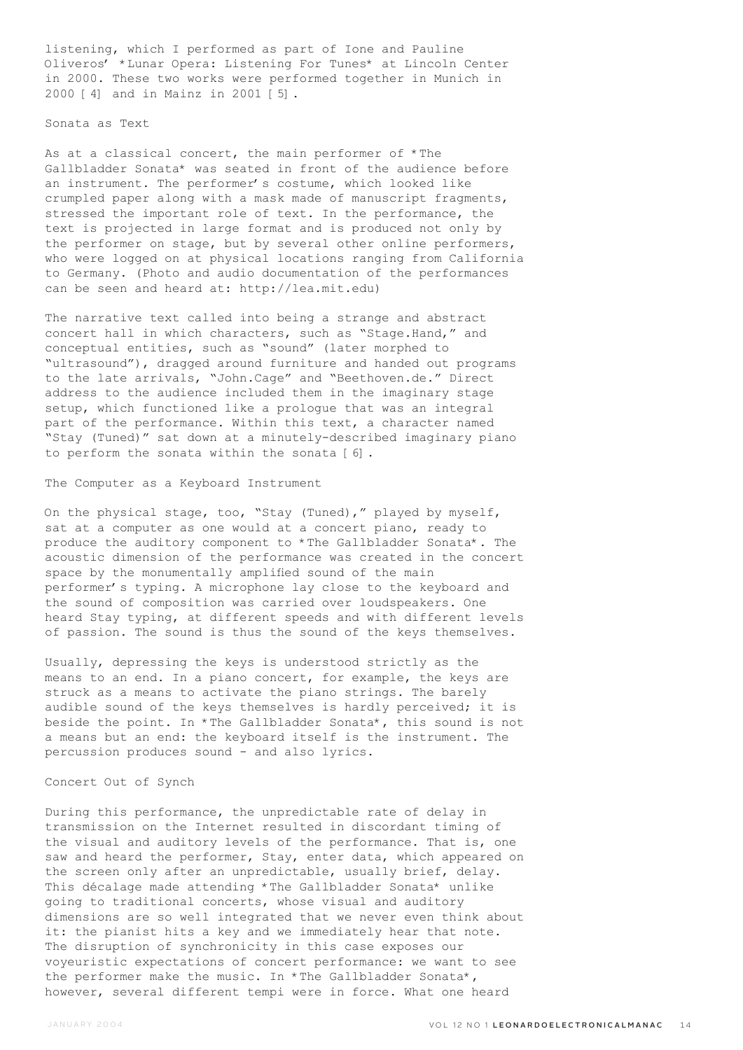listening, which I performed as part of Ione and Pauline Oliveros' \*Lunar Opera: Listening For Tunes\* at Lincoln Center in 2000. These two works were performed together in Munich in 2000 [4] and in Mainz in 2001 [5].

## Sonata as Text

As at a classical concert, the main performer of \*The Gallbladder Sonata\* was seated in front of the audience before an instrument. The performer's costume, which looked like crumpled paper along with a mask made of manuscript fragments, stressed the important role of text. In the performance, the text is projected in large format and is produced not only by the performer on stage, but by several other online performers, who were logged on at physical locations ranging from California to Germany. (Photo and audio documentation of the performances can be seen and heard at: http://lea.mit.edu)

The narrative text called into being a strange and abstract concert hall in which characters, such as "Stage.Hand," and conceptual entities, such as "sound" (later morphed to "ultrasound"), dragged around furniture and handed out programs to the late arrivals, "John.Cage" and "Beethoven.de." Direct address to the audience included them in the imaginary stage setup, which functioned like a prologue that was an integral part of the performance. Within this text, a character named "Stay (Tuned)" sat down at a minutely-described imaginary piano to perform the sonata within the sonata [6].

## The Computer as a Keyboard Instrument

On the physical stage, too, "Stay (Tuned)," played by myself, sat at a computer as one would at a concert piano, ready to produce the auditory component to \*The Gallbladder Sonata\*. The acoustic dimension of the performance was created in the concert space by the monumentally amplified sound of the main performer's typing. A microphone lay close to the keyboard and the sound of composition was carried over loudspeakers. One heard Stay typing, at different speeds and with different levels of passion. The sound is thus the sound of the keys themselves.

Usually, depressing the keys is understood strictly as the means to an end. In a piano concert, for example, the keys are struck as a means to activate the piano strings. The barely audible sound of the keys themselves is hardly perceived; it is beside the point. In \*The Gallbladder Sonata\*, this sound is not a means but an end: the keyboard itself is the instrument. The percussion produces sound - and also lyrics.

## Concert Out of Synch

During this performance, the unpredictable rate of delay in transmission on the Internet resulted in discordant timing of the visual and auditory levels of the performance. That is, one saw and heard the performer, Stay, enter data, which appeared on the screen only after an unpredictable, usually brief, delay. This décalage made attending \*The Gallbladder Sonata\* unlike going to traditional concerts, whose visual and auditory dimensions are so well integrated that we never even think about it: the pianist hits a key and we immediately hear that note. The disruption of synchronicity in this case exposes our voyeuristic expectations of concert performance: we want to see the performer make the music. In \*The Gallbladder Sonata\*, however, several different tempi were in force. What one heard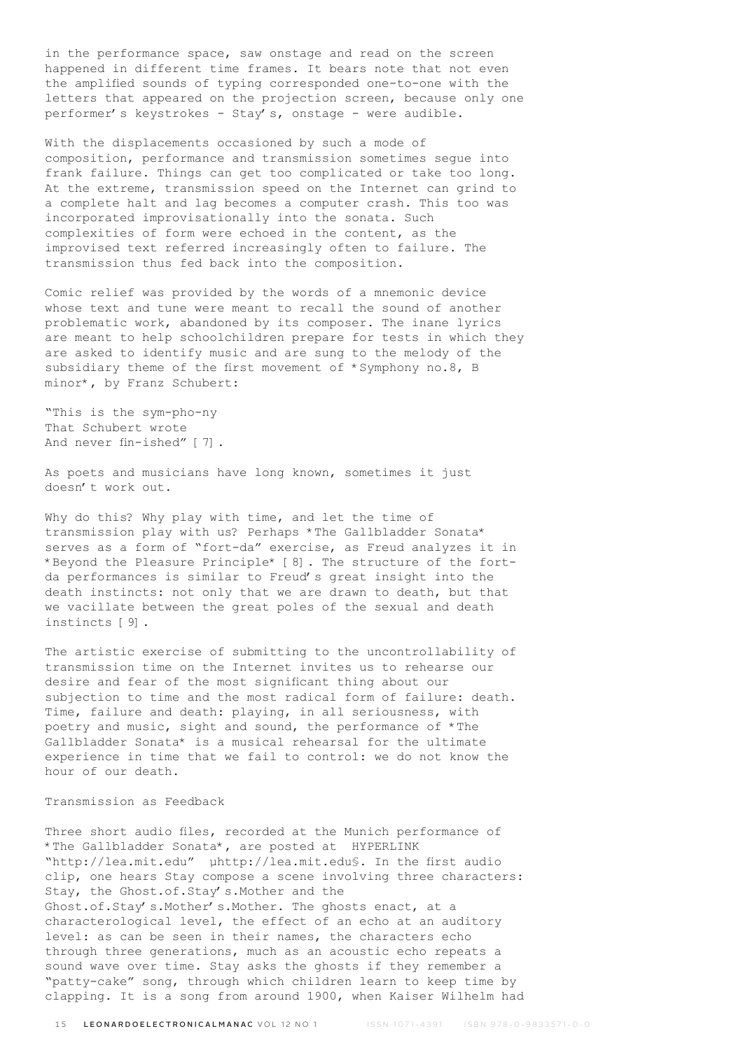in the performance space, saw onstage and read on the screen happened in different time frames. It bears note that not even the amplified sounds of typing corresponded one-to-one with the letters that appeared on the projection screen, because only one performer's keystrokes - Stay's, onstage - were audible.

With the displacements occasioned by such a mode of composition, performance and transmission sometimes segue into frank failure. Things can get too complicated or take too long. At the extreme, transmission speed on the Internet can grind to a complete halt and lag becomes a computer crash. This too was incorporated improvisationally into the sonata. Such complexities of form were echoed in the content, as the improvised text referred increasingly often to failure. The transmission thus fed back into the composition.

Comic relief was provided by the words of a mnemonic device whose text and tune were meant to recall the sound of another problematic work, abandoned by its composer. The inane lyrics are meant to help schoolchildren prepare for tests in which they are asked to identify music and are sung to the melody of the subsidiary theme of the first movement of \*Symphony no.8, B minor\*, by Franz Schubert:

"This is the sym-pho-ny That Schubert wrote And never fin-ished" [7].

As poets and musicians have long known, sometimes it just doesn't work out.

Why do this? Why play with time, and let the time of transmission play with us? Perhaps \*The Gallbladder Sonata\* serves as a form of "fort-da" exercise, as Freud analyzes it in \*Beyond the Pleasure Principle\* [8]. The structure of the fortda performances is similar to Freud's great insight into the death instincts: not only that we are drawn to death, but that we vacillate between the great poles of the sexual and death instincts [9].

The artistic exercise of submitting to the uncontrollability of transmission time on the Internet invites us to rehearse our desire and fear of the most significant thing about our subjection to time and the most radical form of failure: death. Time, failure and death: playing, in all seriousness, with poetry and music, sight and sound, the performance of \*The Gallbladder Sonata\* is a musical rehearsal for the ultimate experience in time that we fail to control: we do not know the hour of our death.

### Transmission as Feedback

Three short audio files, recorded at the Munich performance of \*The Gallbladder Sonata\*, are posted at HYPERLINK "http://lea.mit.edu" µhttp://lea.mit.edu§. In the first audio clip, one hears Stay compose a scene involving three characters: Stay, the Ghost.of.Stay's.Mother and the Ghost.of.Stay's.Mother's.Mother. The ghosts enact, at a characterological level, the effect of an echo at an auditory level: as can be seen in their names, the characters echo through three generations, much as an acoustic echo repeats a sound wave over time. Stay asks the ghosts if they remember a "patty-cake" song, through which children learn to keep time by clapping. It is a song from around 1900, when Kaiser Wilhelm had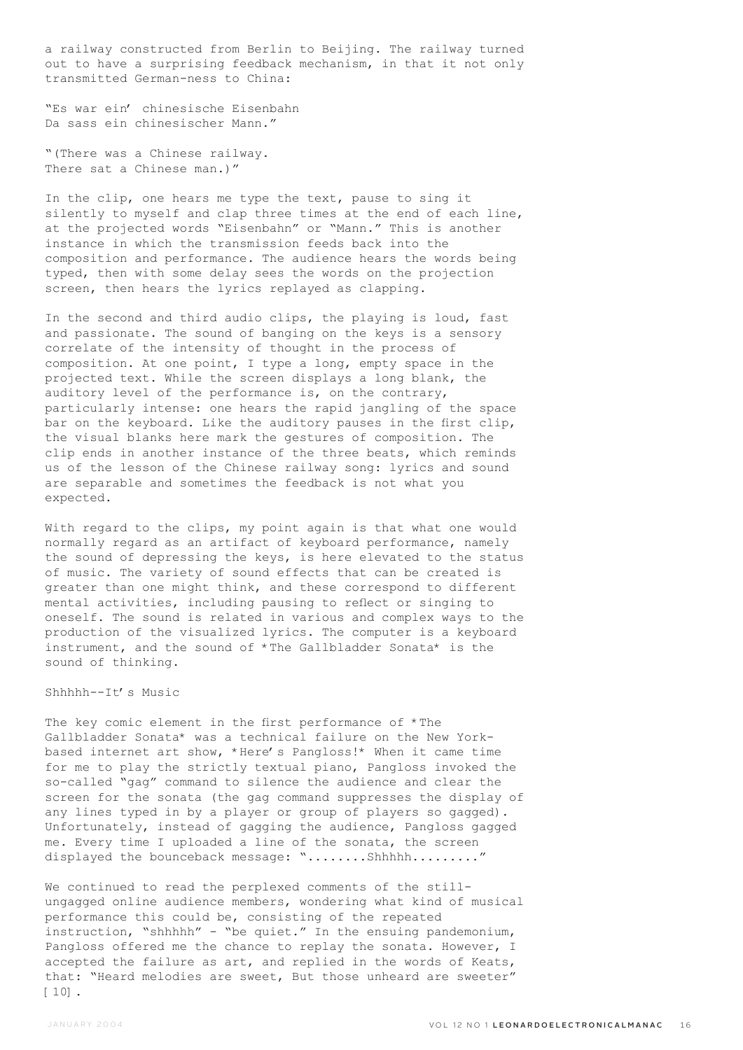a railway constructed from Berlin to Beijing. The railway turned out to have a surprising feedback mechanism, in that it not only transmitted German-ness to China:

"Es war ein' chinesische Eisenbahn Da sass ein chinesischer Mann."

"(There was a Chinese railway. There sat a Chinese man.)"

In the clip, one hears me type the text, pause to sing it silently to myself and clap three times at the end of each line, at the projected words "Eisenbahn" or "Mann." This is another instance in which the transmission feeds back into the composition and performance. The audience hears the words being typed, then with some delay sees the words on the projection screen, then hears the lyrics replayed as clapping.

In the second and third audio clips, the playing is loud, fast and passionate. The sound of banging on the keys is a sensory correlate of the intensity of thought in the process of composition. At one point, I type a long, empty space in the projected text. While the screen displays a long blank, the auditory level of the performance is, on the contrary, particularly intense: one hears the rapid jangling of the space bar on the keyboard. Like the auditory pauses in the first clip, the visual blanks here mark the gestures of composition. The clip ends in another instance of the three beats, which reminds us of the lesson of the Chinese railway song: lyrics and sound are separable and sometimes the feedback is not what you expected.

With regard to the clips, my point again is that what one would normally regard as an artifact of keyboard performance, namely the sound of depressing the keys, is here elevated to the status of music. The variety of sound effects that can be created is greater than one might think, and these correspond to different mental activities, including pausing to reflect or singing to oneself. The sound is related in various and complex ways to the production of the visualized lyrics. The computer is a keyboard instrument, and the sound of \*The Gallbladder Sonata\* is the sound of thinking.

Shhhhh--It's Music

The key comic element in the first performance of \*The Gallbladder Sonata\* was a technical failure on the New Yorkbased internet art show, \*Here's Pangloss!\* When it came time for me to play the strictly textual piano, Pangloss invoked the so-called "gag" command to silence the audience and clear the screen for the sonata (the gag command suppresses the display of any lines typed in by a player or group of players so gagged). Unfortunately, instead of gagging the audience, Pangloss gagged me. Every time I uploaded a line of the sonata, the screen displayed the bounceback message: "........Shhhhh........."

We continued to read the perplexed comments of the stillungagged online audience members, wondering what kind of musical performance this could be, consisting of the repeated instruction, "shhhhh" - "be quiet." In the ensuing pandemonium, Pangloss offered me the chance to replay the sonata. However, I accepted the failure as art, and replied in the words of Keats, that: "Heard melodies are sweet, But those unheard are sweeter" [10].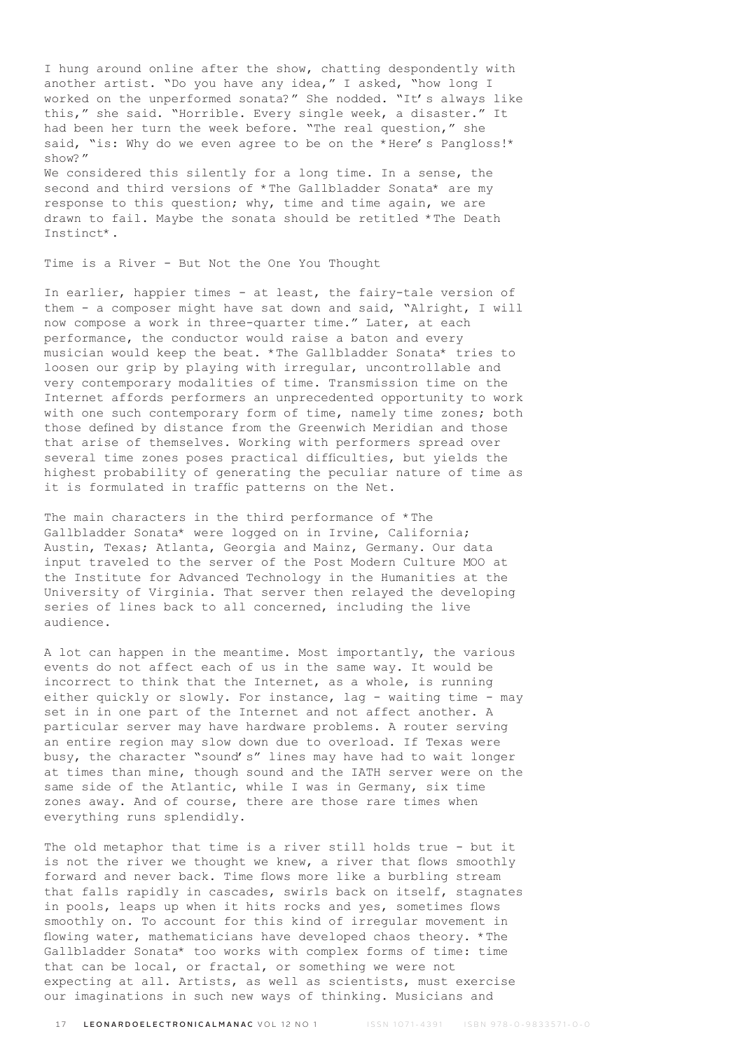I hung around online after the show, chatting despondently with another artist. "Do you have any idea," I asked, "how long I worked on the unperformed sonata?" She nodded. "It's always like this," she said. "Horrible. Every single week, a disaster." It had been her turn the week before. "The real question," she said, "is: Why do we even agree to be on the \*Here's Pangloss!\* show?"

We considered this silently for a long time. In a sense, the second and third versions of \*The Gallbladder Sonata\* are my response to this question; why, time and time again, we are drawn to fail. Maybe the sonata should be retitled \*The Death Instinct\*.

Time is a River - But Not the One You Thought

In earlier, happier times - at least, the fairy-tale version of them - a composer might have sat down and said, "Alright, I will now compose a work in three-quarter time." Later, at each performance, the conductor would raise a baton and every musician would keep the beat. \*The Gallbladder Sonata\* tries to loosen our grip by playing with irregular, uncontrollable and very contemporary modalities of time. Transmission time on the Internet affords performers an unprecedented opportunity to work with one such contemporary form of time, namely time zones; both those defined by distance from the Greenwich Meridian and those that arise of themselves. Working with performers spread over several time zones poses practical difficulties, but yields the highest probability of generating the peculiar nature of time as it is formulated in traffic patterns on the Net.

The main characters in the third performance of \*The Gallbladder Sonata\* were logged on in Irvine, California; Austin, Texas; Atlanta, Georgia and Mainz, Germany. Our data input traveled to the server of the Post Modern Culture MOO at the Institute for Advanced Technology in the Humanities at the University of Virginia. That server then relayed the developing series of lines back to all concerned, including the live audience.

A lot can happen in the meantime. Most importantly, the various events do not affect each of us in the same way. It would be incorrect to think that the Internet, as a whole, is running either quickly or slowly. For instance, lag - waiting time - may set in in one part of the Internet and not affect another. A particular server may have hardware problems. A router serving an entire region may slow down due to overload. If Texas were busy, the character "sound's" lines may have had to wait longer at times than mine, though sound and the IATH server were on the same side of the Atlantic, while I was in Germany, six time zones away. And of course, there are those rare times when everything runs splendidly.

The old metaphor that time is a river still holds true - but it is not the river we thought we knew, a river that flows smoothly forward and never back. Time flows more like a burbling stream that falls rapidly in cascades, swirls back on itself, stagnates in pools, leaps up when it hits rocks and yes, sometimes flows smoothly on. To account for this kind of irregular movement in flowing water, mathematicians have developed chaos theory. \*The Gallbladder Sonata\* too works with complex forms of time: time that can be local, or fractal, or something we were not expecting at all. Artists, as well as scientists, must exercise our imaginations in such new ways of thinking. Musicians and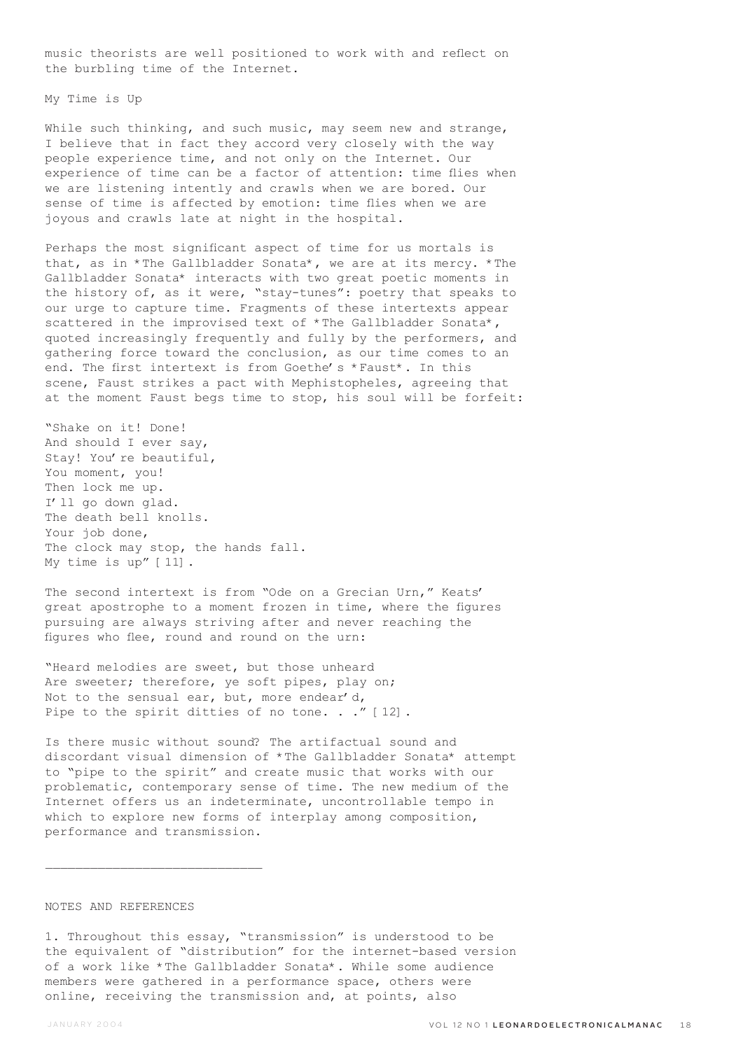music theorists are well positioned to work with and reflect on the burbling time of the Internet.

My Time is Up

While such thinking, and such music, may seem new and strange, I believe that in fact they accord very closely with the way people experience time, and not only on the Internet. Our experience of time can be a factor of attention: time flies when we are listening intently and crawls when we are bored. Our sense of time is affected by emotion: time flies when we are joyous and crawls late at night in the hospital.

Perhaps the most significant aspect of time for us mortals is that, as in \*The Gallbladder Sonata\*, we are at its mercy. \*The Gallbladder Sonata\* interacts with two great poetic moments in the history of, as it were, "stay-tunes": poetry that speaks to our urge to capture time. Fragments of these intertexts appear scattered in the improvised text of \*The Gallbladder Sonata\*, quoted increasingly frequently and fully by the performers, and gathering force toward the conclusion, as our time comes to an end. The first intertext is from Goethe's \*Faust\*. In this scene, Faust strikes a pact with Mephistopheles, agreeing that at the moment Faust begs time to stop, his soul will be forfeit:

"Shake on it! Done! And should I ever say, Stay! You're beautiful, You moment, you! Then lock me up. I'll go down glad. The death bell knolls. Your job done, The clock may stop, the hands fall. My time is up" [11].

The second intertext is from "Ode on a Grecian Urn," Keats' great apostrophe to a moment frozen in time, where the figures pursuing are always striving after and never reaching the figures who flee, round and round on the urn:

"Heard melodies are sweet, but those unheard Are sweeter; therefore, ye soft pipes, play on; Not to the sensual ear, but, more endear'd, Pipe to the spirit ditties of no tone. . ." [12].

Is there music without sound? The artifactual sound and discordant visual dimension of \*The Gallbladder Sonata\* attempt to "pipe to the spirit" and create music that works with our problematic, contemporary sense of time. The new medium of the Internet offers us an indeterminate, uncontrollable tempo in which to explore new forms of interplay among composition, performance and transmission.

#### NOTES AND REFERENCES

1. Throughout this essay, "transmission" is understood to be the equivalent of "distribution" for the internet-based version of a work like \*The Gallbladder Sonata\*. While some audience members were gathered in a performance space, others were online, receiving the transmission and, at points, also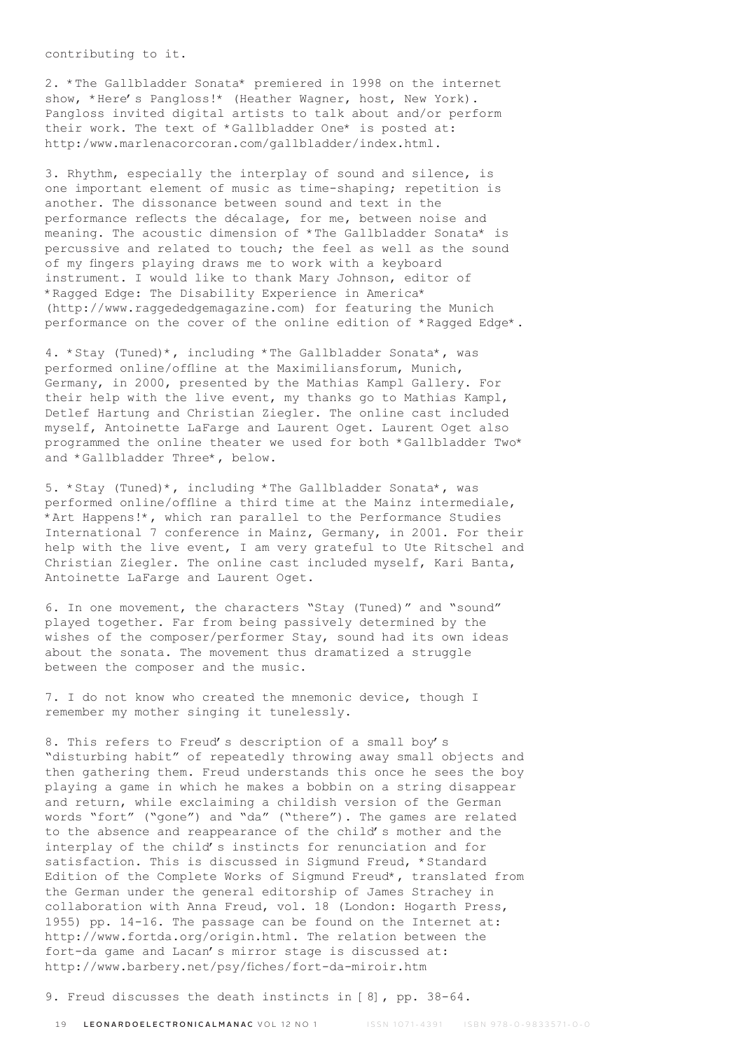contributing to it.

2. \*The Gallbladder Sonata\* premiered in 1998 on the internet show, \*Here's Pangloss!\* (Heather Wagner, host, New York). Pangloss invited digital artists to talk about and/or perform their work. The text of \*Gallbladder One\* is posted at: http:/www.marlenacorcoran.com/gallbladder/index.html.

3. Rhythm, especially the interplay of sound and silence, is one important element of music as time-shaping; repetition is another. The dissonance between sound and text in the performance reflects the décalage, for me, between noise and meaning. The acoustic dimension of \*The Gallbladder Sonata\* is percussive and related to touch; the feel as well as the sound of my fingers playing draws me to work with a keyboard instrument. I would like to thank Mary Johnson, editor of \*Ragged Edge: The Disability Experience in America\* (http://www.raggededgemagazine.com) for featuring the Munich performance on the cover of the online edition of \*Ragged Edge\*.

4. \*Stay (Tuned)\*, including \*The Gallbladder Sonata\*, was performed online/offline at the Maximiliansforum, Munich, Germany, in 2000, presented by the Mathias Kampl Gallery. For their help with the live event, my thanks go to Mathias Kampl, Detlef Hartung and Christian Ziegler. The online cast included myself, Antoinette LaFarge and Laurent Oget. Laurent Oget also programmed the online theater we used for both \*Gallbladder Two\* and \*Gallbladder Three\*, below.

5. \*Stay (Tuned)\*, including \*The Gallbladder Sonata\*, was performed online/offline a third time at the Mainz intermediale, \*Art Happens!\*, which ran parallel to the Performance Studies International 7 conference in Mainz, Germany, in 2001. For their help with the live event, I am very grateful to Ute Ritschel and Christian Ziegler. The online cast included myself, Kari Banta, Antoinette LaFarge and Laurent Oget.

6. In one movement, the characters "Stay (Tuned)" and "sound" played together. Far from being passively determined by the wishes of the composer/performer Stay, sound had its own ideas about the sonata. The movement thus dramatized a struggle between the composer and the music.

7. I do not know who created the mnemonic device, though I remember my mother singing it tunelessly.

8. This refers to Freud's description of a small boy's "disturbing habit" of repeatedly throwing away small objects and then gathering them. Freud understands this once he sees the boy playing a game in which he makes a bobbin on a string disappear and return, while exclaiming a childish version of the German words "fort" ("gone") and "da" ("there"). The games are related to the absence and reappearance of the child's mother and the interplay of the child's instincts for renunciation and for satisfaction. This is discussed in Sigmund Freud, \*Standard Edition of the Complete Works of Sigmund Freud\*, translated from the German under the general editorship of James Strachey in collaboration with Anna Freud, vol. 18 (London: Hogarth Press, 1955) pp. 14-16. The passage can be found on the Internet at: http://www.fortda.org/origin.html. The relation between the fort-da game and Lacan's mirror stage is discussed at: http://www.barbery.net/psy/fiches/fort-da-miroir.htm

9. Freud discusses the death instincts in [8], pp. 38-64.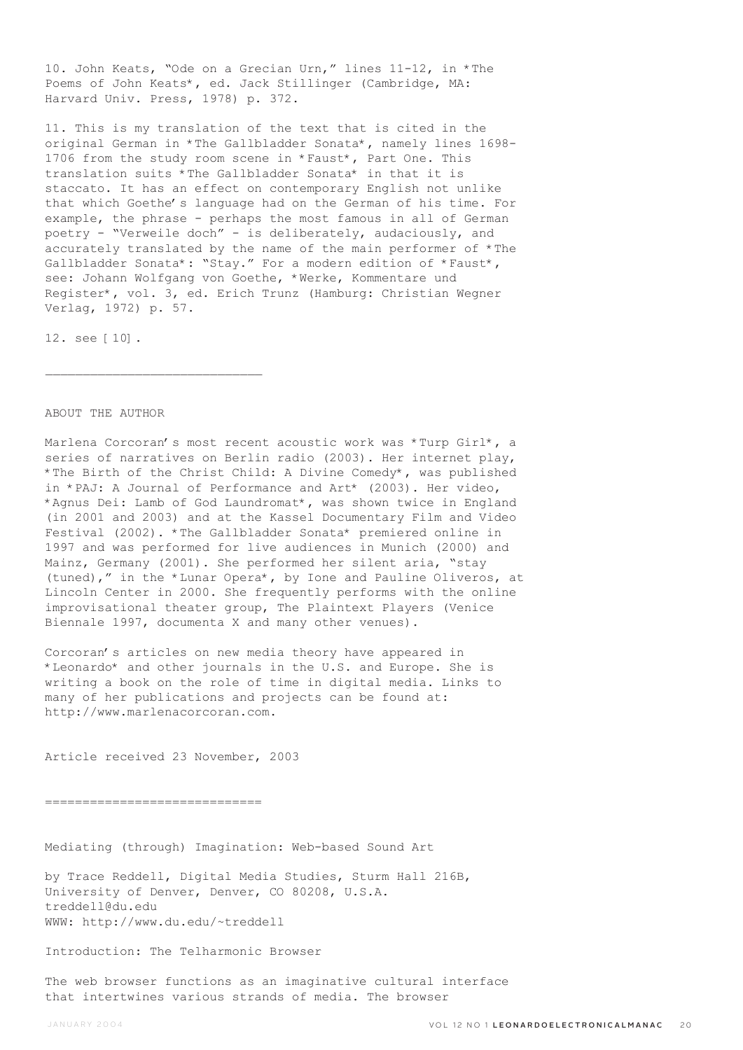10. John Keats, "Ode on a Grecian Urn," lines 11-12, in \*The Poems of John Keats\*, ed. Jack Stillinger (Cambridge, MA: Harvard Univ. Press, 1978) p. 372.

11. This is my translation of the text that is cited in the original German in \*The Gallbladder Sonata\*, namely lines 1698- 1706 from the study room scene in \*Faust\*, Part One. This translation suits \*The Gallbladder Sonata\* in that it is staccato. It has an effect on contemporary English not unlike that which Goethe's language had on the German of his time. For example, the phrase - perhaps the most famous in all of German poetry - "Verweile doch" - is deliberately, audaciously, and accurately translated by the name of the main performer of \*The Gallbladder Sonata\*: "Stay." For a modern edition of \*Faust\*, see: Johann Wolfgang von Goethe, \*Werke, Kommentare und Register\*, vol. 3, ed. Erich Trunz (Hamburg: Christian Wegner Verlag, 1972) p. 57.

12. see [10].

### ABOUT THE AUTHOR

Marlena Corcoran's most recent acoustic work was \*Turp Girl\*, a series of narratives on Berlin radio (2003). Her internet play, \*The Birth of the Christ Child: A Divine Comedy\*, was published in \*PAJ: A Journal of Performance and Art\* (2003). Her video, \*Agnus Dei: Lamb of God Laundromat\*, was shown twice in England (in 2001 and 2003) and at the Kassel Documentary Film and Video Festival (2002). \*The Gallbladder Sonata\* premiered online in 1997 and was performed for live audiences in Munich (2000) and Mainz, Germany (2001). She performed her silent aria, "stay (tuned)," in the \*Lunar Opera\*, by Ione and Pauline Oliveros, at Lincoln Center in 2000. She frequently performs with the online improvisational theater group, The Plaintext Players (Venice Biennale 1997, documenta X and many other venues).

Corcoran's articles on new media theory have appeared in \*Leonardo\* and other journals in the U.S. and Europe. She is writing a book on the role of time in digital media. Links to many of her publications and projects can be found at: http://www.marlenacorcoran.com.

Article received 23 November, 2003

=============================

Mediating (through) Imagination: Web-based Sound Art

by Trace Reddell, Digital Media Studies, Sturm Hall 216B, University of Denver, Denver, CO 80208, U.S.A. treddell@du.edu WWW: http://www.du.edu/~treddell

Introduction: The Telharmonic Browser

The web browser functions as an imaginative cultural interface that intertwines various strands of media. The browser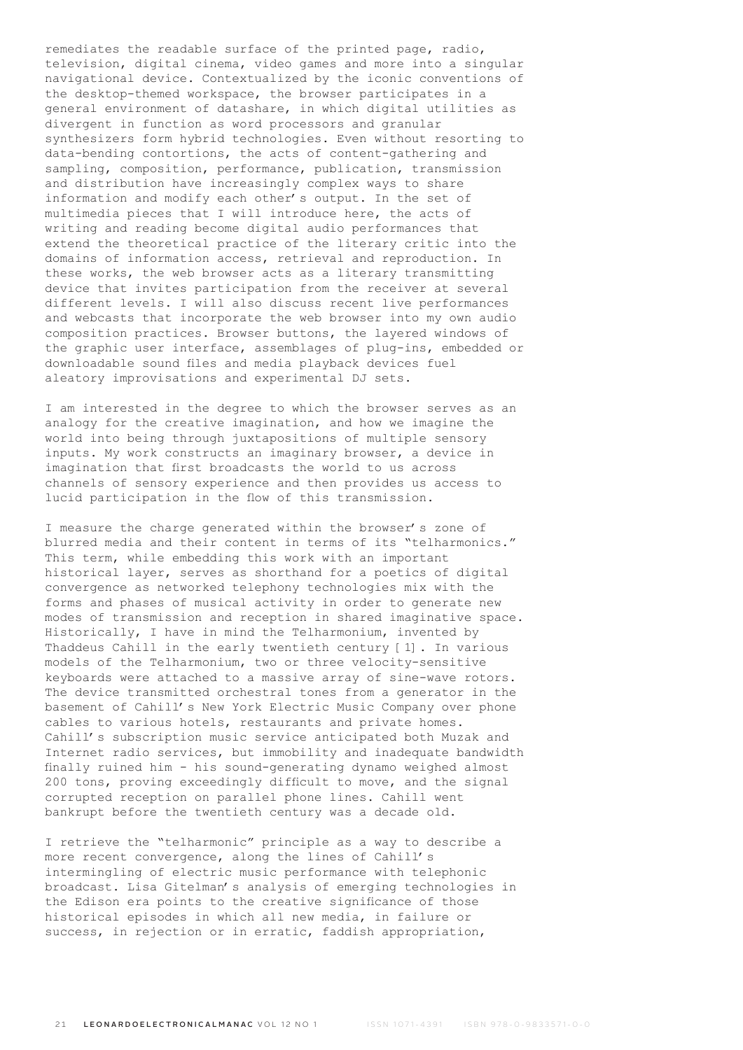remediates the readable surface of the printed page, radio, television, digital cinema, video games and more into a singular navigational device. Contextualized by the iconic conventions of the desktop-themed workspace, the browser participates in a general environment of datashare, in which digital utilities as divergent in function as word processors and granular synthesizers form hybrid technologies. Even without resorting to data-bending contortions, the acts of content-gathering and sampling, composition, performance, publication, transmission and distribution have increasingly complex ways to share information and modify each other's output. In the set of multimedia pieces that I will introduce here, the acts of writing and reading become digital audio performances that extend the theoretical practice of the literary critic into the domains of information access, retrieval and reproduction. In these works, the web browser acts as a literary transmitting device that invites participation from the receiver at several different levels. I will also discuss recent live performances and webcasts that incorporate the web browser into my own audio composition practices. Browser buttons, the layered windows of the graphic user interface, assemblages of plug-ins, embedded or downloadable sound files and media playback devices fuel aleatory improvisations and experimental DJ sets.

I am interested in the degree to which the browser serves as an analogy for the creative imagination, and how we imagine the world into being through juxtapositions of multiple sensory inputs. My work constructs an imaginary browser, a device in imagination that first broadcasts the world to us across channels of sensory experience and then provides us access to lucid participation in the flow of this transmission.

I measure the charge generated within the browser's zone of blurred media and their content in terms of its "telharmonics." This term, while embedding this work with an important historical layer, serves as shorthand for a poetics of digital convergence as networked telephony technologies mix with the forms and phases of musical activity in order to generate new modes of transmission and reception in shared imaginative space. Historically, I have in mind the Telharmonium, invented by Thaddeus Cahill in the early twentieth century [1]. In various models of the Telharmonium, two or three velocity-sensitive keyboards were attached to a massive array of sine-wave rotors. The device transmitted orchestral tones from a generator in the basement of Cahill's New York Electric Music Company over phone cables to various hotels, restaurants and private homes. Cahill's subscription music service anticipated both Muzak and Internet radio services, but immobility and inadequate bandwidth finally ruined him - his sound-generating dynamo weighed almost 200 tons, proving exceedingly difficult to move, and the signal corrupted reception on parallel phone lines. Cahill went bankrupt before the twentieth century was a decade old.

I retrieve the "telharmonic" principle as a way to describe a more recent convergence, along the lines of Cahill's intermingling of electric music performance with telephonic broadcast. Lisa Gitelman's analysis of emerging technologies in the Edison era points to the creative significance of those historical episodes in which all new media, in failure or success, in rejection or in erratic, faddish appropriation,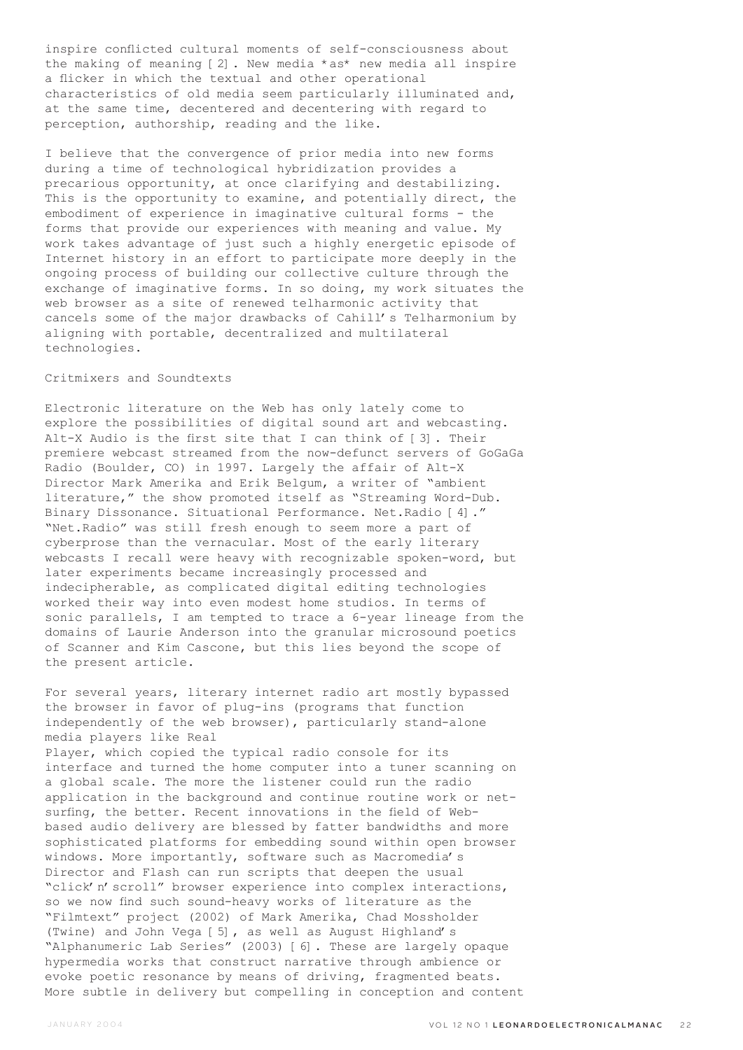inspire conflicted cultural moments of self-consciousness about the making of meaning [2]. New media \*as\* new media all inspire a flicker in which the textual and other operational characteristics of old media seem particularly illuminated and, at the same time, decentered and decentering with regard to perception, authorship, reading and the like.

I believe that the convergence of prior media into new forms during a time of technological hybridization provides a precarious opportunity, at once clarifying and destabilizing. This is the opportunity to examine, and potentially direct, the embodiment of experience in imaginative cultural forms - the forms that provide our experiences with meaning and value. My work takes advantage of just such a highly energetic episode of Internet history in an effort to participate more deeply in the ongoing process of building our collective culture through the exchange of imaginative forms. In so doing, my work situates the web browser as a site of renewed telharmonic activity that cancels some of the major drawbacks of Cahill's Telharmonium by aligning with portable, decentralized and multilateral technologies.

### Critmixers and Soundtexts

Electronic literature on the Web has only lately come to explore the possibilities of digital sound art and webcasting. Alt-X Audio is the first site that I can think of [3]. Their premiere webcast streamed from the now-defunct servers of GoGaGa Radio (Boulder, CO) in 1997. Largely the affair of Alt-X Director Mark Amerika and Erik Belgum, a writer of "ambient literature," the show promoted itself as "Streaming Word-Dub. Binary Dissonance. Situational Performance. Net.Radio [4]." "Net.Radio" was still fresh enough to seem more a part of cyberprose than the vernacular. Most of the early literary webcasts I recall were heavy with recognizable spoken-word, but later experiments became increasingly processed and indecipherable, as complicated digital editing technologies worked their way into even modest home studios. In terms of sonic parallels, I am tempted to trace a 6-year lineage from the domains of Laurie Anderson into the granular microsound poetics of Scanner and Kim Cascone, but this lies beyond the scope of the present article.

For several years, literary internet radio art mostly bypassed the browser in favor of plug-ins (programs that function independently of the web browser), particularly stand-alone media players like Real Player, which copied the typical radio console for its interface and turned the home computer into a tuner scanning on a global scale. The more the listener could run the radio application in the background and continue routine work or netsurfing, the better. Recent innovations in the field of Webbased audio delivery are blessed by fatter bandwidths and more sophisticated platforms for embedding sound within open browser windows. More importantly, software such as Macromedia's Director and Flash can run scripts that deepen the usual "click'n'scroll" browser experience into complex interactions, so we now find such sound-heavy works of literature as the "Filmtext" project (2002) of Mark Amerika, Chad Mossholder (Twine) and John Vega [5], as well as August Highland's "Alphanumeric Lab Series" (2003) [6]. These are largely opaque hypermedia works that construct narrative through ambience or evoke poetic resonance by means of driving, fragmented beats. More subtle in delivery but compelling in conception and content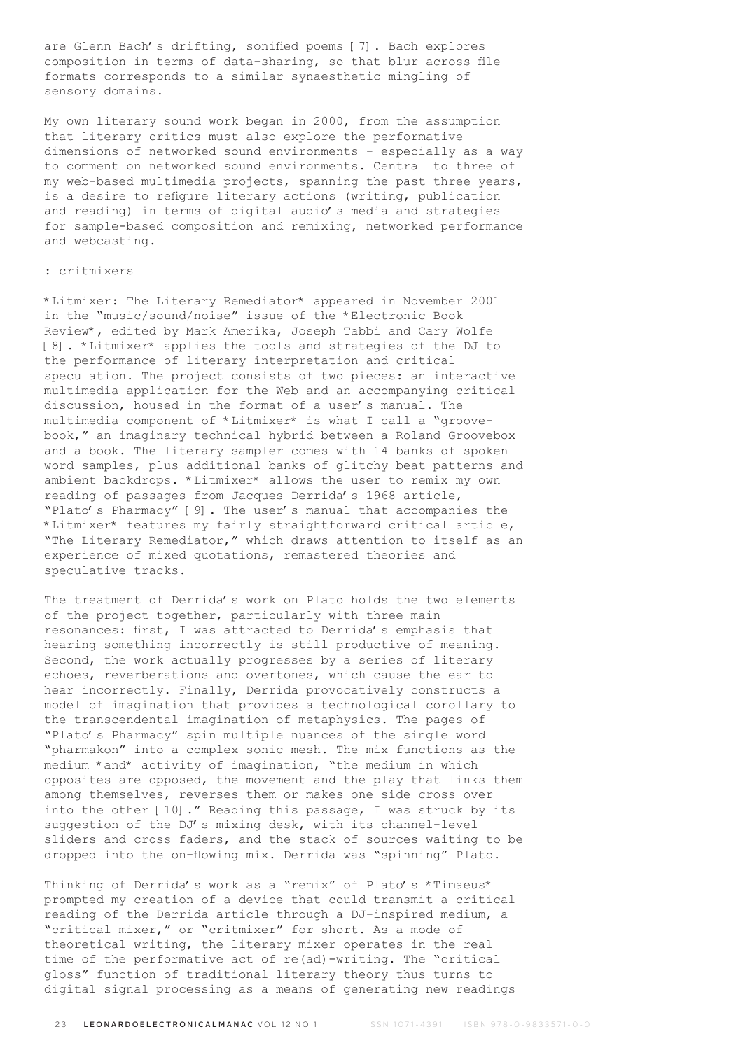are Glenn Bach's drifting, sonified poems [7]. Bach explores composition in terms of data-sharing, so that blur across file formats corresponds to a similar synaesthetic mingling of sensory domains.

My own literary sound work began in 2000, from the assumption that literary critics must also explore the performative dimensions of networked sound environments - especially as a way to comment on networked sound environments. Central to three of my web-based multimedia projects, spanning the past three years, is a desire to refigure literary actions (writing, publication and reading) in terms of digital audio's media and strategies for sample-based composition and remixing, networked performance and webcasting.

## : critmixers

\*Litmixer: The Literary Remediator\* appeared in November 2001 in the "music/sound/noise" issue of the \*Electronic Book Review\*, edited by Mark Amerika, Joseph Tabbi and Cary Wolfe [8]. \*Litmixer\* applies the tools and strategies of the DJ to the performance of literary interpretation and critical speculation. The project consists of two pieces: an interactive multimedia application for the Web and an accompanying critical discussion, housed in the format of a user's manual. The multimedia component of \*Litmixer\* is what I call a "groovebook," an imaginary technical hybrid between a Roland Groovebox and a book. The literary sampler comes with 14 banks of spoken word samples, plus additional banks of glitchy beat patterns and ambient backdrops. \*Litmixer\* allows the user to remix my own reading of passages from Jacques Derrida's 1968 article, "Plato's Pharmacy" [9]. The user's manual that accompanies the \*Litmixer\* features my fairly straightforward critical article, "The Literary Remediator," which draws attention to itself as an experience of mixed quotations, remastered theories and speculative tracks.

The treatment of Derrida's work on Plato holds the two elements of the project together, particularly with three main resonances: first, I was attracted to Derrida's emphasis that hearing something incorrectly is still productive of meaning. Second, the work actually progresses by a series of literary echoes, reverberations and overtones, which cause the ear to hear incorrectly. Finally, Derrida provocatively constructs a model of imagination that provides a technological corollary to the transcendental imagination of metaphysics. The pages of "Plato's Pharmacy" spin multiple nuances of the single word "pharmakon" into a complex sonic mesh. The mix functions as the medium \*and\* activity of imagination, "the medium in which opposites are opposed, the movement and the play that links them among themselves, reverses them or makes one side cross over into the other [10]." Reading this passage, I was struck by its suggestion of the DJ's mixing desk, with its channel-level sliders and cross faders, and the stack of sources waiting to be dropped into the on-flowing mix. Derrida was "spinning" Plato.

Thinking of Derrida's work as a "remix" of Plato's \*Timaeus\* prompted my creation of a device that could transmit a critical reading of the Derrida article through a DJ-inspired medium, a "critical mixer," or "critmixer" for short. As a mode of theoretical writing, the literary mixer operates in the real time of the performative act of re(ad)-writing. The "critical gloss" function of traditional literary theory thus turns to digital signal processing as a means of generating new readings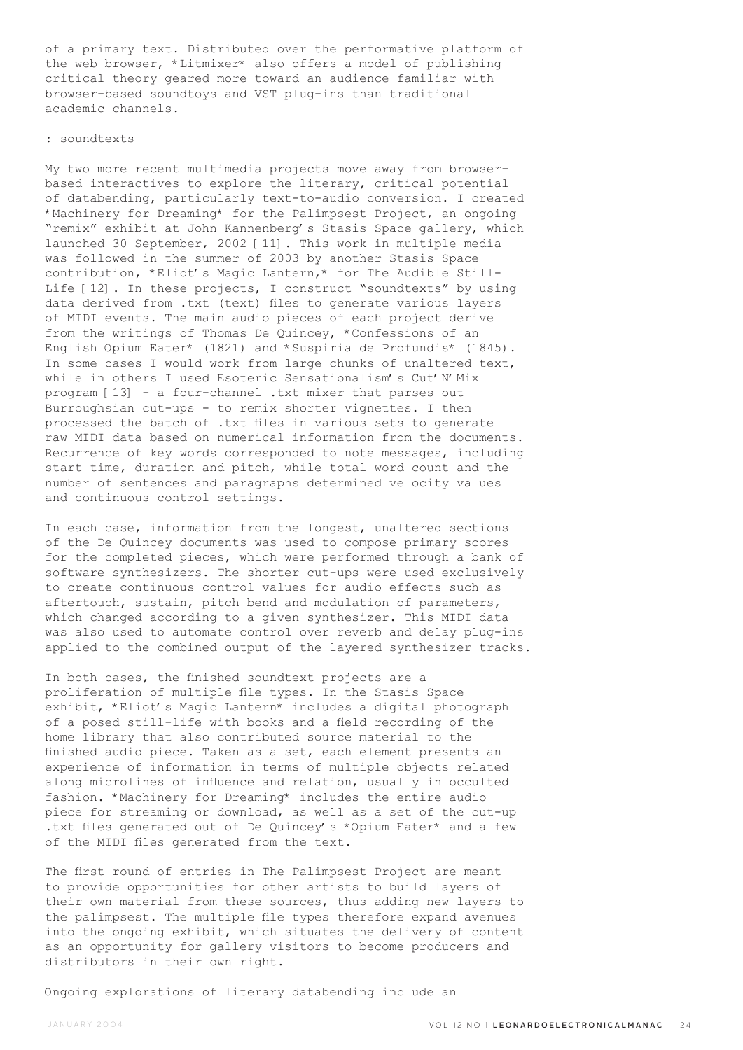of a primary text. Distributed over the performative platform of the web browser, \*Litmixer\* also offers a model of publishing critical theory geared more toward an audience familiar with browser-based soundtoys and VST plug-ins than traditional academic channels.

#### : soundtexts

My two more recent multimedia projects move away from browserbased interactives to explore the literary, critical potential of databending, particularly text-to-audio conversion. I created \*Machinery for Dreaming\* for the Palimpsest Project, an ongoing "remix" exhibit at John Kannenberg's Stasis\_Space gallery, which launched 30 September, 2002 [11]. This work in multiple media was followed in the summer of 2003 by another Stasis Space contribution, \*Eliot's Magic Lantern,\* for The Audible Still-Life [12]. In these projects, I construct "soundtexts" by using data derived from .txt (text) files to generate various layers of MIDI events. The main audio pieces of each project derive from the writings of Thomas De Quincey, \*Confessions of an English Opium Eater\* (1821) and \*Suspiria de Profundis\* (1845). In some cases I would work from large chunks of unaltered text, while in others I used Esoteric Sensationalism's Cut'N'Mix program [13] - a four-channel .txt mixer that parses out Burroughsian cut-ups - to remix shorter vignettes. I then processed the batch of .txt files in various sets to generate raw MIDI data based on numerical information from the documents. Recurrence of key words corresponded to note messages, including start time, duration and pitch, while total word count and the number of sentences and paragraphs determined velocity values and continuous control settings.

In each case, information from the longest, unaltered sections of the De Quincey documents was used to compose primary scores for the completed pieces, which were performed through a bank of software synthesizers. The shorter cut-ups were used exclusively to create continuous control values for audio effects such as aftertouch, sustain, pitch bend and modulation of parameters, which changed according to a given synthesizer. This MIDI data was also used to automate control over reverb and delay plug-ins applied to the combined output of the layered synthesizer tracks.

In both cases, the finished soundtext projects are a proliferation of multiple file types. In the Stasis\_Space exhibit, \*Eliot's Magic Lantern\* includes a digital photograph of a posed still-life with books and a field recording of the home library that also contributed source material to the finished audio piece. Taken as a set, each element presents an experience of information in terms of multiple objects related along microlines of influence and relation, usually in occulted fashion. \*Machinery for Dreaming\* includes the entire audio piece for streaming or download, as well as a set of the cut-up .txt files generated out of De Quincey's \*Opium Eater\* and a few of the MIDI files generated from the text.

The first round of entries in The Palimpsest Project are meant to provide opportunities for other artists to build layers of their own material from these sources, thus adding new layers to the palimpsest. The multiple file types therefore expand avenues into the ongoing exhibit, which situates the delivery of content as an opportunity for gallery visitors to become producers and distributors in their own right.

Ongoing explorations of literary databending include an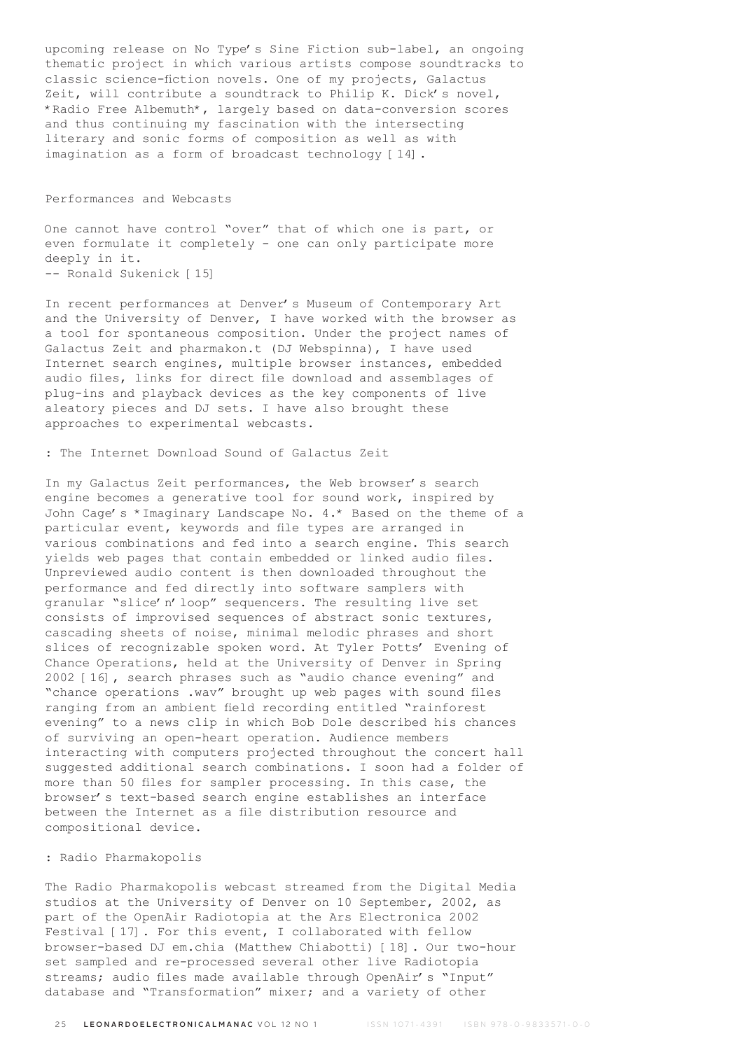upcoming release on No Type's Sine Fiction sub-label, an ongoing thematic project in which various artists compose soundtracks to classic science-fiction novels. One of my projects, Galactus Zeit, will contribute a soundtrack to Philip K. Dick's novel, \*Radio Free Albemuth\*, largely based on data-conversion scores and thus continuing my fascination with the intersecting literary and sonic forms of composition as well as with imagination as a form of broadcast technology [14].

### Performances and Webcasts

One cannot have control "over" that of which one is part, or even formulate it completely - one can only participate more deeply in it. -- Ronald Sukenick [15]

In recent performances at Denver's Museum of Contemporary Art and the University of Denver, I have worked with the browser as a tool for spontaneous composition. Under the project names of Galactus Zeit and pharmakon.t (DJ Webspinna), I have used Internet search engines, multiple browser instances, embedded audio files, links for direct file download and assemblages of plug-ins and playback devices as the key components of live aleatory pieces and DJ sets. I have also brought these approaches to experimental webcasts.

# : The Internet Download Sound of Galactus Zeit

In my Galactus Zeit performances, the Web browser's search engine becomes a generative tool for sound work, inspired by John Cage's \*Imaginary Landscape No. 4.\* Based on the theme of a particular event, keywords and file types are arranged in various combinations and fed into a search engine. This search yields web pages that contain embedded or linked audio files. Unpreviewed audio content is then downloaded throughout the performance and fed directly into software samplers with granular "slice'n'loop" sequencers. The resulting live set consists of improvised sequences of abstract sonic textures, cascading sheets of noise, minimal melodic phrases and short slices of recognizable spoken word. At Tyler Potts' Evening of Chance Operations, held at the University of Denver in Spring 2002 [16], search phrases such as "audio chance evening" and "chance operations .wav" brought up web pages with sound files ranging from an ambient field recording entitled "rainforest evening" to a news clip in which Bob Dole described his chances of surviving an open-heart operation. Audience members interacting with computers projected throughout the concert hall suggested additional search combinations. I soon had a folder of more than 50 files for sampler processing. In this case, the browser's text-based search engine establishes an interface between the Internet as a file distribution resource and compositional device.

# : Radio Pharmakopolis

The Radio Pharmakopolis webcast streamed from the Digital Media studios at the University of Denver on 10 September, 2002, as part of the OpenAir Radiotopia at the Ars Electronica 2002 Festival [17]. For this event, I collaborated with fellow browser-based DJ em.chia (Matthew Chiabotti) [18]. Our two-hour set sampled and re-processed several other live Radiotopia streams; audio files made available through OpenAir's "Input" database and "Transformation" mixer; and a variety of other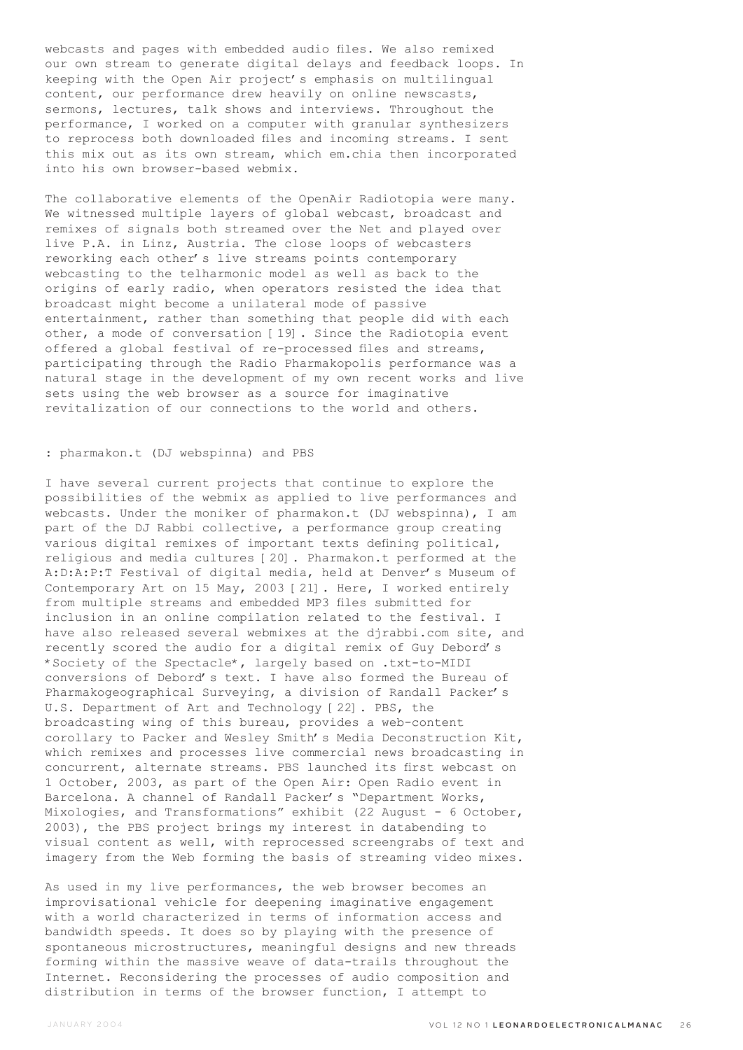webcasts and pages with embedded audio files. We also remixed our own stream to generate digital delays and feedback loops. In keeping with the Open Air project's emphasis on multilingual content, our performance drew heavily on online newscasts, sermons, lectures, talk shows and interviews. Throughout the performance, I worked on a computer with granular synthesizers to reprocess both downloaded files and incoming streams. I sent this mix out as its own stream, which em.chia then incorporated into his own browser-based webmix.

The collaborative elements of the OpenAir Radiotopia were many. We witnessed multiple layers of global webcast, broadcast and remixes of signals both streamed over the Net and played over live P.A. in Linz, Austria. The close loops of webcasters reworking each other's live streams points contemporary webcasting to the telharmonic model as well as back to the origins of early radio, when operators resisted the idea that broadcast might become a unilateral mode of passive entertainment, rather than something that people did with each other, a mode of conversation [19]. Since the Radiotopia event offered a global festival of re-processed files and streams, participating through the Radio Pharmakopolis performance was a natural stage in the development of my own recent works and live sets using the web browser as a source for imaginative revitalization of our connections to the world and others.

## : pharmakon.t (DJ webspinna) and PBS

I have several current projects that continue to explore the possibilities of the webmix as applied to live performances and webcasts. Under the moniker of pharmakon.t (DJ webspinna), I am part of the DJ Rabbi collective, a performance group creating various digital remixes of important texts defining political, religious and media cultures [20]. Pharmakon.t performed at the A:D:A:P:T Festival of digital media, held at Denver's Museum of Contemporary Art on 15 May, 2003 [21]. Here, I worked entirely from multiple streams and embedded MP3 files submitted for inclusion in an online compilation related to the festival. I have also released several webmixes at the djrabbi.com site, and recently scored the audio for a digital remix of Guy Debord's \*Society of the Spectacle\*, largely based on .txt-to-MIDI conversions of Debord's text. I have also formed the Bureau of Pharmakogeographical Surveying, a division of Randall Packer's U.S. Department of Art and Technology [22]. PBS, the broadcasting wing of this bureau, provides a web-content corollary to Packer and Wesley Smith's Media Deconstruction Kit, which remixes and processes live commercial news broadcasting in concurrent, alternate streams. PBS launched its first webcast on 1 October, 2003, as part of the Open Air: Open Radio event in Barcelona. A channel of Randall Packer's "Department Works, Mixologies, and Transformations" exhibit (22 August - 6 October, 2003), the PBS project brings my interest in databending to visual content as well, with reprocessed screengrabs of text and imagery from the Web forming the basis of streaming video mixes.

As used in my live performances, the web browser becomes an improvisational vehicle for deepening imaginative engagement with a world characterized in terms of information access and bandwidth speeds. It does so by playing with the presence of spontaneous microstructures, meaningful designs and new threads forming within the massive weave of data-trails throughout the Internet. Reconsidering the processes of audio composition and distribution in terms of the browser function, I attempt to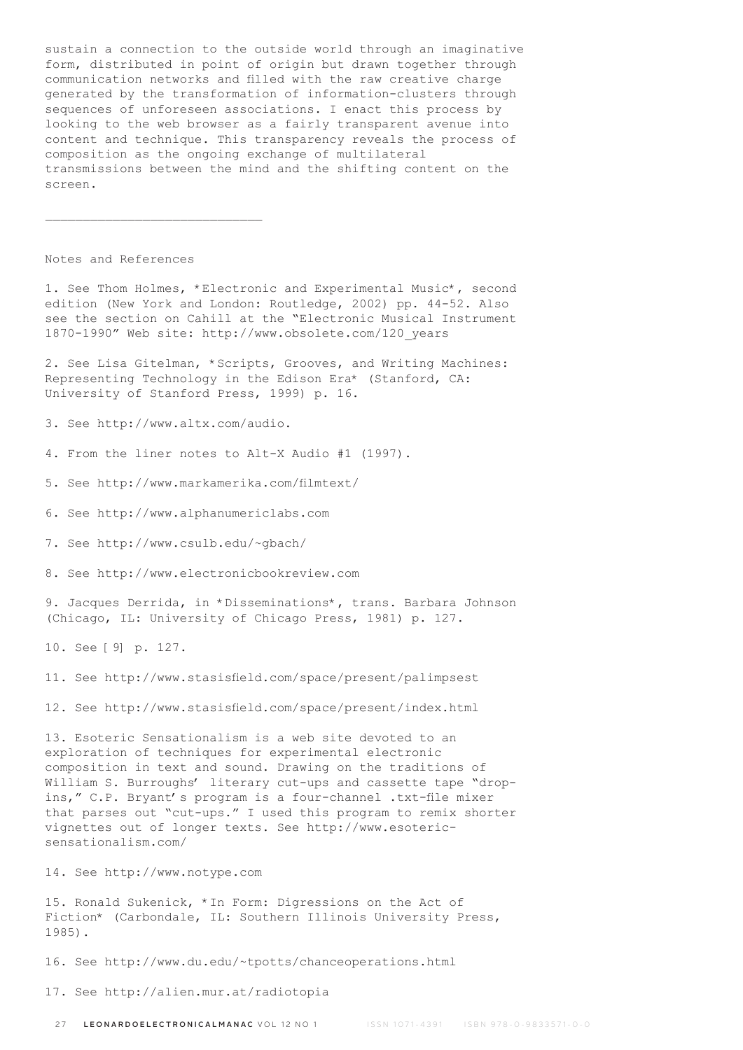sustain a connection to the outside world through an imaginative form, distributed in point of origin but drawn together through communication networks and filled with the raw creative charge generated by the transformation of information-clusters through sequences of unforeseen associations. I enact this process by looking to the web browser as a fairly transparent avenue into content and technique. This transparency reveals the process of composition as the ongoing exchange of multilateral transmissions between the mind and the shifting content on the screen.

Notes and References

1. See Thom Holmes, \*Electronic and Experimental Music\*, second edition (New York and London: Routledge, 2002) pp. 44-52. Also see the section on Cahill at the "Electronic Musical Instrument 1870-1990" Web site: http://www.obsolete.com/120\_years

2. See Lisa Gitelman, \*Scripts, Grooves, and Writing Machines: Representing Technology in the Edison Era\* (Stanford, CA: University of Stanford Press, 1999) p. 16.

3. See http://www.altx.com/audio.

4. From the liner notes to Alt-X Audio #1 (1997).

5. See http://www.markamerika.com/filmtext/

6. See http://www.alphanumericlabs.com

7. See http://www.csulb.edu/~gbach/

8. See http://www.electronicbookreview.com

9. Jacques Derrida, in \*Disseminations\*, trans. Barbara Johnson (Chicago, IL: University of Chicago Press, 1981) p. 127.

10. See [9] p. 127.

11. See http://www.stasisfield.com/space/present/palimpsest

12. See http://www.stasisfield.com/space/present/index.html

13. Esoteric Sensationalism is a web site devoted to an exploration of techniques for experimental electronic composition in text and sound. Drawing on the traditions of William S. Burroughs' literary cut-ups and cassette tape "dropins," C.P. Bryant's program is a four-channel .txt-file mixer that parses out "cut-ups." I used this program to remix shorter vignettes out of longer texts. See http://www.esotericsensationalism.com/

14. See http://www.notype.com

15. Ronald Sukenick, \*In Form: Digressions on the Act of Fiction\* (Carbondale, IL: Southern Illinois University Press, 1985).

16. See http://www.du.edu/~tpotts/chanceoperations.html

17. See http://alien.mur.at/radiotopia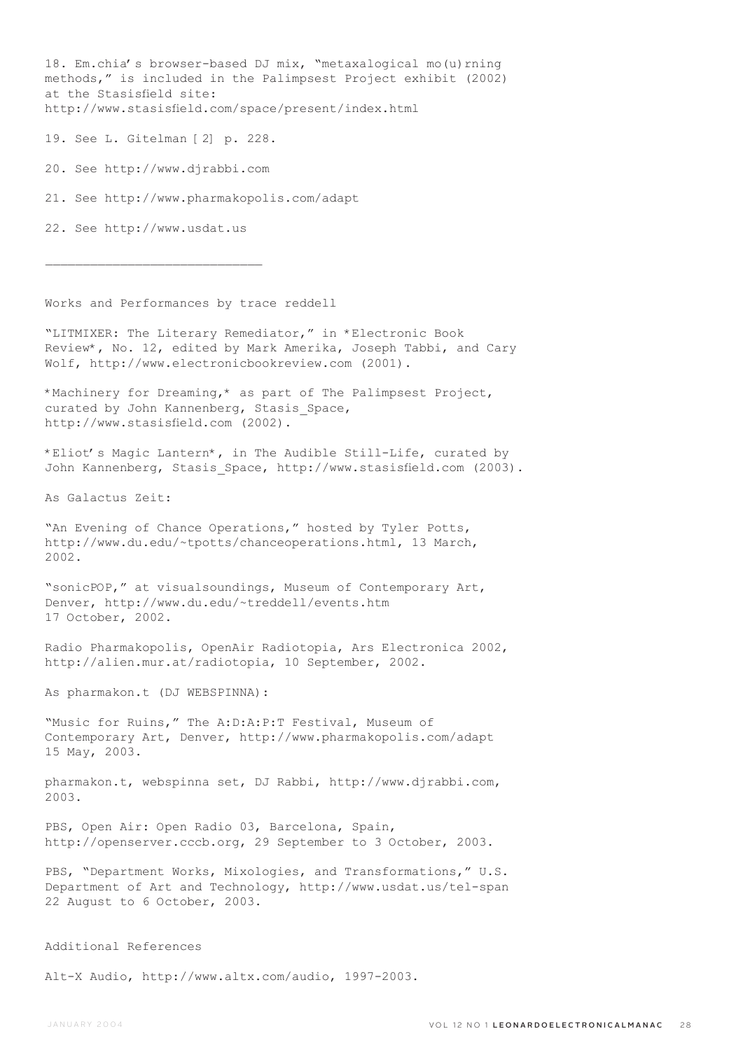18. Em.chia's browser-based DJ mix, "metaxalogical mo(u) rning methods," is included in the Palimpsest Project exhibit (2002) at the Stasisfield site: http://www.stasisfield.com/space/present/index.html

19. See L. Gitelman [2] p. 228.

20. See http://www.djrabbi.com

21. See http://www.pharmakopolis.com/adapt

22. See http://www.usdat.us

 $\mathcal{L}_\text{max}$ 

Works and Performances by trace reddell

"LITMIXER: The Literary Remediator," in \*Electronic Book Review\*, No. 12, edited by Mark Amerika, Joseph Tabbi, and Cary Wolf, http://www.electronicbookreview.com (2001).

\*Machinery for Dreaming,\* as part of The Palimpsest Project, curated by John Kannenberg, Stasis Space, http://www.stasisfield.com (2002).

\*Eliot's Magic Lantern\*, in The Audible Still-Life, curated by John Kannenberg, Stasis\_Space, http://www.stasisfield.com (2003).

As Galactus Zeit:

"An Evening of Chance Operations," hosted by Tyler Potts, http://www.du.edu/~tpotts/chanceoperations.html, 13 March, 2002.

"sonicPOP," at visualsoundings, Museum of Contemporary Art, Denver, http://www.du.edu/~treddell/events.htm 17 October, 2002.

Radio Pharmakopolis, OpenAir Radiotopia, Ars Electronica 2002, http://alien.mur.at/radiotopia, 10 September, 2002.

As pharmakon.t (DJ WEBSPINNA):

"Music for Ruins," The A:D:A:P:T Festival, Museum of Contemporary Art, Denver, http://www.pharmakopolis.com/adapt 15 May, 2003.

pharmakon.t, webspinna set, DJ Rabbi, http://www.djrabbi.com, 2003.

PBS, Open Air: Open Radio 03, Barcelona, Spain, http://openserver.cccb.org, 29 September to 3 October, 2003.

PBS, "Department Works, Mixologies, and Transformations," U.S. Department of Art and Technology, http://www.usdat.us/tel-span 22 August to 6 October, 2003.

Additional References

Alt-X Audio, http://www.altx.com/audio, 1997-2003.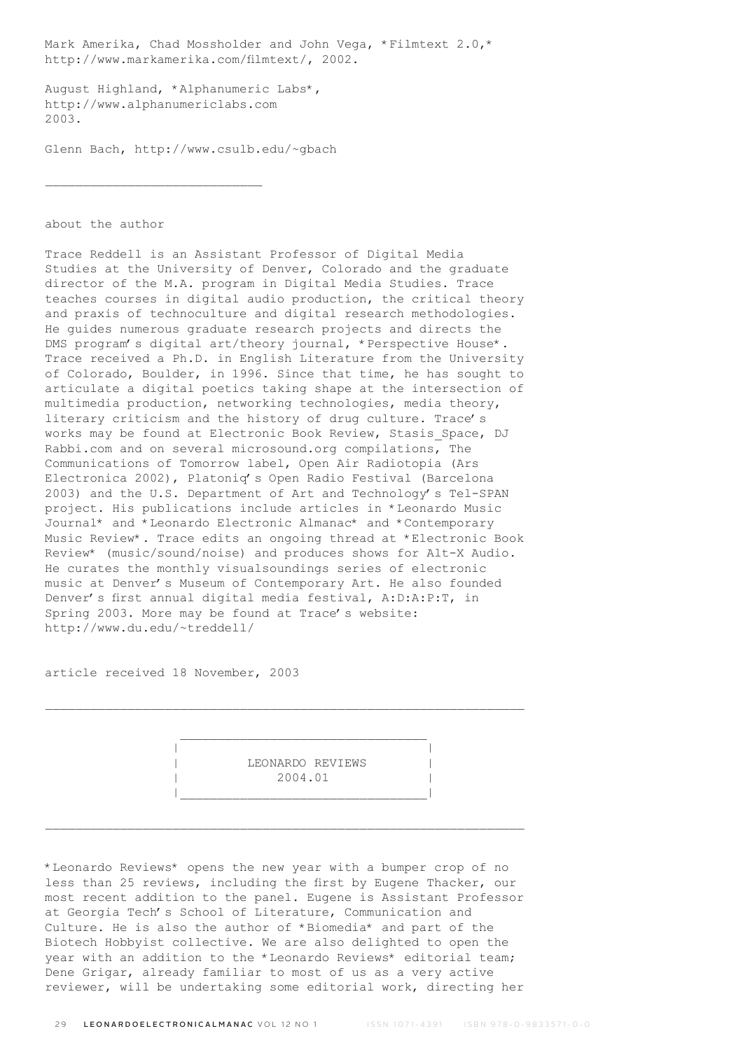Mark Amerika, Chad Mossholder and John Vega, \*Filmtext 2.0,\* http://www.markamerika.com/filmtext/, 2002.

August Highland, \*Alphanumeric Labs\*, http://www.alphanumericlabs.com 2003.

Glenn Bach, http://www.csulb.edu/~gbach

about the author

Trace Reddell is an Assistant Professor of Digital Media Studies at the University of Denver, Colorado and the graduate director of the M.A. program in Digital Media Studies. Trace teaches courses in digital audio production, the critical theory and praxis of technoculture and digital research methodologies. He guides numerous graduate research projects and directs the DMS program's digital art/theory journal, \*Perspective House\*. Trace received a Ph.D. in English Literature from the University of Colorado, Boulder, in 1996. Since that time, he has sought to articulate a digital poetics taking shape at the intersection of multimedia production, networking technologies, media theory, literary criticism and the history of drug culture. Trace's works may be found at Electronic Book Review, Stasis Space, DJ Rabbi.com and on several microsound.org compilations, The Communications of Tomorrow label, Open Air Radiotopia (Ars Electronica 2002), Platoniq's Open Radio Festival (Barcelona 2003) and the U.S. Department of Art and Technology's Tel-SPAN project. His publications include articles in \*Leonardo Music Journal\* and \*Leonardo Electronic Almanac\* and \*Contemporary Music Review\*. Trace edits an ongoing thread at \*Electronic Book Review\* (music/sound/noise) and produces shows for Alt-X Audio. He curates the monthly visualsoundings series of electronic music at Denver's Museum of Contemporary Art. He also founded Denver's first annual digital media festival, A:D:A:P:T, in Spring 2003. More may be found at Trace's website: http://www.du.edu/~treddell/

article received 18 November, 2003

 | | LEONARDO REVIEWS | 2004.01 | |\_\_\_\_\_\_\_\_\_\_\_\_\_\_\_\_\_\_\_\_\_\_\_\_\_\_\_\_\_\_\_\_\_|

\*Leonardo Reviews\* opens the new year with a bumper crop of no less than 25 reviews, including the first by Eugene Thacker, our most recent addition to the panel. Eugene is Assistant Professor at Georgia Tech's School of Literature, Communication and Culture. He is also the author of \*Biomedia\* and part of the Biotech Hobbyist collective. We are also delighted to open the year with an addition to the \*Leonardo Reviews\* editorial team; Dene Grigar, already familiar to most of us as a very active reviewer, will be undertaking some editorial work, directing her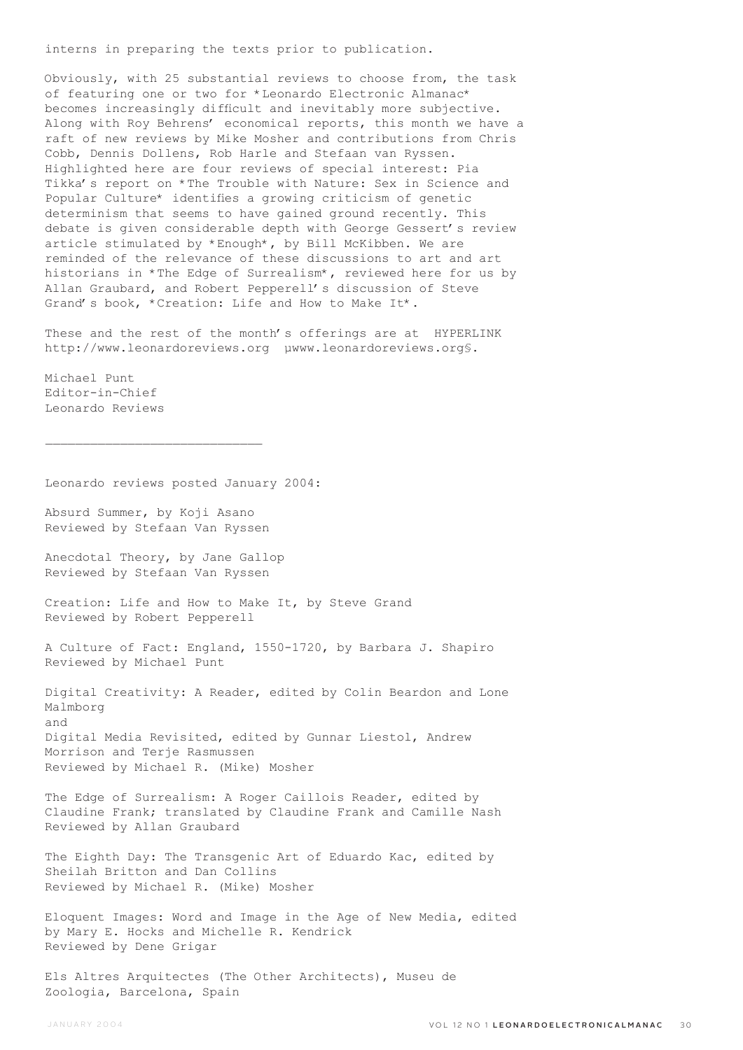interns in preparing the texts prior to publication.

Obviously, with 25 substantial reviews to choose from, the task of featuring one or two for \*Leonardo Electronic Almanac\* becomes increasingly difficult and inevitably more subjective. Along with Roy Behrens' economical reports, this month we have a raft of new reviews by Mike Mosher and contributions from Chris Cobb, Dennis Dollens, Rob Harle and Stefaan van Ryssen. Highlighted here are four reviews of special interest: Pia Tikka's report on \*The Trouble with Nature: Sex in Science and Popular Culture\* identifies a growing criticism of genetic determinism that seems to have gained ground recently. This debate is given considerable depth with George Gessert's review article stimulated by \*Enough\*, by Bill McKibben. We are reminded of the relevance of these discussions to art and art historians in \*The Edge of Surrealism\*, reviewed here for us by Allan Graubard, and Robert Pepperell's discussion of Steve Grand's book, \*Creation: Life and How to Make It\*.

These and the rest of the month's offerings are at HYPERLINK http://www.leonardoreviews.org µwww.leonardoreviews.org§.

Michael Punt Editor-in-Chief Leonardo Reviews

 $\mathcal{L}_\text{max}$ 

Leonardo reviews posted January 2004:

Absurd Summer, by Koji Asano Reviewed by Stefaan Van Ryssen Anecdotal Theory, by Jane Gallop Reviewed by Stefaan Van Ryssen Creation: Life and How to Make It, by Steve Grand Reviewed by Robert Pepperell A Culture of Fact: England, 1550-1720, by Barbara J. Shapiro Reviewed by Michael Punt Digital Creativity: A Reader, edited by Colin Beardon and Lone Malmborg Digital Media Revisited, edited by Gunnar Liestol, Andrew Morrison and Terje Rasmussen Reviewed by Michael R. (Mike) Mosher The Edge of Surrealism: A Roger Caillois Reader, edited by Claudine Frank; translated by Claudine Frank and Camille Nash Reviewed by Allan Graubard The Eighth Day: The Transgenic Art of Eduardo Kac, edited by Sheilah Britton and Dan Collins Reviewed by Michael R. (Mike) Mosher Eloquent Images: Word and Image in the Age of New Media, edited by Mary E. Hocks and Michelle R. Kendrick Reviewed by Dene Grigar Els Altres Arquitectes (The Other Architects), Museu de

Zoologia, Barcelona, Spain

and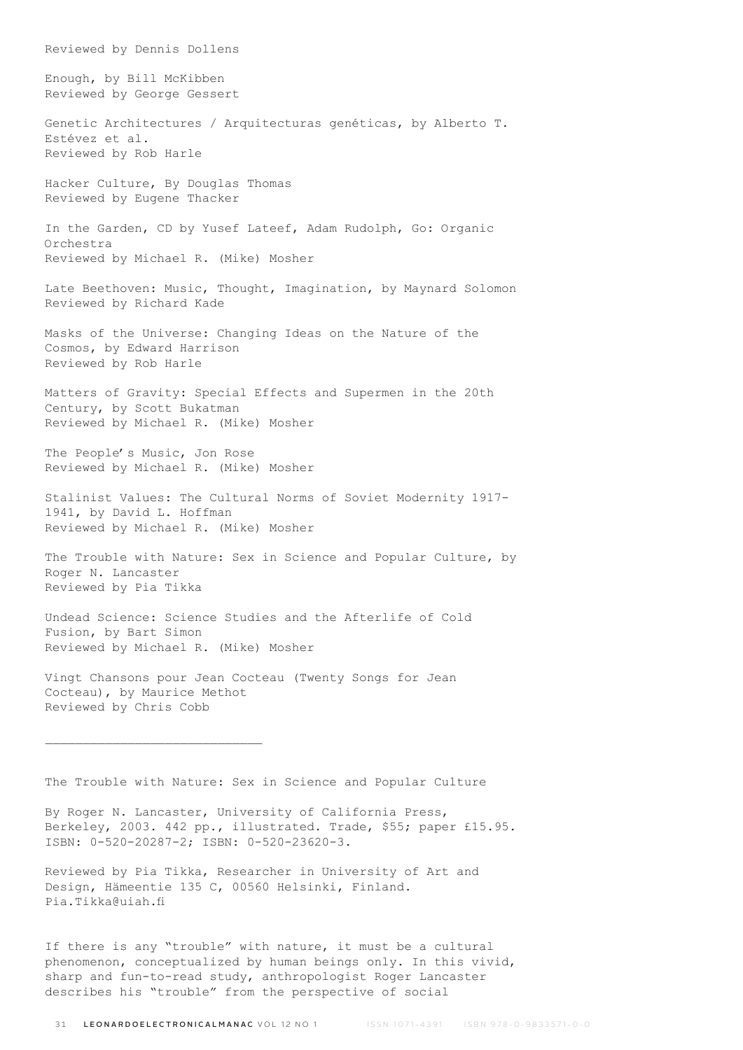Enough, by Bill McKibben Reviewed by George Gessert Genetic Architectures / Arquitecturas genéticas, by Alberto T. Estévez et al. Reviewed by Rob Harle Hacker Culture, By Douglas Thomas Reviewed by Eugene Thacker In the Garden, CD by Yusef Lateef, Adam Rudolph, Go: Organic Orchestra Reviewed by Michael R. (Mike) Mosher Late Beethoven: Music, Thought, Imagination, by Maynard Solomon Reviewed by Richard Kade Masks of the Universe: Changing Ideas on the Nature of the Cosmos, by Edward Harrison Reviewed by Rob Harle Matters of Gravity: Special Effects and Supermen in the 20th Century, by Scott Bukatman Reviewed by Michael R. (Mike) Mosher The People's Music, Jon Rose Reviewed by Michael R. (Mike) Mosher Stalinist Values: The Cultural Norms of Soviet Modernity 1917- 1941, by David L. Hoffman Reviewed by Michael R. (Mike) Mosher The Trouble with Nature: Sex in Science and Popular Culture, by Roger N. Lancaster Reviewed by Pia Tikka Undead Science: Science Studies and the Afterlife of Cold Fusion, by Bart Simon Reviewed by Michael R. (Mike) Mosher Vingt Chansons pour Jean Cocteau (Twenty Songs for Jean Cocteau), by Maurice Methot Reviewed by Chris Cobb

Reviewed by Dennis Dollens

The Trouble with Nature: Sex in Science and Popular Culture

By Roger N. Lancaster, University of California Press, Berkeley, 2003. 442 pp., illustrated. Trade, \$55; paper £15.95. ISBN: 0-520-20287-2; ISBN: 0-520-23620-3.

Reviewed by Pia Tikka, Researcher in University of Art and Design, Hämeentie 135 C, 00560 Helsinki, Finland. Pia.Tikka@uiah.fi

If there is any "trouble" with nature, it must be a cultural phenomenon, conceptualized by human beings only. In this vivid, sharp and fun-to-read study, anthropologist Roger Lancaster describes his "trouble" from the perspective of social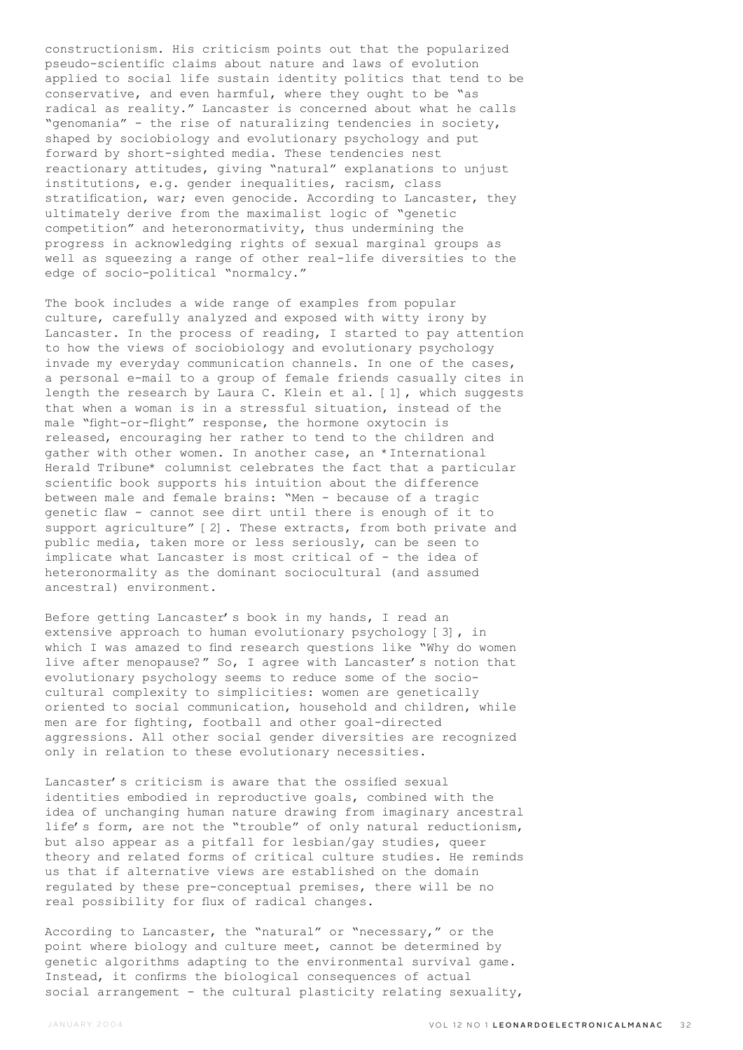constructionism. His criticism points out that the popularized pseudo-scientific claims about nature and laws of evolution applied to social life sustain identity politics that tend to be conservative, and even harmful, where they ought to be "as radical as reality." Lancaster is concerned about what he calls "genomania" - the rise of naturalizing tendencies in society, shaped by sociobiology and evolutionary psychology and put forward by short-sighted media. These tendencies nest reactionary attitudes, giving "natural" explanations to unjust institutions, e.g. gender inequalities, racism, class stratification, war; even genocide. According to Lancaster, they ultimately derive from the maximalist logic of "genetic competition" and heteronormativity, thus undermining the progress in acknowledging rights of sexual marginal groups as well as squeezing a range of other real-life diversities to the edge of socio-political "normalcy."

The book includes a wide range of examples from popular culture, carefully analyzed and exposed with witty irony by Lancaster. In the process of reading, I started to pay attention to how the views of sociobiology and evolutionary psychology invade my everyday communication channels. In one of the cases, a personal e-mail to a group of female friends casually cites in length the research by Laura C. Klein et al. [1], which suggests that when a woman is in a stressful situation, instead of the male "fight-or-flight" response, the hormone oxytocin is released, encouraging her rather to tend to the children and gather with other women. In another case, an \*International Herald Tribune\* columnist celebrates the fact that a particular scientific book supports his intuition about the difference between male and female brains: "Men - because of a tragic genetic flaw - cannot see dirt until there is enough of it to support agriculture" [2]. These extracts, from both private and public media, taken more or less seriously, can be seen to implicate what Lancaster is most critical of - the idea of heteronormality as the dominant sociocultural (and assumed ancestral) environment.

Before getting Lancaster's book in my hands, I read an extensive approach to human evolutionary psychology [3], in which I was amazed to find research questions like "Why do women live after menopause?" So, I agree with Lancaster's notion that evolutionary psychology seems to reduce some of the sociocultural complexity to simplicities: women are genetically oriented to social communication, household and children, while men are for fighting, football and other goal-directed aggressions. All other social gender diversities are recognized only in relation to these evolutionary necessities.

Lancaster's criticism is aware that the ossified sexual identities embodied in reproductive goals, combined with the idea of unchanging human nature drawing from imaginary ancestral life's form, are not the "trouble" of only natural reductionism, but also appear as a pitfall for lesbian/gay studies, queer theory and related forms of critical culture studies. He reminds us that if alternative views are established on the domain regulated by these pre-conceptual premises, there will be no real possibility for flux of radical changes.

According to Lancaster, the "natural" or "necessary," or the point where biology and culture meet, cannot be determined by genetic algorithms adapting to the environmental survival game. Instead, it confirms the biological consequences of actual social arrangement - the cultural plasticity relating sexuality,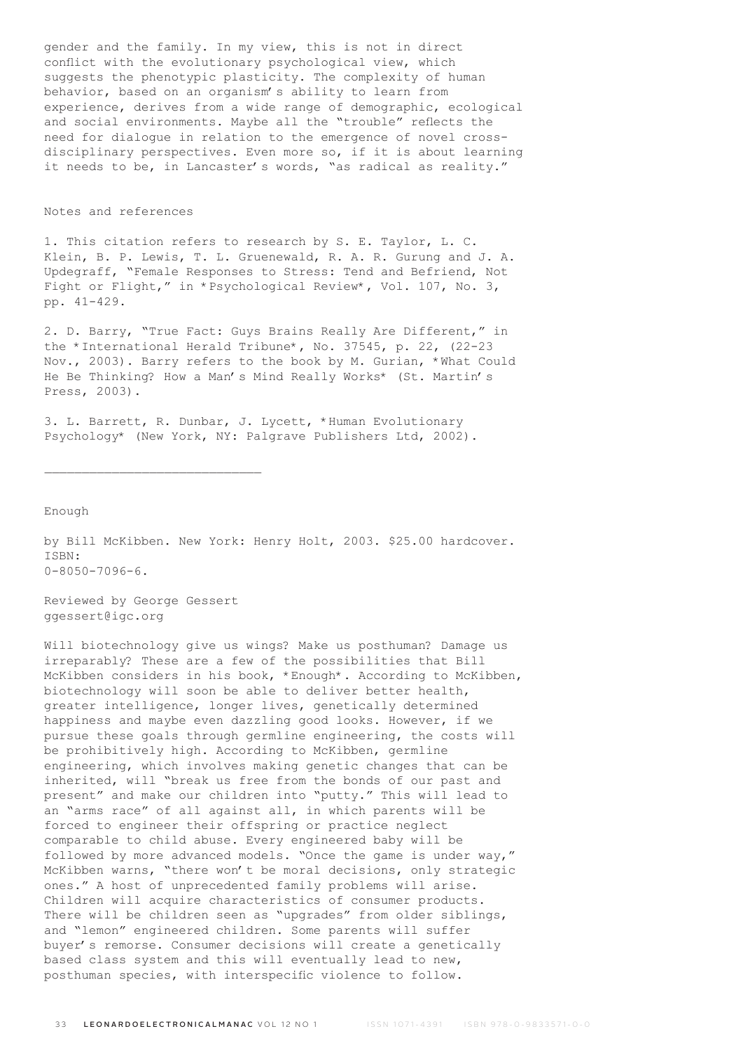gender and the family. In my view, this is not in direct conflict with the evolutionary psychological view, which suggests the phenotypic plasticity. The complexity of human behavior, based on an organism's ability to learn from experience, derives from a wide range of demographic, ecological and social environments. Maybe all the "trouble" reflects the need for dialogue in relation to the emergence of novel crossdisciplinary perspectives. Even more so, if it is about learning it needs to be, in Lancaster's words, "as radical as reality."

# Notes and references

1. This citation refers to research by S. E. Taylor, L. C. Klein, B. P. Lewis, T. L. Gruenewald, R. A. R. Gurung and J. A. Updegraff, "Female Responses to Stress: Tend and Befriend, Not Fight or Flight," in \*Psychological Review\*, Vol. 107, No. 3, pp. 41-429.

2. D. Barry, "True Fact: Guys Brains Really Are Different," in the \*International Herald Tribune\*, No. 37545, p. 22, (22-23 Nov., 2003). Barry refers to the book by M. Gurian, \*What Could He Be Thinking? How a Man's Mind Really Works\* (St. Martin's Press, 2003).

3. L. Barrett, R. Dunbar, J. Lycett, \*Human Evolutionary Psychology\* (New York, NY: Palgrave Publishers Ltd, 2002).

Enough

by Bill McKibben. New York: Henry Holt, 2003. \$25.00 hardcover. ISBN: 0-8050-7096-6.

Reviewed by George Gessert ggessert@igc.org

Will biotechnology give us wings? Make us posthuman? Damage us irreparably? These are a few of the possibilities that Bill McKibben considers in his book, \*Enough\*. According to McKibben, biotechnology will soon be able to deliver better health, greater intelligence, longer lives, genetically determined happiness and maybe even dazzling good looks. However, if we pursue these goals through germline engineering, the costs will be prohibitively high. According to McKibben, germline engineering, which involves making genetic changes that can be inherited, will "break us free from the bonds of our past and present" and make our children into "putty." This will lead to an "arms race" of all against all, in which parents will be forced to engineer their offspring or practice neglect comparable to child abuse. Every engineered baby will be followed by more advanced models. "Once the game is under way," McKibben warns, "there won't be moral decisions, only strategic ones." A host of unprecedented family problems will arise. Children will acquire characteristics of consumer products. There will be children seen as "upgrades" from older siblings, and "lemon" engineered children. Some parents will suffer buyer's remorse. Consumer decisions will create a genetically based class system and this will eventually lead to new, posthuman species, with interspecific violence to follow.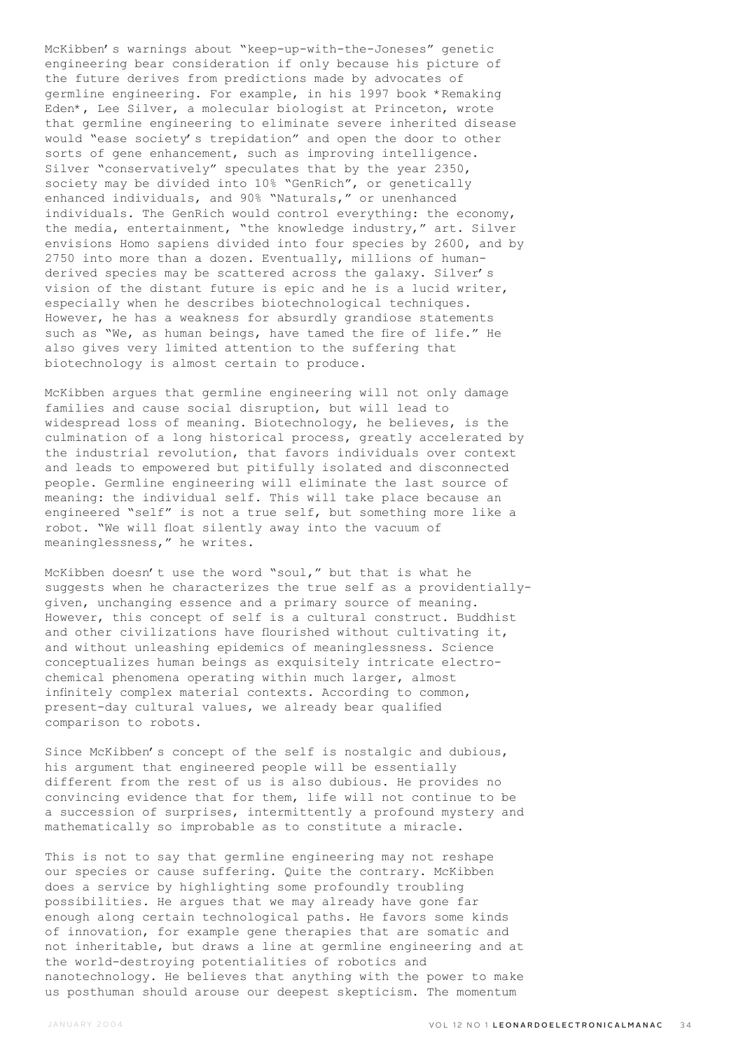McKibben's warnings about "keep-up-with-the-Joneses" genetic engineering bear consideration if only because his picture of the future derives from predictions made by advocates of germline engineering. For example, in his 1997 book \*Remaking Eden\*, Lee Silver, a molecular biologist at Princeton, wrote that germline engineering to eliminate severe inherited disease would "ease society's trepidation" and open the door to other sorts of gene enhancement, such as improving intelligence. Silver "conservatively" speculates that by the year 2350, society may be divided into 10% "GenRich", or genetically enhanced individuals, and 90% "Naturals," or unenhanced individuals. The GenRich would control everything: the economy, the media, entertainment, "the knowledge industry," art. Silver envisions Homo sapiens divided into four species by 2600, and by 2750 into more than a dozen. Eventually, millions of humanderived species may be scattered across the galaxy. Silver's vision of the distant future is epic and he is a lucid writer, especially when he describes biotechnological techniques. However, he has a weakness for absurdly grandiose statements such as "We, as human beings, have tamed the fire of life." He also gives very limited attention to the suffering that biotechnology is almost certain to produce.

McKibben argues that germline engineering will not only damage families and cause social disruption, but will lead to widespread loss of meaning. Biotechnology, he believes, is the culmination of a long historical process, greatly accelerated by the industrial revolution, that favors individuals over context and leads to empowered but pitifully isolated and disconnected people. Germline engineering will eliminate the last source of meaning: the individual self. This will take place because an engineered "self" is not a true self, but something more like a robot. "We will float silently away into the vacuum of meaninglessness," he writes.

McKibben doesn't use the word "soul," but that is what he suggests when he characterizes the true self as a providentiallygiven, unchanging essence and a primary source of meaning. However, this concept of self is a cultural construct. Buddhist and other civilizations have flourished without cultivating it, and without unleashing epidemics of meaninglessness. Science conceptualizes human beings as exquisitely intricate electrochemical phenomena operating within much larger, almost infinitely complex material contexts. According to common, present-day cultural values, we already bear qualified comparison to robots.

Since McKibben's concept of the self is nostalgic and dubious, his argument that engineered people will be essentially different from the rest of us is also dubious. He provides no convincing evidence that for them, life will not continue to be a succession of surprises, intermittently a profound mystery and mathematically so improbable as to constitute a miracle.

This is not to say that germline engineering may not reshape our species or cause suffering. Quite the contrary. McKibben does a service by highlighting some profoundly troubling possibilities. He argues that we may already have gone far enough along certain technological paths. He favors some kinds of innovation, for example gene therapies that are somatic and not inheritable, but draws a line at germline engineering and at the world-destroying potentialities of robotics and nanotechnology. He believes that anything with the power to make us posthuman should arouse our deepest skepticism. The momentum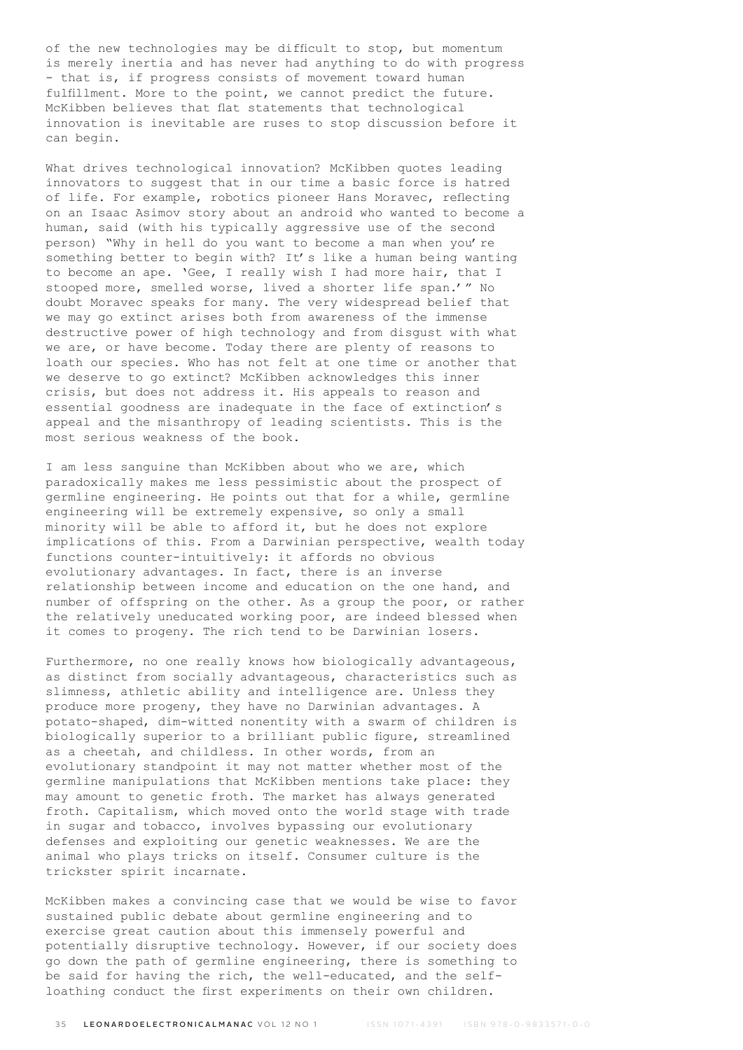of the new technologies may be difficult to stop, but momentum is merely inertia and has never had anything to do with progress - that is, if progress consists of movement toward human fulfillment. More to the point, we cannot predict the future. McKibben believes that flat statements that technological innovation is inevitable are ruses to stop discussion before it can begin.

What drives technological innovation? McKibben quotes leading innovators to suggest that in our time a basic force is hatred of life. For example, robotics pioneer Hans Moravec, reflecting on an Isaac Asimov story about an android who wanted to become a human, said (with his typically aggressive use of the second person) "Why in hell do you want to become a man when you're something better to begin with? It's like a human being wanting to become an ape. 'Gee, I really wish I had more hair, that I stooped more, smelled worse, lived a shorter life span.'" No doubt Moravec speaks for many. The very widespread belief that we may go extinct arises both from awareness of the immense destructive power of high technology and from disgust with what we are, or have become. Today there are plenty of reasons to loath our species. Who has not felt at one time or another that we deserve to go extinct? McKibben acknowledges this inner crisis, but does not address it. His appeals to reason and essential goodness are inadequate in the face of extinction's appeal and the misanthropy of leading scientists. This is the most serious weakness of the book.

I am less sanguine than McKibben about who we are, which paradoxically makes me less pessimistic about the prospect of germline engineering. He points out that for a while, germline engineering will be extremely expensive, so only a small minority will be able to afford it, but he does not explore implications of this. From a Darwinian perspective, wealth today functions counter-intuitively: it affords no obvious evolutionary advantages. In fact, there is an inverse relationship between income and education on the one hand, and number of offspring on the other. As a group the poor, or rather the relatively uneducated working poor, are indeed blessed when it comes to progeny. The rich tend to be Darwinian losers.

Furthermore, no one really knows how biologically advantageous, as distinct from socially advantageous, characteristics such as slimness, athletic ability and intelligence are. Unless they produce more progeny, they have no Darwinian advantages. A potato-shaped, dim-witted nonentity with a swarm of children is biologically superior to a brilliant public figure, streamlined as a cheetah, and childless. In other words, from an evolutionary standpoint it may not matter whether most of the germline manipulations that McKibben mentions take place: they may amount to genetic froth. The market has always generated froth. Capitalism, which moved onto the world stage with trade in sugar and tobacco, involves bypassing our evolutionary defenses and exploiting our genetic weaknesses. We are the animal who plays tricks on itself. Consumer culture is the trickster spirit incarnate.

McKibben makes a convincing case that we would be wise to favor sustained public debate about germline engineering and to exercise great caution about this immensely powerful and potentially disruptive technology. However, if our society does go down the path of germline engineering, there is something to be said for having the rich, the well-educated, and the selfloathing conduct the first experiments on their own children.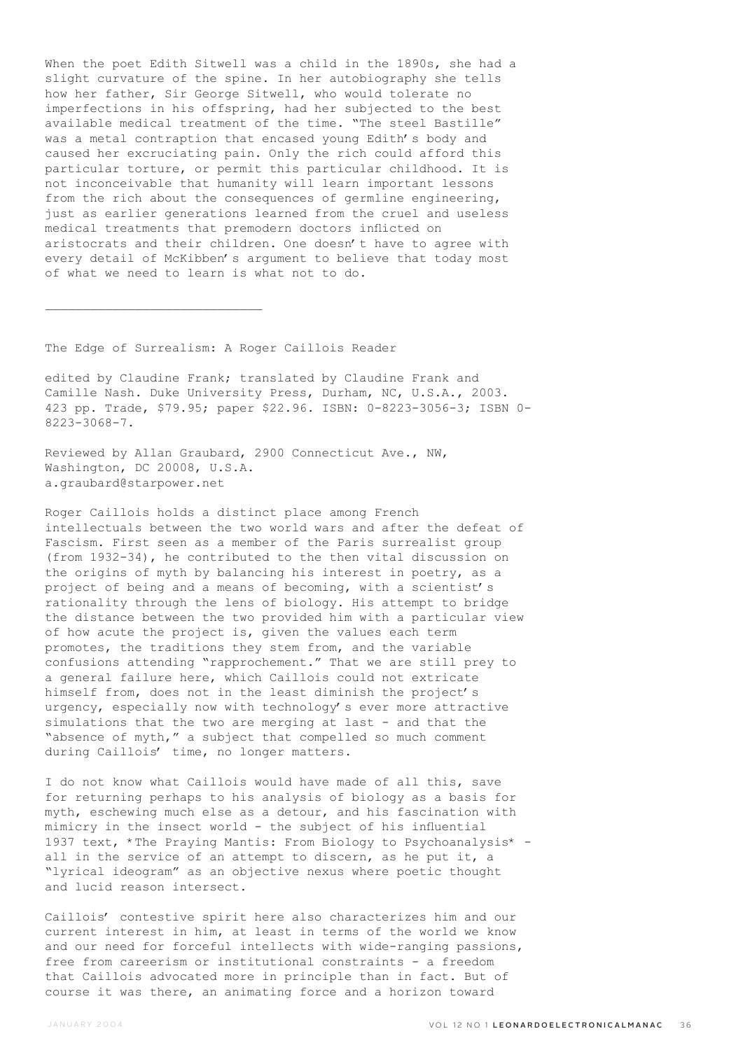When the poet Edith Sitwell was a child in the 1890s, she had a slight curvature of the spine. In her autobiography she tells how her father, Sir George Sitwell, who would tolerate no imperfections in his offspring, had her subjected to the best available medical treatment of the time. "The steel Bastille" was a metal contraption that encased young Edith's body and caused her excruciating pain. Only the rich could afford this particular torture, or permit this particular childhood. It is not inconceivable that humanity will learn important lessons from the rich about the consequences of germline engineering, just as earlier generations learned from the cruel and useless medical treatments that premodern doctors inflicted on aristocrats and their children. One doesn't have to agree with every detail of McKibben's argument to believe that today most of what we need to learn is what not to do.

The Edge of Surrealism: A Roger Caillois Reader

 $\mathcal{L}_\text{max}$ 

edited by Claudine Frank; translated by Claudine Frank and Camille Nash. Duke University Press, Durham, NC, U.S.A., 2003. 423 pp. Trade, \$79.95; paper \$22.96. ISBN: 0-8223-3056-3; ISBN 0- 8223-3068-7.

Reviewed by Allan Graubard, 2900 Connecticut Ave., NW, Washington, DC 20008, U.S.A. a.graubard@starpower.net

Roger Caillois holds a distinct place among French intellectuals between the two world wars and after the defeat of Fascism. First seen as a member of the Paris surrealist group (from 1932-34), he contributed to the then vital discussion on the origins of myth by balancing his interest in poetry, as a project of being and a means of becoming, with a scientist's rationality through the lens of biology. His attempt to bridge the distance between the two provided him with a particular view of how acute the project is, given the values each term promotes, the traditions they stem from, and the variable confusions attending "rapprochement." That we are still prey to a general failure here, which Caillois could not extricate himself from, does not in the least diminish the project's urgency, especially now with technology's ever more attractive simulations that the two are merging at last - and that the "absence of myth," a subject that compelled so much comment during Caillois' time, no longer matters.

I do not know what Caillois would have made of all this, save for returning perhaps to his analysis of biology as a basis for myth, eschewing much else as a detour, and his fascination with mimicry in the insect world - the subject of his influential 1937 text, \*The Praying Mantis: From Biology to Psychoanalysis\* all in the service of an attempt to discern, as he put it, a "lyrical ideogram" as an objective nexus where poetic thought and lucid reason intersect.

Caillois' contestive spirit here also characterizes him and our current interest in him, at least in terms of the world we know and our need for forceful intellects with wide-ranging passions, free from careerism or institutional constraints - a freedom that Caillois advocated more in principle than in fact. But of course it was there, an animating force and a horizon toward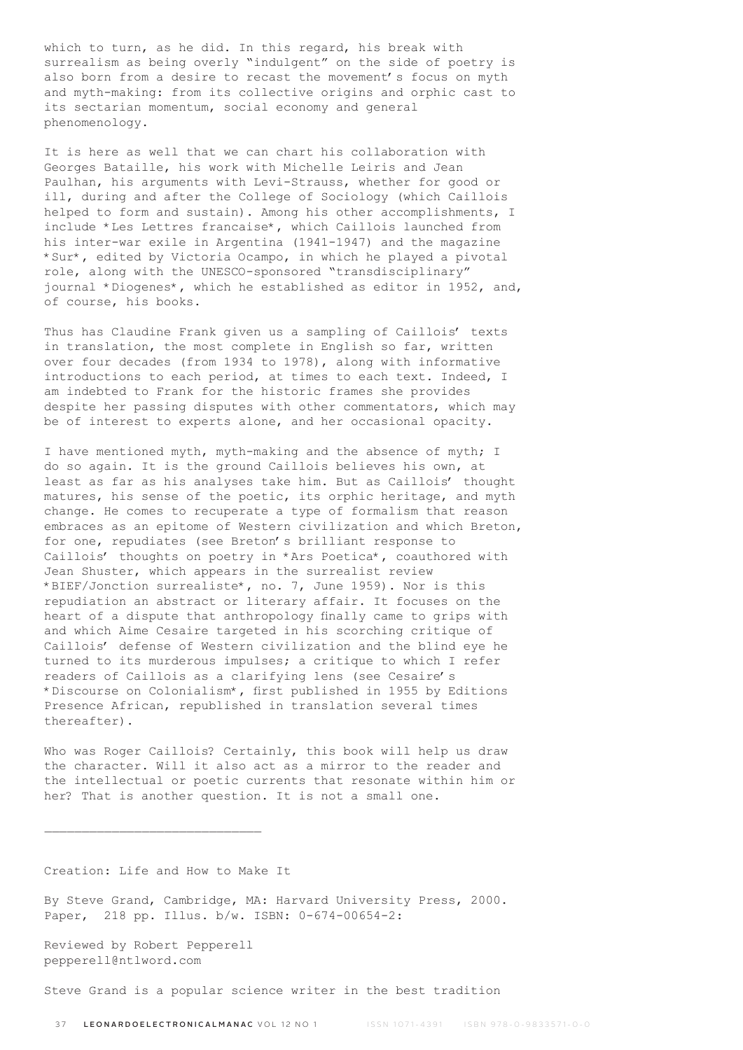which to turn, as he did. In this regard, his break with surrealism as being overly "indulgent" on the side of poetry is also born from a desire to recast the movement's focus on myth and myth-making: from its collective origins and orphic cast to its sectarian momentum, social economy and general phenomenology.

It is here as well that we can chart his collaboration with Georges Bataille, his work with Michelle Leiris and Jean Paulhan, his arguments with Levi-Strauss, whether for good or ill, during and after the College of Sociology (which Caillois helped to form and sustain). Among his other accomplishments, I include \*Les Lettres francaise\*, which Caillois launched from his inter-war exile in Argentina (1941-1947) and the magazine \*Sur\*, edited by Victoria Ocampo, in which he played a pivotal role, along with the UNESCO-sponsored "transdisciplinary" journal \*Diogenes\*, which he established as editor in 1952, and, of course, his books.

Thus has Claudine Frank given us a sampling of Caillois' texts in translation, the most complete in English so far, written over four decades (from 1934 to 1978), along with informative introductions to each period, at times to each text. Indeed, I am indebted to Frank for the historic frames she provides despite her passing disputes with other commentators, which may be of interest to experts alone, and her occasional opacity.

I have mentioned myth, myth-making and the absence of myth; I do so again. It is the ground Caillois believes his own, at least as far as his analyses take him. But as Caillois' thought matures, his sense of the poetic, its orphic heritage, and myth change. He comes to recuperate a type of formalism that reason embraces as an epitome of Western civilization and which Breton, for one, repudiates (see Breton's brilliant response to Caillois' thoughts on poetry in \*Ars Poetica\*, coauthored with Jean Shuster, which appears in the surrealist review \*BIEF/Jonction surrealiste\*, no. 7, June 1959). Nor is this repudiation an abstract or literary affair. It focuses on the heart of a dispute that anthropology finally came to grips with and which Aime Cesaire targeted in his scorching critique of Caillois' defense of Western civilization and the blind eye he turned to its murderous impulses; a critique to which I refer readers of Caillois as a clarifying lens (see Cesaire's \*Discourse on Colonialism\*, first published in 1955 by Editions Presence African, republished in translation several times thereafter).

Who was Roger Caillois? Certainly, this book will help us draw the character. Will it also act as a mirror to the reader and the intellectual or poetic currents that resonate within him or her? That is another question. It is not a small one.

Creation: Life and How to Make It

 $\overline{\phantom{a}}$  , where  $\overline{\phantom{a}}$  , where  $\overline{\phantom{a}}$  ,  $\overline{\phantom{a}}$  ,  $\overline{\phantom{a}}$  ,  $\overline{\phantom{a}}$  ,  $\overline{\phantom{a}}$  ,  $\overline{\phantom{a}}$  ,  $\overline{\phantom{a}}$  ,  $\overline{\phantom{a}}$  ,  $\overline{\phantom{a}}$  ,  $\overline{\phantom{a}}$  ,  $\overline{\phantom{a}}$  ,  $\overline{\phantom{a}}$  ,  $\overline{\phantom{a}}$  ,

By Steve Grand, Cambridge, MA: Harvard University Press, 2000. Paper, 218 pp. Illus. b/w. ISBN: 0-674-00654-2:

Reviewed by Robert Pepperell pepperell@ntlword.com

Steve Grand is a popular science writer in the best tradition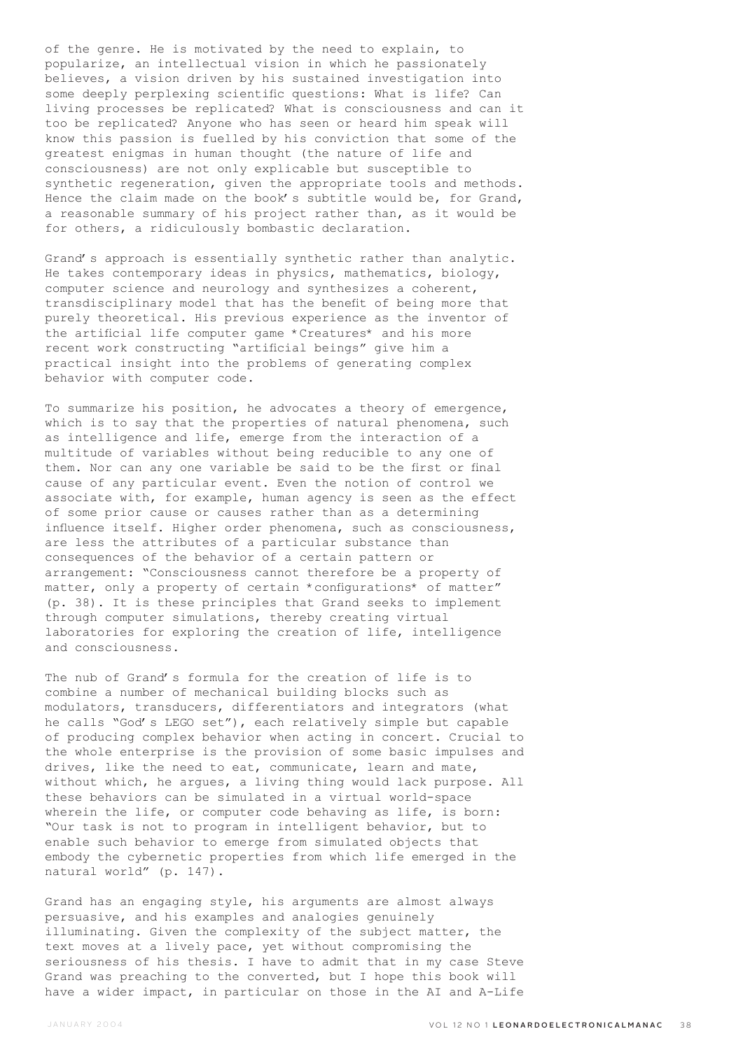of the genre. He is motivated by the need to explain, to popularize, an intellectual vision in which he passionately believes, a vision driven by his sustained investigation into some deeply perplexing scientific questions: What is life? Can living processes be replicated? What is consciousness and can it too be replicated? Anyone who has seen or heard him speak will know this passion is fuelled by his conviction that some of the greatest enigmas in human thought (the nature of life and consciousness) are not only explicable but susceptible to synthetic regeneration, given the appropriate tools and methods. Hence the claim made on the book's subtitle would be, for Grand, a reasonable summary of his project rather than, as it would be for others, a ridiculously bombastic declaration.

Grand's approach is essentially synthetic rather than analytic. He takes contemporary ideas in physics, mathematics, biology, computer science and neurology and synthesizes a coherent, transdisciplinary model that has the benefit of being more that purely theoretical. His previous experience as the inventor of the artificial life computer game \*Creatures\* and his more recent work constructing "artificial beings" give him a practical insight into the problems of generating complex behavior with computer code.

To summarize his position, he advocates a theory of emergence, which is to say that the properties of natural phenomena, such as intelligence and life, emerge from the interaction of a multitude of variables without being reducible to any one of them. Nor can any one variable be said to be the first or final cause of any particular event. Even the notion of control we associate with, for example, human agency is seen as the effect of some prior cause or causes rather than as a determining influence itself. Higher order phenomena, such as consciousness, are less the attributes of a particular substance than consequences of the behavior of a certain pattern or arrangement: "Consciousness cannot therefore be a property of matter, only a property of certain \*configurations\* of matter" (p. 38). It is these principles that Grand seeks to implement through computer simulations, thereby creating virtual laboratories for exploring the creation of life, intelligence and consciousness.

The nub of Grand's formula for the creation of life is to combine a number of mechanical building blocks such as modulators, transducers, differentiators and integrators (what he calls "God's LEGO set"), each relatively simple but capable of producing complex behavior when acting in concert. Crucial to the whole enterprise is the provision of some basic impulses and drives, like the need to eat, communicate, learn and mate, without which, he argues, a living thing would lack purpose. All these behaviors can be simulated in a virtual world-space wherein the life, or computer code behaving as life, is born: "Our task is not to program in intelligent behavior, but to enable such behavior to emerge from simulated objects that embody the cybernetic properties from which life emerged in the natural world" (p. 147).

Grand has an engaging style, his arguments are almost always persuasive, and his examples and analogies genuinely illuminating. Given the complexity of the subject matter, the text moves at a lively pace, yet without compromising the seriousness of his thesis. I have to admit that in my case Steve Grand was preaching to the converted, but I hope this book will have a wider impact, in particular on those in the AI and A-Life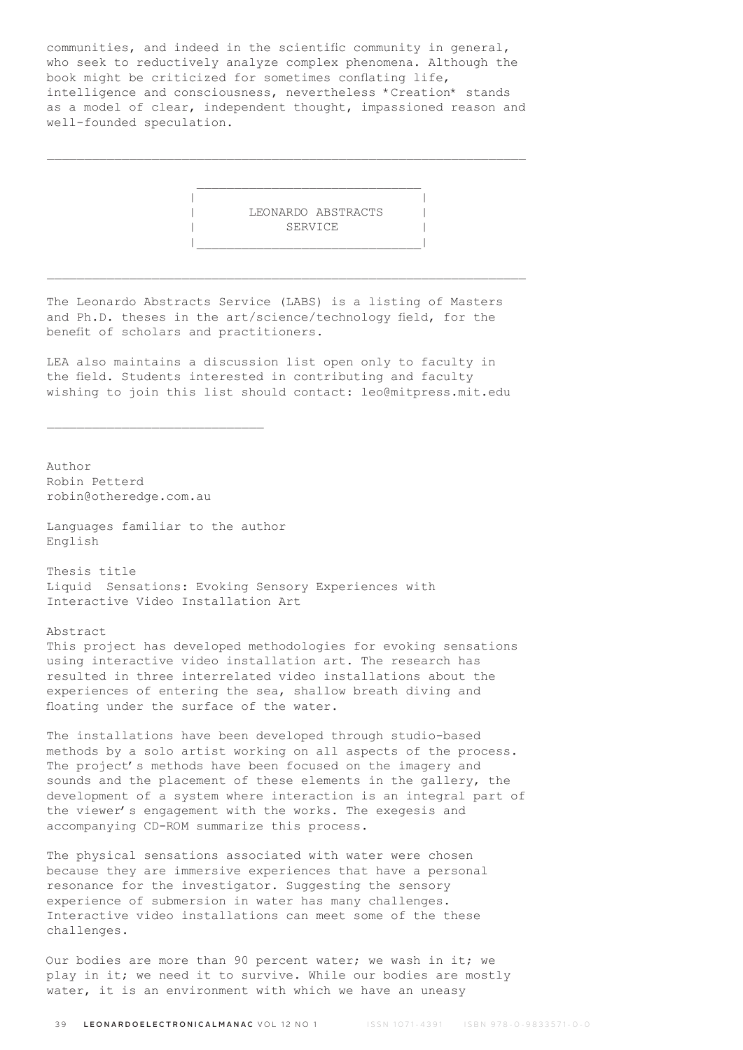communities, and indeed in the scientific community in general, who seek to reductively analyze complex phenomena. Although the book might be criticized for sometimes conflating life, intelligence and consciousness, nevertheless \*Creation\* stands as a model of clear, independent thought, impassioned reason and well-founded speculation.

\_\_\_\_\_\_\_\_\_\_\_\_\_\_\_\_\_\_\_\_\_\_\_\_\_\_\_\_\_\_\_\_\_\_\_\_\_\_\_\_\_\_\_\_\_\_\_\_\_\_\_\_\_\_\_\_\_\_\_\_\_\_\_\_

 $\mathcal{L}_\text{max}$  and  $\mathcal{L}_\text{max}$  and  $\mathcal{L}_\text{max}$  are the set of  $\mathcal{L}_\text{max}$  and  $\mathcal{L}_\text{max}$ 

 | | | LEONARDO ABSTRACTS | SERVICE |\_\_\_\_\_\_\_\_\_\_\_\_\_\_\_\_\_\_\_\_\_\_\_\_\_\_\_\_\_\_|

The Leonardo Abstracts Service (LABS) is a listing of Masters and Ph.D. theses in the art/science/technology field, for the benefit of scholars and practitioners.

\_\_\_\_\_\_\_\_\_\_\_\_\_\_\_\_\_\_\_\_\_\_\_\_\_\_\_\_\_\_\_\_\_\_\_\_\_\_\_\_\_\_\_\_\_\_\_\_\_\_\_\_\_\_\_\_\_\_\_\_\_\_\_\_

LEA also maintains a discussion list open only to faculty in the field. Students interested in contributing and faculty wishing to join this list should contact: leo@mitpress.mit.edu

Author Robin Petterd robin@otheredge.com.au

Languages familiar to the author English

\_\_\_\_\_\_\_\_\_\_\_\_\_\_\_\_\_\_\_\_\_\_\_\_\_\_\_\_\_

Thesis title Liquid Sensations: Evoking Sensory Experiences with Interactive Video Installation Art

Abstract

This project has developed methodologies for evoking sensations using interactive video installation art. The research has resulted in three interrelated video installations about the experiences of entering the sea, shallow breath diving and floating under the surface of the water.

The installations have been developed through studio-based methods by a solo artist working on all aspects of the process. The project's methods have been focused on the imagery and sounds and the placement of these elements in the gallery, the development of a system where interaction is an integral part of the viewer's engagement with the works. The exegesis and accompanying CD-ROM summarize this process.

The physical sensations associated with water were chosen because they are immersive experiences that have a personal resonance for the investigator. Suggesting the sensory experience of submersion in water has many challenges. Interactive video installations can meet some of the these challenges.

Our bodies are more than 90 percent water; we wash in it; we play in it; we need it to survive. While our bodies are mostly water, it is an environment with which we have an uneasy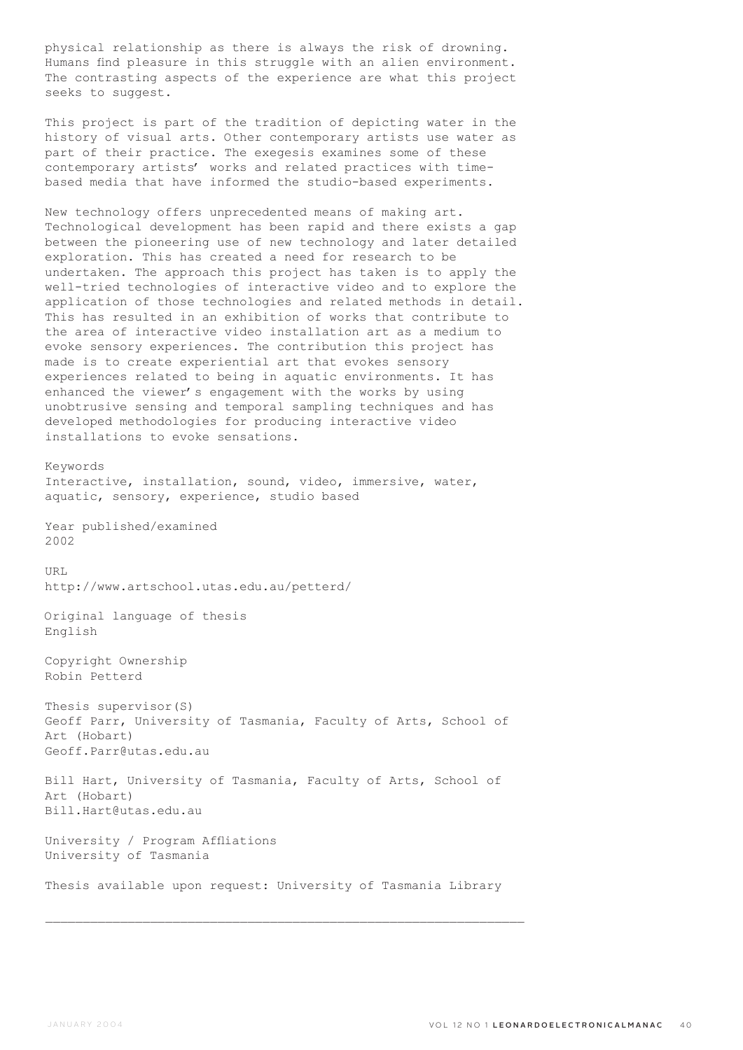physical relationship as there is always the risk of drowning. Humans find pleasure in this struggle with an alien environment. The contrasting aspects of the experience are what this project seeks to suggest.

This project is part of the tradition of depicting water in the history of visual arts. Other contemporary artists use water as part of their practice. The exegesis examines some of these contemporary artists' works and related practices with timebased media that have informed the studio-based experiments.

New technology offers unprecedented means of making art. Technological development has been rapid and there exists a gap between the pioneering use of new technology and later detailed exploration. This has created a need for research to be undertaken. The approach this project has taken is to apply the well-tried technologies of interactive video and to explore the application of those technologies and related methods in detail. This has resulted in an exhibition of works that contribute to the area of interactive video installation art as a medium to evoke sensory experiences. The contribution this project has made is to create experiential art that evokes sensory experiences related to being in aquatic environments. It has enhanced the viewer's engagement with the works by using unobtrusive sensing and temporal sampling techniques and has developed methodologies for producing interactive video installations to evoke sensations.

Keywords

Interactive, installation, sound, video, immersive, water, aquatic, sensory, experience, studio based

Year published/examined 2002

IIRT. http://www.artschool.utas.edu.au/petterd/

Original language of thesis English

Copyright Ownership Robin Petterd

Thesis supervisor(S) Geoff Parr, University of Tasmania, Faculty of Arts, School of Art (Hobart) Geoff.Parr@utas.edu.au

Bill Hart, University of Tasmania, Faculty of Arts, School of Art (Hobart) Bill.Hart@utas.edu.au

University / Program Affliations University of Tasmania

Thesis available upon request: University of Tasmania Library

 $\mathcal{L}_\text{max}$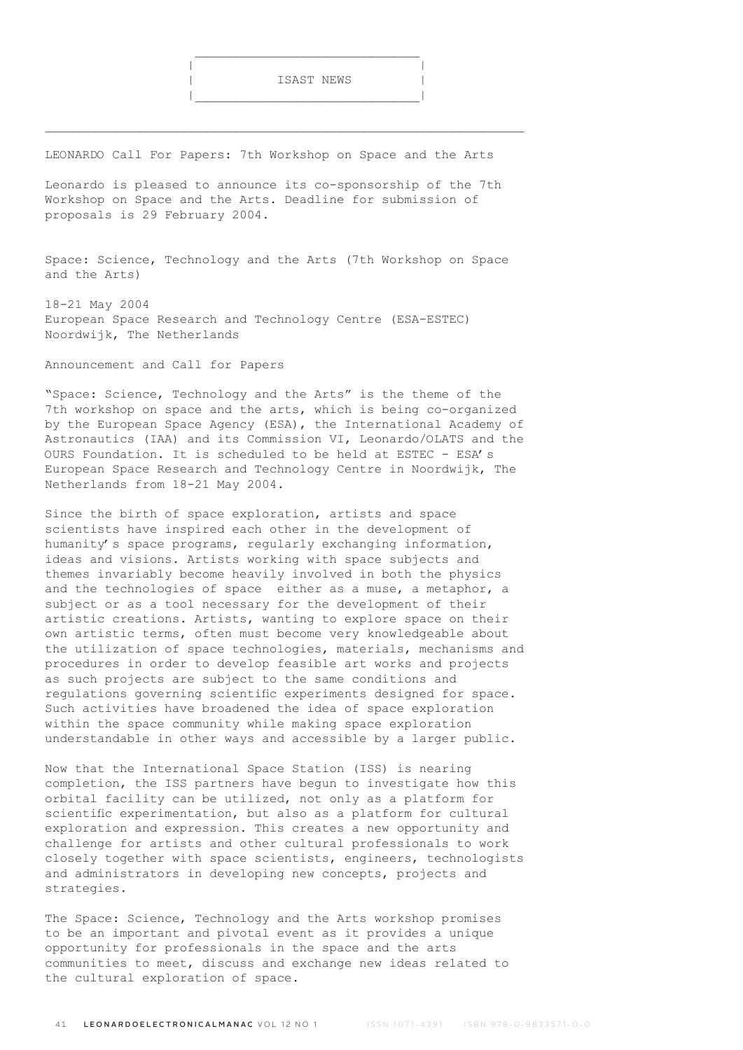LEONARDO Call For Papers: 7th Workshop on Space and the Arts

|\_\_\_\_\_\_\_\_\_\_\_\_\_\_\_\_\_\_\_\_\_\_\_\_\_\_\_\_\_\_|

Leonardo is pleased to announce its co-sponsorship of the 7th Workshop on Space and the Arts. Deadline for submission of proposals is 29 February 2004.

Space: Science, Technology and the Arts (7th Workshop on Space and the Arts)

18-21 May 2004 European Space Research and Technology Centre (ESA-ESTEC) Noordwijk, The Netherlands

Announcement and Call for Papers

"Space: Science, Technology and the Arts" is the theme of the 7th workshop on space and the arts, which is being co-organized by the European Space Agency (ESA), the International Academy of Astronautics (IAA) and its Commission VI, Leonardo/OLATS and the OURS Foundation. It is scheduled to be held at ESTEC - ESA's European Space Research and Technology Centre in Noordwijk, The Netherlands from 18-21 May 2004.

Since the birth of space exploration, artists and space scientists have inspired each other in the development of humanity's space programs, regularly exchanging information, ideas and visions. Artists working with space subjects and themes invariably become heavily involved in both the physics and the technologies of space either as a muse, a metaphor, a subject or as a tool necessary for the development of their artistic creations. Artists, wanting to explore space on their own artistic terms, often must become very knowledgeable about the utilization of space technologies, materials, mechanisms and procedures in order to develop feasible art works and projects as such projects are subject to the same conditions and regulations governing scientific experiments designed for space. Such activities have broadened the idea of space exploration within the space community while making space exploration understandable in other ways and accessible by a larger public.

Now that the International Space Station (ISS) is nearing completion, the ISS partners have begun to investigate how this orbital facility can be utilized, not only as a platform for scientific experimentation, but also as a platform for cultural exploration and expression. This creates a new opportunity and challenge for artists and other cultural professionals to work closely together with space scientists, engineers, technologists and administrators in developing new concepts, projects and strategies.

The Space: Science, Technology and the Arts workshop promises to be an important and pivotal event as it provides a unique opportunity for professionals in the space and the arts communities to meet, discuss and exchange new ideas related to the cultural exploration of space.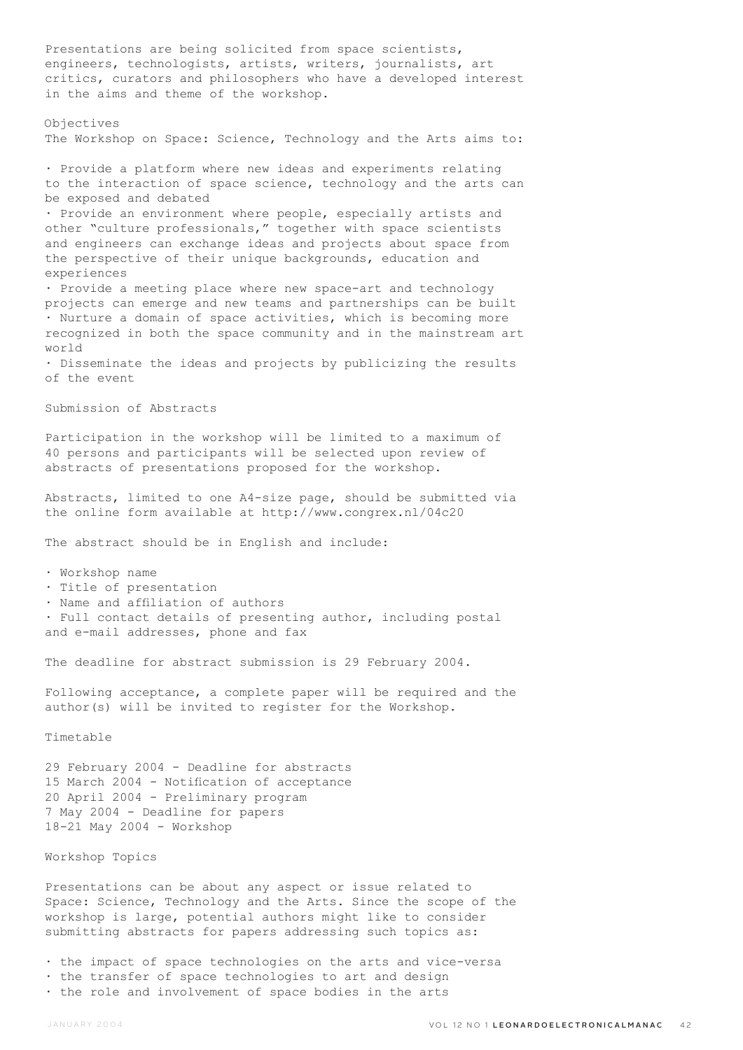Presentations are being solicited from space scientists, engineers, technologists, artists, writers, journalists, art critics, curators and philosophers who have a developed interest in the aims and theme of the workshop. Objectives The Workshop on Space: Science, Technology and the Arts aims to: · Provide a platform where new ideas and experiments relating to the interaction of space science, technology and the arts can be exposed and debated · Provide an environment where people, especially artists and other "culture professionals," together with space scientists and engineers can exchange ideas and projects about space from the perspective of their unique backgrounds, education and experiences · Provide a meeting place where new space-art and technology projects can emerge and new teams and partnerships can be built · Nurture a domain of space activities, which is becoming more recognized in both the space community and in the mainstream art world · Disseminate the ideas and projects by publicizing the results of the event Submission of Abstracts Participation in the workshop will be limited to a maximum of 40 persons and participants will be selected upon review of abstracts of presentations proposed for the workshop. Abstracts, limited to one A4-size page, should be submitted via the online form available at http://www.congrex.nl/04c20 The abstract should be in English and include: · Workshop name · Title of presentation · Name and affiliation of authors · Full contact details of presenting author, including postal and e-mail addresses, phone and fax The deadline for abstract submission is 29 February 2004. Following acceptance, a complete paper will be required and the author(s) will be invited to register for the Workshop. Timetable 29 February 2004 - Deadline for abstracts 15 March 2004 - Notification of acceptance 20 April 2004 - Preliminary program 7 May 2004 - Deadline for papers 18-21 May 2004 - Workshop Workshop Topics Presentations can be about any aspect or issue related to Space: Science, Technology and the Arts. Since the scope of the workshop is large, potential authors might like to consider submitting abstracts for papers addressing such topics as:

- · the impact of space technologies on the arts and vice-versa
- · the transfer of space technologies to art and design · the role and involvement of space bodies in the arts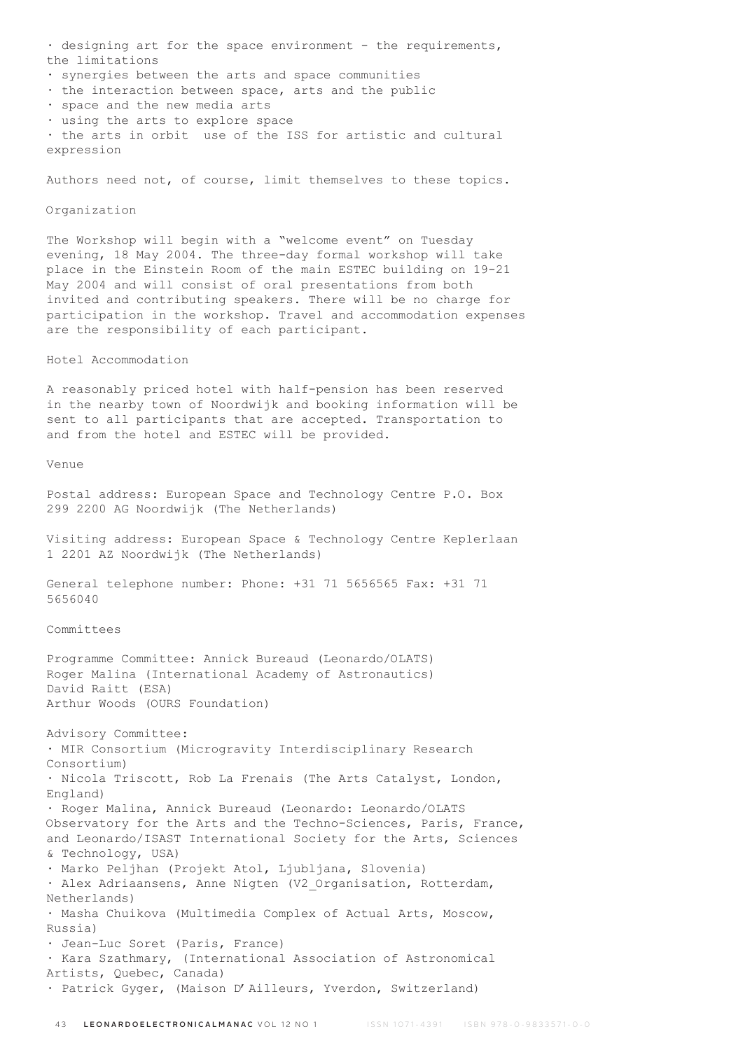· designing art for the space environment - the requirements, the limitations

- · synergies between the arts and space communities
- · the interaction between space, arts and the public
- · space and the new media arts
- · using the arts to explore space

· the arts in orbit use of the ISS for artistic and cultural expression

Authors need not, of course, limit themselves to these topics.

## Organization

The Workshop will begin with a "welcome event" on Tuesday evening, 18 May 2004. The three-day formal workshop will take place in the Einstein Room of the main ESTEC building on 19-21 May 2004 and will consist of oral presentations from both invited and contributing speakers. There will be no charge for participation in the workshop. Travel and accommodation expenses are the responsibility of each participant.

Hotel Accommodation

A reasonably priced hotel with half-pension has been reserved in the nearby town of Noordwijk and booking information will be sent to all participants that are accepted. Transportation to and from the hotel and ESTEC will be provided.

Venue

Postal address: European Space and Technology Centre P.O. Box 299 2200 AG Noordwijk (The Netherlands)

Visiting address: European Space & Technology Centre Keplerlaan 1 2201 AZ Noordwijk (The Netherlands)

General telephone number: Phone: +31 71 5656565 Fax: +31 71 5656040

Committees

Programme Committee: Annick Bureaud (Leonardo/OLATS) Roger Malina (International Academy of Astronautics) David Raitt (ESA) Arthur Woods (OURS Foundation)

Advisory Committee: · MIR Consortium (Microgravity Interdisciplinary Research Consortium) · Nicola Triscott, Rob La Frenais (The Arts Catalyst, London, England) · Roger Malina, Annick Bureaud (Leonardo: Leonardo/OLATS Observatory for the Arts and the Techno-Sciences, Paris, France, and Leonardo/ISAST International Society for the Arts, Sciences & Technology, USA) · Marko Peljhan (Projekt Atol, Ljubljana, Slovenia) · Alex Adriaansens, Anne Nigten (V2\_Organisation, Rotterdam, Netherlands) · Masha Chuikova (Multimedia Complex of Actual Arts, Moscow, Russia) · Jean-Luc Soret (Paris, France) · Kara Szathmary, (International Association of Astronomical Artists, Quebec, Canada) · Patrick Gyger, (Maison D'Ailleurs, Yverdon, Switzerland)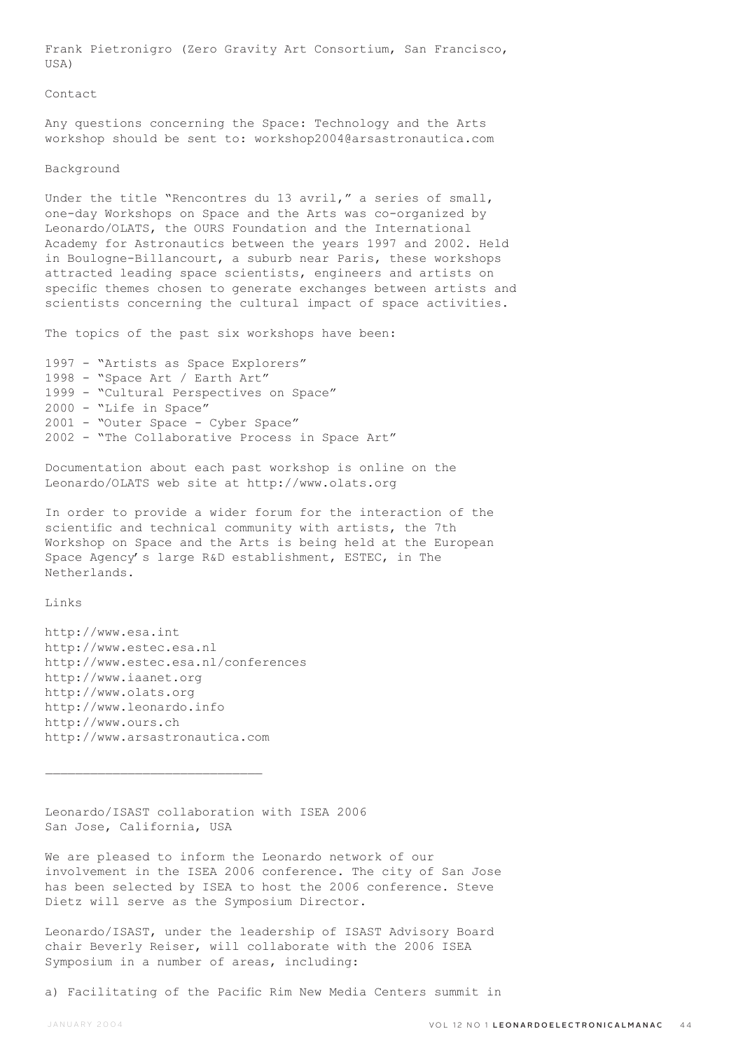Frank Pietronigro (Zero Gravity Art Consortium, San Francisco, USA)

#### Contact

Any questions concerning the Space: Technology and the Arts workshop should be sent to: workshop2004@arsastronautica.com

#### Background

Under the title "Rencontres du 13 avril," a series of small, one-day Workshops on Space and the Arts was co-organized by Leonardo/OLATS, the OURS Foundation and the International Academy for Astronautics between the years 1997 and 2002. Held in Boulogne-Billancourt, a suburb near Paris, these workshops attracted leading space scientists, engineers and artists on specific themes chosen to generate exchanges between artists and scientists concerning the cultural impact of space activities.

The topics of the past six workshops have been:

1997 - "Artists as Space Explorers" 1998 - "Space Art / Earth Art" 1999 - "Cultural Perspectives on Space" 2000 - "Life in Space" 2001 - "Outer Space - Cyber Space" 2002 - "The Collaborative Process in Space Art"

Documentation about each past workshop is online on the Leonardo/OLATS web site at http://www.olats.org

In order to provide a wider forum for the interaction of the scientific and technical community with artists, the 7th Workshop on Space and the Arts is being held at the European Space Agency's large R&D establishment, ESTEC, in The Netherlands.

# Links

http://www.esa.int http://www.estec.esa.nl http://www.estec.esa.nl/conferences http://www.iaanet.org http://www.olats.org http://www.leonardo.info http://www.ours.ch http://www.arsastronautica.com

Leonardo/ISAST collaboration with ISEA 2006 San Jose, California, USA

We are pleased to inform the Leonardo network of our involvement in the ISEA 2006 conference. The city of San Jose has been selected by ISEA to host the 2006 conference. Steve Dietz will serve as the Symposium Director.

Leonardo/ISAST, under the leadership of ISAST Advisory Board chair Beverly Reiser, will collaborate with the 2006 ISEA Symposium in a number of areas, including:

a) Facilitating of the Pacific Rim New Media Centers summit in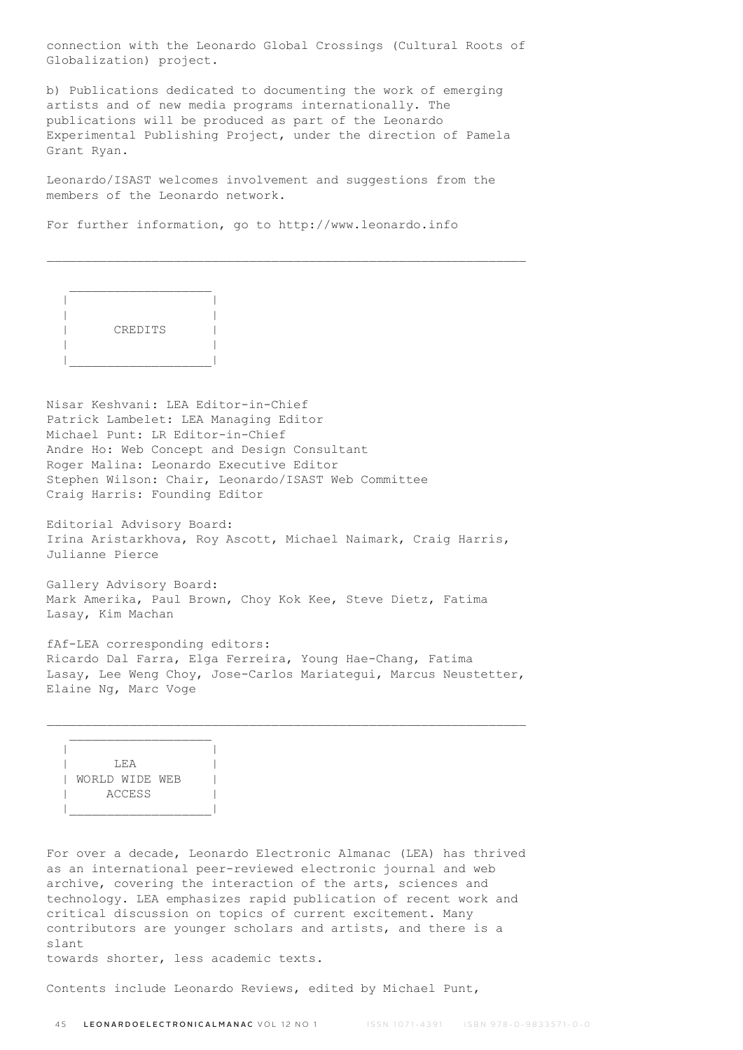connection with the Leonardo Global Crossings (Cultural Roots of Globalization) project.

b) Publications dedicated to documenting the work of emerging artists and of new media programs internationally. The publications will be produced as part of the Leonardo Experimental Publishing Project, under the direction of Pamela Grant Ryan.

Leonardo/ISAST welcomes involvement and suggestions from the members of the Leonardo network.

For further information, go to http://www.leonardo.info



Nisar Keshvani: LEA Editor-in-Chief Patrick Lambelet: LEA Managing Editor Michael Punt: LR Editor-in-Chief Andre Ho: Web Concept and Design Consultant Roger Malina: Leonardo Executive Editor Stephen Wilson: Chair, Leonardo/ISAST Web Committee Craig Harris: Founding Editor

Editorial Advisory Board: Irina Aristarkhova, Roy Ascott, Michael Naimark, Craig Harris, Julianne Pierce

Gallery Advisory Board: Mark Amerika, Paul Brown, Choy Kok Kee, Steve Dietz, Fatima Lasay, Kim Machan

fAf-LEA corresponding editors: Ricardo Dal Farra, Elga Ferreira, Young Hae-Chang, Fatima Lasay, Lee Weng Choy, Jose-Carlos Mariategui, Marcus Neustetter, Elaine Ng, Marc Voge

 | | | LEA | | | WORLD WIDE WEB | | ACCESS | |\_\_\_\_\_\_\_\_\_\_\_\_\_\_\_\_\_\_\_|

 $\mathcal{L}=\frac{1}{2}$  , where  $\mathcal{L}=\frac{1}{2}$  , where  $\mathcal{L}=\frac{1}{2}$ 

For over a decade, Leonardo Electronic Almanac (LEA) has thrived as an international peer-reviewed electronic journal and web archive, covering the interaction of the arts, sciences and technology. LEA emphasizes rapid publication of recent work and critical discussion on topics of current excitement. Many contributors are younger scholars and artists, and there is a slant

towards shorter, less academic texts.

Contents include Leonardo Reviews, edited by Michael Punt,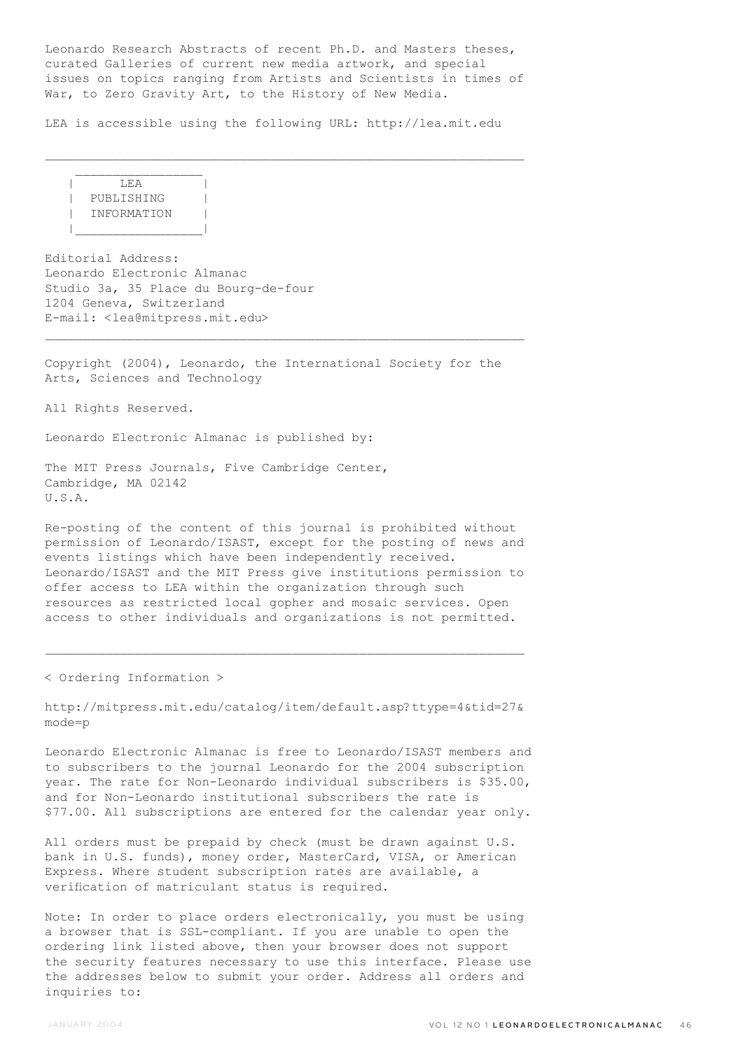Leonardo Research Abstracts of recent Ph.D. and Masters theses, curated Galleries of current new media artwork, and special issues on topics ranging from Artists and Scientists in times of War, to Zero Gravity Art, to the History of New Media.

\_\_\_\_\_\_\_\_\_\_\_\_\_\_\_\_\_\_\_\_\_\_\_\_\_\_\_\_\_\_\_\_\_\_\_\_\_\_\_\_\_\_\_\_\_\_\_\_\_\_\_\_\_\_\_\_\_\_\_\_\_\_\_\_

LEA is accessible using the following URL: http://lea.mit.edu

 $|$  LEA  $|$  | PUBLISHING | | INFORMATION | |\_\_\_\_\_\_\_\_\_\_\_\_\_\_\_\_\_|

 $\frac{1}{2}$  ,  $\frac{1}{2}$  ,  $\frac{1}{2}$  ,  $\frac{1}{2}$  ,  $\frac{1}{2}$  ,  $\frac{1}{2}$  ,  $\frac{1}{2}$  ,  $\frac{1}{2}$  ,  $\frac{1}{2}$  ,  $\frac{1}{2}$  ,  $\frac{1}{2}$  ,  $\frac{1}{2}$  ,  $\frac{1}{2}$  ,  $\frac{1}{2}$  ,  $\frac{1}{2}$  ,  $\frac{1}{2}$  ,  $\frac{1}{2}$  ,  $\frac{1}{2}$  ,  $\frac{1$ 

Editorial Address: Leonardo Electronic Almanac Studio 3a, 35 Place du Bourg-de-four 1204 Geneva, Switzerland E-mail: <lea@mitpress.mit.edu>

Copyright (2004), Leonardo, the International Society for the Arts, Sciences and Technology

 $\mathcal{L}_\text{max}$ 

All Rights Reserved.

Leonardo Electronic Almanac is published by:

The MIT Press Journals, Five Cambridge Center, Cambridge, MA 02142 U.S.A.

Re-posting of the content of this journal is prohibited without permission of Leonardo/ISAST, except for the posting of news and events listings which have been independently received. Leonardo/ISAST and the MIT Press give institutions permission to offer access to LEA within the organization through such resources as restricted local gopher and mosaic services. Open access to other individuals and organizations is not permitted.

< Ordering Information >

http://mitpress.mit.edu/catalog/item/default.asp?ttype=4&tid=27& mode=p

 $\mathcal{L}_\text{max}$ 

Leonardo Electronic Almanac is free to Leonardo/ISAST members and to subscribers to the journal Leonardo for the 2004 subscription year. The rate for Non-Leonardo individual subscribers is \$35.00, and for Non-Leonardo institutional subscribers the rate is \$77.00. All subscriptions are entered for the calendar year only.

All orders must be prepaid by check (must be drawn against U.S. bank in U.S. funds), money order, MasterCard, VISA, or American Express. Where student subscription rates are available, a verification of matriculant status is required.

Note: In order to place orders electronically, you must be using a browser that is SSL-compliant. If you are unable to open the ordering link listed above, then your browser does not support the security features necessary to use this interface. Please use the addresses below to submit your order. Address all orders and inquiries to: